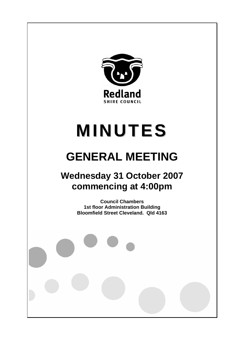

# **MINUTES**

# **GENERAL MEETING**

## **Wednesday 31 October 2007 commencing at 4:00pm**

**Council Chambers 1st floor Administration Building Bloomfield Street Cleveland. Qld 4163**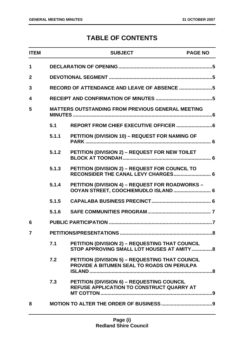### **TABLE OF CONTENTS**

| <b>ITEM</b>             |                                                          | <b>SUBJECT</b>                                                                                       | <b>PAGE NO</b> |  |
|-------------------------|----------------------------------------------------------|------------------------------------------------------------------------------------------------------|----------------|--|
| 1                       |                                                          |                                                                                                      |                |  |
| $\overline{2}$          |                                                          |                                                                                                      |                |  |
| 3                       |                                                          |                                                                                                      |                |  |
| $\overline{\mathbf{4}}$ |                                                          |                                                                                                      |                |  |
| 5                       | <b>MATTERS OUTSTANDING FROM PREVIOUS GENERAL MEETING</b> |                                                                                                      |                |  |
|                         | 5.1                                                      |                                                                                                      |                |  |
|                         | 5.1.1                                                    | PETITION (DIVISION 10) - REQUEST FOR NAMING OF                                                       |                |  |
|                         | 5.1.2                                                    | PETITION (DIVISION 2) - REQUEST FOR NEW TOILET                                                       |                |  |
|                         | 5.1.3                                                    | PETITION (DIVISION 2) - REQUEST FOR COUNCIL TO<br>RECONSIDER THE CANAL LEVY CHARGES 6                |                |  |
|                         | 5.1.4                                                    | <b>PETITION (DIVISION 4) - REQUEST FOR ROADWORKS -</b><br>OOYAN STREET, COOCHIEMUDLO ISLAND  6       |                |  |
|                         | 5.1.5                                                    |                                                                                                      |                |  |
|                         | 5.1.6                                                    |                                                                                                      |                |  |
| 6                       |                                                          |                                                                                                      |                |  |
| $\overline{7}$          |                                                          | PETITIONS/PRESENTATIONS<br>$\overline{\mathsf{R}}$                                                   |                |  |
|                         | 7.1                                                      | PETITION (DIVISION 2) - REQUESTING THAT COUNCIL<br>STOP APPROVING SMALL LOT HOUSES AT AMITY8         |                |  |
|                         | 7.2                                                      | <b>PETITION (DIVISION 5) - REQUESTING THAT COUNCIL</b><br>PROVIDE A BITUMEN SEAL TO ROADS ON PERULPA |                |  |
|                         | 7.3                                                      | PETITION (DIVISION 6) - REQUESTING COUNCIL<br>REFUSE APPLICATION TO CONSTRUCT QUARRY AT              |                |  |
| 8                       |                                                          |                                                                                                      |                |  |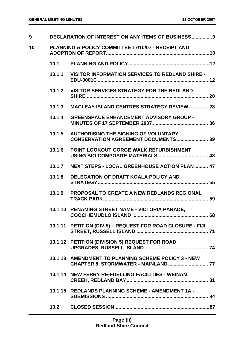| 9  |        | <b>DECLARATION OF INTEREST ON ANY ITEMS OF BUSINESS9</b>                           |
|----|--------|------------------------------------------------------------------------------------|
| 10 |        | <b>PLANNING &amp; POLICY COMMITTEE 17/10/07 - RECEIPT AND</b>                      |
|    |        |                                                                                    |
|    |        | 10.1.1 VISITOR INFORMATION SERVICES TO REDLAND SHIRE -                             |
|    |        | 10.1.2 VISITOR SERVICES STRATEGY FOR THE REDLAND                                   |
|    | 10.1.3 | <b>MACLEAY ISLAND CENTRES STRATEGY REVIEW 28</b>                                   |
|    | 10.1.4 | <b>GREENSPACE ENHANCEMENT ADVISORY GROUP -</b>                                     |
|    | 10.1.5 | <b>AUTHORISING THE SIGNING OF VOLUNTARY</b><br>CONSERVATION AGREEMENT DOCUMENTS 39 |
|    | 10.1.6 | POINT LOOKOUT GORGE WALK REFURBISHMENT                                             |
|    | 10.1.7 | NEXT STEPS - LOCAL GREENHOUSE ACTION PLAN  47                                      |
|    | 10.1.8 | <b>DELEGATION OF DRAFT KOALA POLICY AND</b>                                        |
|    | 10.1.9 | <b>PROPOSAL TO CREATE A NEW REDLANDS REGIONAL</b>                                  |
|    |        | 10.1.10 RENAMING STREET NAME - VICTORIA PARADE,                                    |
|    |        | 10.1.11 PETITION (DIV 5) - REQUEST FOR ROAD CLOSURE - FIJI                         |
|    |        | 10.1.12 PETITION (DIVISION 5) REQUEST FOR ROAD                                     |
|    |        | 10.1.13 AMENDMENT TO PLANNING SCHEME POLICY 3 - NEW                                |
|    |        | 10.1.14 NEW FERRY RE-FUELLING FACILITIES - WEINAM                                  |
|    |        | 10.1.15 REDLANDS PLANNING SCHEME - AMENDMENT 1A -                                  |
|    | 10.2   |                                                                                    |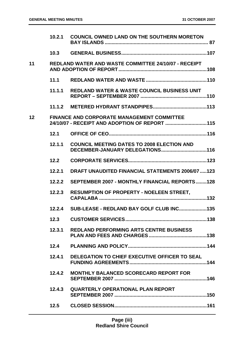|    | 10.2.1 | <b>COUNCIL OWNED LAND ON THE SOUTHERN MORETON</b>                                                  |
|----|--------|----------------------------------------------------------------------------------------------------|
|    | 10.3   |                                                                                                    |
| 11 |        | <b>REDLAND WATER AND WASTE COMMITTEE 24/10/07 - RECEIPT</b>                                        |
|    | 11.1   |                                                                                                    |
|    | 11.1.1 | <b>REDLAND WATER &amp; WASTE COUNCIL BUSINESS UNIT</b>                                             |
|    | 11.1.2 |                                                                                                    |
| 12 |        | <b>FINANCE AND CORPORATE MANAGEMENT COMMITTEE</b><br>24/10/07 - RECEIPT AND ADOPTION OF REPORT 115 |
|    | 12.1   |                                                                                                    |
|    | 12.1.1 | <b>COUNCIL MEETING DATES TO 2008 ELECTION AND</b><br>DECEMBER-JANUARY DELEGATIONS116               |
|    | 12.2   |                                                                                                    |
|    | 12.2.1 | <b>DRAFT UNAUDITED FINANCIAL STATEMENTS 2006/07 123</b>                                            |
|    | 12.2.2 | <b>SEPTEMBER 2007 - MONTHLY FINANCIAL REPORTS128</b>                                               |
|    | 12.2.3 | <b>RESUMPTION OF PROPERTY - NOELEEN STREET,</b>                                                    |
|    |        | 12.2.4 SUB-LEASE - REDLAND BAY GOLF CLUB INC135                                                    |
|    | 12.3   |                                                                                                    |
|    | 12.3.1 | <b>REDLAND PERFORMING ARTS CENTRE BUSINESS</b>                                                     |
|    | 12.4   |                                                                                                    |
|    | 12.4.1 | DELEGATION TO CHIEF EXECUTIVE OFFICER TO SEAL                                                      |
|    | 12.4.2 | <b>MONTHLY BALANCED SCORECARD REPORT FOR</b>                                                       |
|    | 12.4.3 | <b>QUARTERLY OPERATIONAL PLAN REPORT</b>                                                           |
|    | 12.5   |                                                                                                    |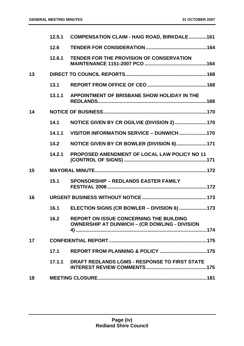|    | 12.5.1 | <b>COMPENSATION CLAIM - HAIG ROAD, BIRKDALE161</b>                                                     |  |
|----|--------|--------------------------------------------------------------------------------------------------------|--|
|    | 12.6   |                                                                                                        |  |
|    | 12.6.1 | TENDER FOR THE PROVISION OF CONSERVATION                                                               |  |
| 13 |        |                                                                                                        |  |
|    | 13.1   |                                                                                                        |  |
|    | 13.1.1 | APPOINTMENT OF BRISBANE SHOW HOLIDAY IN THE                                                            |  |
| 14 |        |                                                                                                        |  |
|    | 14.1   | NOTICE GIVEN BY CR OGILVIE (DIVISION 2)  170                                                           |  |
|    | 14.1.1 | VISITOR INFORMATION SERVICE - DUNWICH170                                                               |  |
|    | 14.2   | NOTICE GIVEN BY CR BOWLER (DIVISION 6)171                                                              |  |
|    | 14.2.1 | PROPOSED AMENDMENT OF LOCAL LAW POLICY NO 11                                                           |  |
| 15 |        |                                                                                                        |  |
|    | 15.1   | <b>SPONSORSHIP - REDLANDS EASTER FAMILY</b>                                                            |  |
| 16 |        |                                                                                                        |  |
|    | 16.1   | ELECTION SIGNS (CR BOWLER - DIVISION 6)  173                                                           |  |
|    | 16.2   | <b>REPORT ON ISSUE CONCERNING THE BUILDING</b><br><b>OWNERSHIP AT DUNWICH - (CR DOWLING - DIVISION</b> |  |
| 17 |        |                                                                                                        |  |
|    | 17.1   |                                                                                                        |  |
|    | 17.1.1 | DRAFT REDLANDS LGMS - RESPONSE TO FIRST STATE                                                          |  |
| 18 |        |                                                                                                        |  |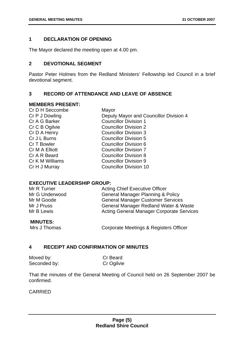#### **1 DECLARATION OF OPENING**

The Mayor declared the meeting open at 4.00 pm.

#### **2 DEVOTIONAL SEGMENT**

Pastor Peter Holmes from the Redland Ministers' Fellowship led Council in a brief devotional segment.

#### **3 RECORD OF ATTENDANCE AND LEAVE OF ABSENCE**

#### **MEMBERS PRESENT:**

| Cr D H Seccombe | Mayor                                  |
|-----------------|----------------------------------------|
| Cr P J Dowling  | Deputy Mayor and Councillor Division 4 |
| Cr A G Barker   | <b>Councillor Division 1</b>           |
| Cr C B Ogilvie  | <b>Councillor Division 2</b>           |
| Cr D A Henry    | <b>Councillor Division 3</b>           |
| Cr J L Burns    | <b>Councillor Division 5</b>           |
| Cr T Bowler     | <b>Councillor Division 6</b>           |
| Cr M A Elliott  | <b>Councillor Division 7</b>           |
| Cr A R Beard    | <b>Councillor Division 8</b>           |
| Cr K M Williams | <b>Councillor Division 9</b>           |
| Cr H J Murray   | <b>Councillor Division 10</b>          |
|                 |                                        |

#### **EXECUTIVE LEADERSHIP GROUP:**

| Mr R Turner    | <b>Acting Chief Executive Officer</b>            |
|----------------|--------------------------------------------------|
| Mr G Underwood | <b>General Manager Planning &amp; Policy</b>     |
| Mr M Goode     | <b>General Manager Customer Services</b>         |
| Mr J Pruss     | General Manager Redland Water & Waste            |
| Mr B Lewis     | <b>Acting General Manager Corporate Services</b> |
|                |                                                  |

#### **MINUTES:**

Mrs J Thomas Corporate Meetings & Registers Officer

#### **4 RECEIPT AND CONFIRMATION OF MINUTES**

| Moved by:    | Cr Beard   |
|--------------|------------|
| Seconded by: | Cr Ogilvie |

That the minutes of the General Meeting of Council held on 26 September 2007 be confirmed.

#### CARRIED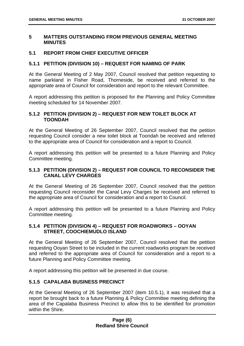#### **5 MATTERS OUTSTANDING FROM PREVIOUS GENERAL MEETING MINUTES**

#### **5.1 REPORT FROM CHIEF EXECUTIVE OFFICER**

#### **5.1.1 PETITION (DIVISION 10) – REQUEST FOR NAMING OF PARK**

At the General Meeting of 2 May 2007, Council resolved that petition requesting to name parkland in Fisher Road, Thorneside, be received and referred to the appropriate area of Council for consideration and report to the relevant Committee.

A report addressing this petition is proposed for the Planning and Policy Committee meeting scheduled for 14 November 2007.

#### **5.1.2 PETITION (DIVISION 2) – REQUEST FOR NEW TOILET BLOCK AT TOONDAH**

At the General Meeting of 26 September 2007, Council resolved that the petition requesting Council consider a new toilet block at Toondah be received and referred to the appropriate area of Council for consideration and a report to Council.

A report addressing this petition will be presented to a future Planning and Policy Committee meeting.

#### **5.1.3 PETITION (DIVISION 2) – REQUEST FOR COUNCIL TO RECONSIDER THE CANAL LEVY CHARGES**

At the General Meeting of 26 September 2007, Council resolved that the petition requesting Council reconsider the Canal Levy Charges be received and referred to the appropriate area of Council for consideration and a report to Council.

A report addressing this petition will be presented to a future Planning and Policy Committee meeting.

#### **5.1.4 PETITION (DIVISION 4) – REQUEST FOR ROADWORKS – OOYAN STREET, COOCHIEMUDLO ISLAND**

At the General Meeting of 26 September 2007, Council resolved that the petition requesting Ooyan Street to be included in the current roadworks program be received and referred to the appropriate area of Council for consideration and a report to a future Planning and Policy Committee meeting.

A report addressing this petition will be presented in due course.

#### **5.1.5 CAPALABA BUSINESS PRECINCT**

At the General Meeting of 26 September 2007 (item 10.5.1), it was resolved that a report be brought back to a future Planning & Policy Committee meeting defining the area of the Capalaba Business Precinct to allow this to be identified for promotion within the Shire.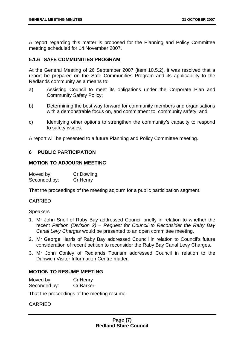A report regarding this matter is proposed for the Planning and Policy Committee meeting scheduled for 14 November 2007.

#### **5.1.6 SAFE COMMUNITIES PROGRAM**

At the General Meeting of 26 September 2007 (item 10.5.2), it was resolved that a report be prepared on the Safe Communities Program and its applicability to the Redlands community as a means to:

- a) Assisting Council to meet its obligations under the Corporate Plan and Community Safety Policy;
- b) Determining the best way forward for community members and organisations with a demonstrable focus on, and commitment to, community safety; and
- c) Identifying other options to strengthen the community's capacity to respond to safety issues.

A report will be presented to a future Planning and Policy Committee meeting.

#### **6 PUBLIC PARTICIPATION**

#### **MOTION TO ADJOURN MEETING**

| Moved by:    | <b>Cr Dowling</b> |
|--------------|-------------------|
| Seconded by: | Cr Henry          |

That the proceedings of the meeting adjourn for a public participation segment.

#### CARRIED

#### **Speakers**

- 1. Mr John Snell of Raby Bay addressed Council briefly in relation to whether the recent *Petition (Division 2) – Request for Council to Reconsider the Raby Bay Canal Levy Charges* would be presented to an open committee meeting.
- 2. Mr George Harris of Raby Bay addressed Council in relation to Council's future consideration of recent petition to reconsider the Raby Bay Canal Levy Charges.
- 3. Mr John Conley of Redlands Tourism addressed Council in relation to the Dunwich Visitor Information Centre matter.

#### **MOTION TO RESUME MEETING**

| Moved by:    | Cr Henry         |
|--------------|------------------|
| Seconded by: | <b>Cr Barker</b> |

That the proceedings of the meeting resume.

#### **CARRIED**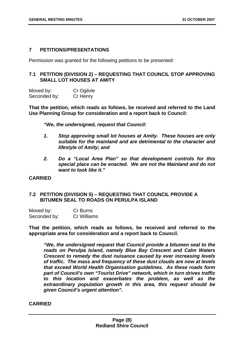#### **7 PETITIONS/PRESENTATIONS**

Permission was granted for the following petitions to be presented:

#### **7.1 PETITION (DIVISION 2) – REQUESTING THAT COUNCIL STOP APPROVING SMALL LOT HOUSES AT AMITY**

Moved by: Cr Ogilvie Seconded by: Cr Henry

**That the petition, which reads as follows, be received and referred to the Land Use Planning Group for consideration and a report back to Council:** 

*"We, the undersigned, request that Council:* 

- *1. Stop approving small lot houses at Amity. These houses are only suitable for the mainland and are detrimental to the character and lifestyle of Amity; and*
- *2. Do a "Local Area Plan" so that development controls for this special place can be enacted. We are not the Mainland and do not want to look like it."*

#### **CARRIED**

#### **7.2 PETITION (DIVISION 5) – REQUESTING THAT COUNCIL PROVIDE A BITUMEN SEAL TO ROADS ON PERULPA ISLAND**

| Moved by:    | Cr Burns    |
|--------------|-------------|
| Seconded by: | Cr Williams |

**That the petition, which reads as follows, be received and referred to the appropriate area for consideration and a report back to Council.** 

*"We, the undersigned request that Council provide a bitumen seal to the roads on Perulpa Island, namely Blue Bay Crescent and Calm Waters Crescent to remedy the dust nuisance caused by ever increasing levels of traffic. The mass and frequency of these dust clouds are now at levels that exceed World Health Organisation guidelines. As these roads form part of Council's own "Tourist Drive" network, which in turn drives traffic to this location and exacerbates the problem, as well as the extraordinary population growth in this area, this request should be given Council's urgent attention".* 

#### **CARRIED**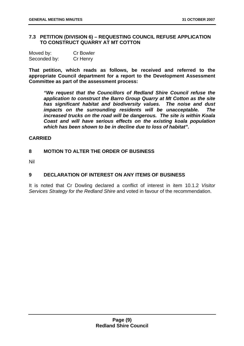#### **7.3 PETITION (DIVISION 6) – REQUESTING COUNCIL REFUSE APPLICATION TO CONSTRUCT QUARRY AT MT COTTON**

| Moved by:    | <b>Cr Bowler</b> |
|--------------|------------------|
| Seconded by: | Cr Henry         |

**That petition, which reads as follows, be received and referred to the appropriate Council department for a report to the Development Assessment Committee as part of the assessment process:** 

*"We request that the Councillors of Redland Shire Council refuse the application to construct the Barro Group Quarry at Mt Cotton as the site has significant habitat and biodiversity values. The noise and dust impacts on the surrounding residents will be unacceptable. The increased trucks on the road will be dangerous. The site is within Koala Coast and will have serious effects on the existing koala population which has been shown to be in decline due to loss of habitat".*

#### **CARRIED**

#### **8 MOTION TO ALTER THE ORDER OF BUSINESS**

Nil

#### **9 DECLARATION OF INTEREST ON ANY ITEMS OF BUSINESS**

It is noted that Cr Dowling declared a conflict of interest in item 10.1.2 *Visitor Services Strategy for the Redland Shire* and voted in favour of the recommendation.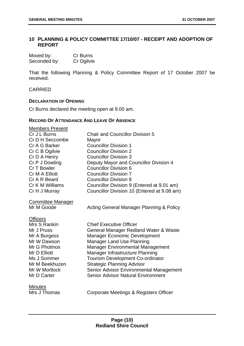#### **10 PLANNING & POLICY COMMITTEE 17/10/07 - RECEIPT AND ADOPTION OF REPORT**

| Moved by:    | Cr Burns   |
|--------------|------------|
| Seconded by: | Cr Ogilvie |

That the following Planning & Policy Committee Report of 17 October 2007 be received.

CARRIED

#### **DECLARATION OF OPENING**

Cr Burns declared the meeting open at 9.00 am.

#### **RECORD OF ATTENDANCE AND LEAVE OF ABSENCE**

| <b>Members Present</b><br>Cr J L Burns<br>Cr D H Seccombe<br>Cr A G Barker<br>Cr C B Ogilvie<br>Cr D A Henry<br>Cr P J Dowling<br>Cr T Bowler<br>Cr M A Elliott<br>Cr A R Beard | <b>Chair and Councillor Division 5</b><br>Mayor<br><b>Councillor Division 1</b><br><b>Councillor Division 2</b><br><b>Councillor Division 3</b><br>Deputy Mayor and Councillor Division 4<br><b>Councillor Division 6</b><br><b>Councillor Division 7</b><br><b>Councillor Division 8</b> |
|---------------------------------------------------------------------------------------------------------------------------------------------------------------------------------|-------------------------------------------------------------------------------------------------------------------------------------------------------------------------------------------------------------------------------------------------------------------------------------------|
| Cr K M Williams                                                                                                                                                                 | Councillor Division 9 (Entered at 9.01 am)                                                                                                                                                                                                                                                |
| Cr H J Murray                                                                                                                                                                   | Councillor Division 10 (Entered at 9.08 am)                                                                                                                                                                                                                                               |
| <b>Committee Manager</b><br>Mr M Goode<br><b>Officers</b>                                                                                                                       | Acting General Manager Planning & Policy                                                                                                                                                                                                                                                  |
| Mrs S Rankin                                                                                                                                                                    | <b>Chief Executive Officer</b>                                                                                                                                                                                                                                                            |
| Mr J Pruss                                                                                                                                                                      | General Manager Redland Water & Waste                                                                                                                                                                                                                                                     |
| Mr A Burgess                                                                                                                                                                    | <b>Manager Economic Development</b>                                                                                                                                                                                                                                                       |
| Mr W Dawson                                                                                                                                                                     | <b>Manager Land Use Planning</b>                                                                                                                                                                                                                                                          |
| Mr G Photinos                                                                                                                                                                   | <b>Manager Environmental Management</b>                                                                                                                                                                                                                                                   |
| Mr D Elliott                                                                                                                                                                    | Manager Infrastructure Planning                                                                                                                                                                                                                                                           |
| Ms J Sommer                                                                                                                                                                     | <b>Tourism Development Co-ordinator</b>                                                                                                                                                                                                                                                   |
| Mr M Beekhuzen                                                                                                                                                                  | <b>Strategic Planning Advisor</b>                                                                                                                                                                                                                                                         |
| Mr W Mortlock                                                                                                                                                                   | Senior Advisor Environmental Management                                                                                                                                                                                                                                                   |
| Mr D Carter                                                                                                                                                                     | <b>Senior Advisor Natural Environment</b>                                                                                                                                                                                                                                                 |
| <b>Minutes</b><br>Mrs J Thomas                                                                                                                                                  | Corporate Meetings & Registers Officer                                                                                                                                                                                                                                                    |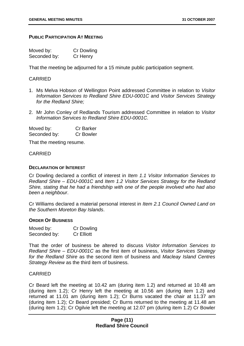#### **PUBLIC PARTICIPATION AT MEETING**

| Moved by:    | <b>Cr Dowling</b> |
|--------------|-------------------|
| Seconded by: | Cr Henry          |

That the meeting be adjourned for a 15 minute public participation segment.

#### CARRIED

- 1. Ms Melva Hobson of Wellington Point addressed Committee in relation to *Visitor Information Services to Redland Shire EDU-0001C* and *Visitor Services Strategy for the Redland Shire;*
- 2. Mr John Conley of Redlands Tourism addressed Committee in relation to *Visitor Information Services to Redland Shire EDU-0001C.*

Moved by: Cr Barker Seconded by: Cr Bowler

That the meeting resume.

#### CARRIED

#### **DECLARATION OF INTEREST**

Cr Dowling declared a conflict of interest in *Item 1.1 Visitor Information Services to Redland Shire – EDU-0001C* and *Item 1.2 Visitor Services Strategy for the Redland Shire, stating that he had a friendship with one of the people involved who had also been a neighbour*.

Cr Williams declared a material personal interest in *Item 2.1 Council Owned Land on the Southern Moreton Bay Islands*.

#### **ORDER OF BUSINESS**

| Moved by:    | <b>Cr Dowling</b> |
|--------------|-------------------|
| Seconded by: | <b>Cr Elliott</b> |

That the order of business be altered to discuss *Visitor Information Services to Redland Shire – EDU-0001C* as the first item of business, *Visitor Services Strategy for the Redland Shire* as the second item of business and *Macleay Island Centres Strategy Review* as the third item of business.

#### CARRIED

Cr Beard left the meeting at 10.42 am (during item 1.2) and returned at 10.48 am (during item 1.2); Cr Henry left the meeting at 10.56 am (during item 1.2) and returned at 11.01 am (during item 1.2); Cr Burns vacated the chair at 11.37 am (during item 1.2); Cr Beard presided; Cr Burns returned to the meeting at 11.48 am (during item 1.2); Cr Ogilvie left the meeting at 12.07 pm (during item 1.2) Cr Bowler

#### **Page (11) Redland Shire Council**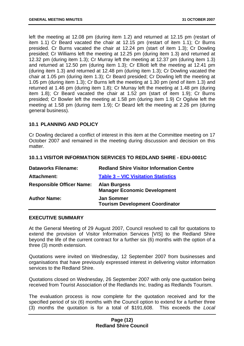left the meeting at 12.08 pm (during item 1.2) and returned at 12.15 pm (restart of item 1.1) Cr Beard vacated the chair at 12.15 pm (restart of item 1.1); Cr Burns presided. Cr Burns vacated the chair at 12.24 pm (start of item 1.3); Cr Dowling presided; Cr Williams left the meeting at 12.25 pm (during item 1.3) and returned at 12.32 pm (during item 1.3); Cr Murray left the meeting at 12.37 pm (during item 1.3) and returned at 12.50 pm (during item 1.3); Cr Elliott left the meeting at 12.41 pm (during item 1.3) and returned at 12.48 pm (during item 1.3); Cr Dowling vacated the chair at 1.05 pm (during item 1.3); Cr Beard presided; Cr Dowling left the meeting at 1.05 pm (during item 1.3); Cr Burns left the meeting at 1.30 pm (end of item 1.3) and returned at 1.46 pm (during item 1.8); Cr Murray left the meeting at 1.48 pm (during item 1.8); Cr Beard vacated the chair at 1.52 pm (start of item 1.9); Cr Burns presided; Cr Bowler left the meeting at 1.58 pm (during item 1.9) Cr Ogilvie left the meeting at 1.58 pm (during item 1.9); Cr Beard left the meeting at 2.26 pm (during general business).

#### **10.1 PLANNING AND POLICY**

Cr Dowling declared a conflict of interest in this item at the Committee meeting on 17 October 2007 and remained in the meeting during discussion and decision on this matter.

#### **10.1.1 VISITOR INFORMATION SERVICES TO REDLAND SHIRE - EDU-0001C**

| <b>Redland Shire Visitor Information Centre</b>             |
|-------------------------------------------------------------|
| <b>Table 3 – VIC Visitation Statistics</b>                  |
| <b>Alan Burgess</b><br><b>Manager Economic Development</b>  |
| <b>Jan Sommer</b><br><b>Tourism Development Coordinator</b> |
|                                                             |

#### **EXECUTIVE SUMMARY**

At the General Meeting of 29 August 2007, Council resolved to call for quotations to extend the provision of Visitor Information Services [VIS] to the Redland Shire beyond the life of the current contract for a further six (6) months with the option of a three (3) month extension.

Quotations were invited on Wednesday, 12 September 2007 from businesses and organisations that have previously expressed interest in delivering visitor information services to the Redland Shire.

Quotations closed on Wednesday, 26 September 2007 with only one quotation being received from Tourist Association of the Redlands Inc. trading as Redlands Tourism.

The evaluation process is now complete for the quotation received and for the specified period of six (6) months with the Council option to extend for a further three (3) months the quotation is for a total of \$191,608. This exceeds the *Local*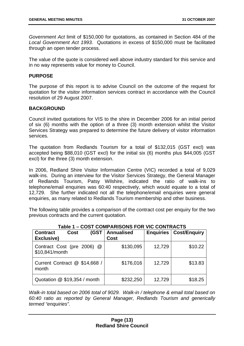*Government Act* limit of \$150,000 for quotations, as contained in Section 484 of the *Local Government Act 1993*. Quotations in excess of \$150,000 must be facilitated through an open tender process.

The value of the quote is considered well above industry standard for this service and in no way represents value for money to Council.

#### **PURPOSE**

The purpose of this report is to advise Council on the outcome of the request for quotation for the visitor information services contract in accordance with the Council resolution of 29 August 2007.

#### **BACKGROUND**

Council invited quotations for VIS to the shire in December 2006 for an initial period of six (6) months with the option of a three (3) month extension whilst the Visitor Services Strategy was prepared to determine the future delivery of visitor information services.

The quotation from Redlands Tourism for a total of \$132,015 (GST excl) was accepted being \$88,010 (GST excl) for the initial six (6) months plus \$44,005 (GST excl) for the three (3) month extension.

In 2006, Redland Shire Visitor Information Centre (VIC) recorded a total of 9,029 walk-ins. During an interview for the Visitor Services Strategy, the General Manager of Redlands Tourism, Patsy Wilshire, indicated the ratio of walk-ins to telephone/email enquiries was 60:40 respectively, which would equate to a total of 12,729. She further indicated not all the telephone/email enquiries were general enquiries, as many related to Redlands Tourism membership and other business.

The following table provides a comparison of the contract cost per enquiry for the two previous contracts and the current quotation.

| Table 1 – COST COMPARISONS FOR VIC CONTRACTS                |                           |                  |                     |
|-------------------------------------------------------------|---------------------------|------------------|---------------------|
| (GST<br><b>Contract</b><br><b>Cost</b><br><b>Exclusive)</b> | <b>Annualised</b><br>Cost | <b>Enquiries</b> | <b>Cost/Enguiry</b> |
| Contract Cost (pre 2006) @<br>\$10,841/month                | \$130,095                 | 12,729           | \$10.22             |
| Current Contract @ \$14,668 /<br>month                      | \$176,016                 | 12,729           | \$13.83             |
| Quotation @ \$19,354 / month                                | \$232,250                 | 12,729           | \$18.25             |

#### **Table 1 – COST COMPARISONS FOR VIC CONTRACTS**

*Walk-in total based on 2006 total of 9029. Walk-in / telephone & email total based on 60:40 ratio as reported by General Manager, Redlands Tourism and generically termed "enquiries".*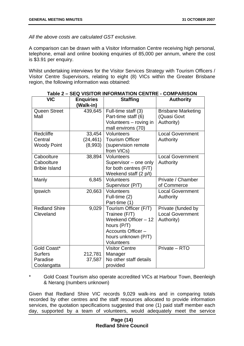*All the above costs are calculated GST exclusive.*

A comparison can be drawn with a Visitor Information Centre receiving high personal, telephone, email and online booking enquiries of 85,000 per annum, where the cost is \$3.91 per enquiry.

Whilst undertaking interviews for the Visitor Services Strategy with Tourism Officers / Visitor Centre Supervisors, relating to eight (8) VICs within the Greater Brisbane region, the following information was obtained:

| <b>VIC</b>                                               | <b>Enquiries</b><br>(Walk-in)  | <b>Staffing</b>                                                                                                                                 | <b>Authority</b>                                            |
|----------------------------------------------------------|--------------------------------|-------------------------------------------------------------------------------------------------------------------------------------------------|-------------------------------------------------------------|
| <b>Queen Street</b><br>Mall                              | 439,645                        | Full-time staff (3)<br>Part-time staff (6)<br>Volunteers - roving in<br>mall environs (70)                                                      | <b>Brisbane Marketing</b><br>(Quasi Govt<br>Authority)      |
| Redcliffe<br>Central<br><b>Woody Point</b>               | 33,454<br>(24, 461)<br>(8,993) | <b>Volunteers</b><br><b>Tourism Officer</b><br>(supervision remote<br>from VICs)                                                                | <b>Local Government</b><br>Authority                        |
| Caboolture<br>Caboolture<br><b>Bribie Island</b>         | 38,894                         | Volunteers<br>Supervisor - one only<br>for both centres (F/T)<br>Weekend staff (2 p/t)                                                          | <b>Local Government</b><br>Authority                        |
| Manly                                                    | 6,845                          | Volunteers<br>Supervisor (P/T)                                                                                                                  | Private / Chamber<br>of Commerce                            |
| Ipswich                                                  | 20,663                         | Volunteers<br>Full-time (2)<br>Part-time (1)                                                                                                    | <b>Local Government</b><br>Authority                        |
| <b>Redland Shire</b><br>Cleveland                        | 9,029                          | Tourism Officer (F/T)<br>Trainee (F/T)<br>Weekend Officer - 12<br>hours (P/T)<br>Accounts Officer -<br>hours unknown (P/T)<br><b>Volunteers</b> | Private (funded by<br><b>Local Government</b><br>Authority) |
| Gold Coast*<br><b>Surfers</b><br>Paradise<br>Coolangatta | 212,781<br>37,587              | <b>Visitor Centre</b><br>Manager<br>No other staff details<br>provided                                                                          | Private - RTO                                               |

Gold Coast Tourism also operate accredited VICs at Harbour Town, Beenleigh & Nerang (numbers unknown)

Given that Redland Shire VIC records 9,029 walk-ins and in comparing totals recorded by other centres and the staff resources allocated to provide information services, the quotation specifications suggested that one (1) paid staff member each day, supported by a team of volunteers, would adequately meet the service

#### **Page (14) Redland Shire Council**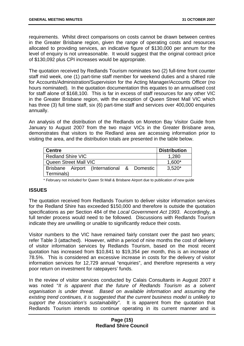requirements. Whilst direct comparisons on costs cannot be drawn between centres in the Greater Brisbane region, given the range of operating costs and resources allocated to providing services, an indicative figure of \$130,000 per annum for the level of enquiry is not unreasonable. It would suggest that the original contract price of \$130,092 plus CPI increases would be appropriate.

The quotation received by Redlands Tourism nominates two (2) full-time front counter staff mid week, one (1) part-time staff member for weekend duties and a shared role for Accounts/Administration/Supervision for the Acting Manager/Accounts Officer (no hours nominated). In the quotation documentation this equates to an annualised cost for staff alone of \$168,100. This is far in excess of staff resources for any other VIC in the Greater Brisbane region, with the exception of Queen Street Mall VIC which has three (3) full time staff, six (6) part-time staff and services over 400,000 enquiries annually.

An analysis of the distribution of the Redlands on Moreton Bay Visitor Guide from January to August 2007 from the two major VICs in the Greater Brisbane area, demonstrates that visitors to the Redland area are accessing information prior to visiting the area, and the distribution totals are presented in the table below.

| <b>Centre</b>            |                                            |  | <b>Distribution</b> |
|--------------------------|--------------------------------------------|--|---------------------|
| <b>Redland Shire VIC</b> |                                            |  | 1,280               |
| Queen Street Mall VIC    |                                            |  | 1,600*              |
|                          | Brisbane Airport (International & Domestic |  | $3,520*$            |
| Terminals)               |                                            |  |                     |

\* February not included for Queen St Mall & Brisbane Airport due to publication of new guide

#### **ISSUES**

The quotation received from Redlands Tourism to deliver visitor information services for the Redland Shire has exceeded \$150,000 and therefore is outside the quotation specifications as per Section 484 of the *Local Government Act 1993*. Accordingly, a full tender process would need to be followed. Discussions with Redlands Tourism indicate they are unwilling or unable to significantly reduce their costs.

Visitor numbers to the VIC have remained fairly constant over the past two years; refer Table 3 (attached). However, within a period of nine months the cost of delivery of visitor information services by Redlands Tourism, based on the most recent quotation has increased from \$10,841 to \$19,354 per month, this is an increase of 78.5%. This is considered an excessive increase in costs for the delivery of visitor information services for 12,729 annual "enquiries", and therefore represents a very poor return on investment for ratepayers' funds.

In the review of visitor services conducted by Calais Consultants in August 2007 it was noted "*It is apparent that the future of Redlands Tourism as a solvent organisation is under threat. Based on available information and assuming the existing trend continues, it is suggested that the current business model is unlikely to support the Association's sustainability"*. It is apparent from the quotation that Redlands Tourism intends to continue operating in its current manner and is

#### **Page (15) Redland Shire Council**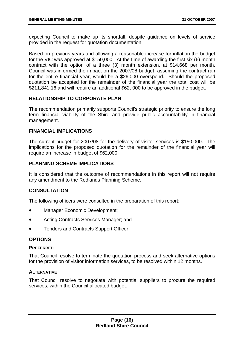expecting Council to make up its shortfall, despite guidance on levels of service provided in the request for quotation documentation.

Based on previous years and allowing a reasonable increase for inflation the budget for the VIC was approved at \$150,000. At the time of awarding the first six (6) month contract with the option of a three (3) month extension, at \$14,668 per month, Council was informed the impact on the 2007/08 budget, assuming the contract ran for the entire financial year, would be a \$26,000 overspend. Should the proposed quotation be accepted for the remainder of the financial year the total cost will be \$211,841.16 and will require an additional \$62, 000 to be approved in the budget.

#### **RELATIONSHIP TO CORPORATE PLAN**

The recommendation primarily supports Council's strategic priority to ensure the long term financial viability of the Shire and provide public accountability in financial management.

#### **FINANCIAL IMPLICATIONS**

The current budget for 2007/08 for the delivery of visitor services is \$150,000. The implications for the proposed quotation for the remainder of the financial year will require an increase in budget of \$62,000.

#### **PLANNING SCHEME IMPLICATIONS**

It is considered that the outcome of recommendations in this report will not require any amendment to the Redlands Planning Scheme.

#### **CONSULTATION**

The following officers were consulted in the preparation of this report:

- Manager Economic Development;
- Acting Contracts Services Manager; and
- Tenders and Contracts Support Officer.

#### **OPTIONS**

#### **PREFERRED**

That Council resolve to terminate the quotation process and seek alternative options for the provision of visitor information services, to be resolved within 12 months.

#### **ALTERNATIVE**

That Council resolve to negotiate with potential suppliers to procure the required services, within the Council allocated budget.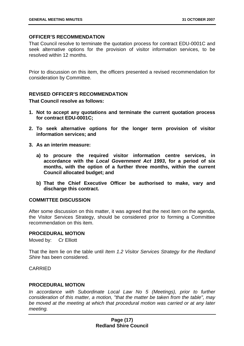#### **OFFICER'S RECOMMENDATION**

That Council resolve to terminate the quotation process for contract EDU-0001C and seek alternative options for the provision of visitor information services, to be resolved within 12 months.

Prior to discussion on this item, the officers presented a revised recommendation for consideration by Committee.

#### **REVISED OFFICER'S RECOMMENDATION**

#### **That Council resolve as follows:**

- **1. Not to accept any quotations and terminate the current quotation process for contract EDU-0001C;**
- **2. To seek alternative options for the longer term provision of visitor information services; and**
- **3. As an interim measure:** 
	- **a) to procure the required visitor information centre services, in accordance with the** *Local Government Act 1993***, for a period of six months, with the option of a further three months, within the current Council allocated budget; and**
	- **b) That the Chief Executive Officer be authorised to make, vary and discharge this contract.**

#### **COMMITTEE DISCUSSION**

After some discussion on this matter, it was agreed that the next item on the agenda, the Visitor Services Strategy, should be considered prior to forming a Committee recommendation on this item.

#### **PROCEDURAL MOTION**

Moved by: Cr Elliott

That the item lie on the table until *Item 1.2 Visitor Services Strategy for the Redland Shire* has been considered.

CARRIED

#### **PROCEDURAL MOTION**

In accordance with Subordinate Local Law No 5 (Meetings), prior to further *consideration of this matter, a motion, "that the matter be taken from the table", may be moved at the meeting at which that procedural motion was carried or at any later meeting.*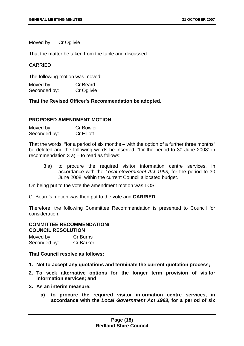Moved by: Cr Ogilvie

That the matter be taken from the table and discussed.

#### CARRIED

The following motion was moved:

Moved by: Cr Beard Seconded by: Cr Ogilvie

**That the Revised Officer's Recommendation be adopted.** 

#### **PROPOSED AMENDMENT MOTION**

| Moved by:    | <b>Cr Bowler</b>  |
|--------------|-------------------|
| Seconded by: | <b>Cr Elliott</b> |

That the words, "for a period of six months – with the option of a further three months" be deleted and the following words be inserted, "for the period to 30 June 2008" in recommendation 3 a) – to read as follows:

3 a) to procure the required visitor information centre services, in accordance with the *Local Government Act 1993,* for the period to 30 June 2008, within the current Council allocated budget.

On being put to the vote the amendment motion was LOST.

Cr Beard's motion was then put to the vote and **CARRIED**.

Therefore, the following Committee Recommendation is presented to Council for consideration:

#### **COMMITTEE RECOMMENDATION/ COUNCIL RESOLUTION**

Moved by: Cr Burns Seconded by: Cr Barker

**That Council resolve as follows:** 

- **1. Not to accept any quotations and terminate the current quotation process;**
- **2. To seek alternative options for the longer term provision of visitor information services; and**
- **3. As an interim measure:** 
	- **a) to procure the required visitor information centre services, in accordance with the** *Local Government Act 1993***, for a period of six**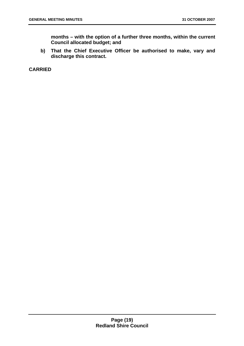**months – with the option of a further three months, within the current Council allocated budget; and** 

**b) That the Chief Executive Officer be authorised to make, vary and discharge this contract.** 

**CARRIED**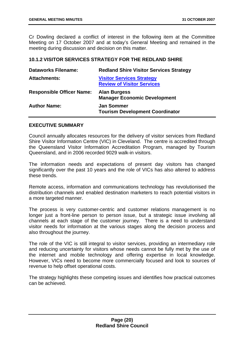Cr Dowling declared a conflict of interest in the following item at the Committee Meeting on 17 October 2007 and at today's General Meeting and remained in the meeting during discussion and decision on this matter.

#### **10.1.2 VISITOR SERVICES STRATEGY FOR THE REDLAND SHIRE**

| <b>Dataworks Filename:</b>       | <b>Redland Shire Visitor Services Strategy</b>                        |
|----------------------------------|-----------------------------------------------------------------------|
| <b>Attachments:</b>              | <b>Visitor Services Strategy</b><br><b>Review of Visitor Services</b> |
| <b>Responsible Officer Name:</b> | <b>Alan Burgess</b><br><b>Manager Economic Development</b>            |
| <b>Author Name:</b>              | <b>Jan Sommer</b><br><b>Tourism Development Coordinator</b>           |

#### **EXECUTIVE SUMMARY**

Council annually allocates resources for the delivery of visitor services from Redland Shire Visitor Information Centre (VIC) in Cleveland. The centre is accredited through the Queensland Visitor Information Accreditation Program, managed by Tourism Queensland, and in 2006 recorded 9029 walk-in visitors.

The information needs and expectations of present day visitors has changed significantly over the past 10 years and the role of VICs has also altered to address these trends.

Remote access, information and communications technology has revolutionised the distribution channels and enabled destination marketers to reach potential visitors in a more targeted manner.

The process is very customer-centric and customer relations management is no longer just a front-line person to person issue, but a strategic issue involving all channels at each stage of the customer journey. There is a need to understand visitor needs for information at the various stages along the decision process and also throughout the journey.

The role of the VIC is still integral to visitor services, providing an intermediary role and reducing uncertainty for visitors whose needs cannot be fully met by the use of the internet and mobile technology and offering expertise in local knowledge. However, VICs need to become more commercially focused and look to sources of revenue to help offset operational costs.

The strategy highlights these competing issues and identifies how practical outcomes can be achieved.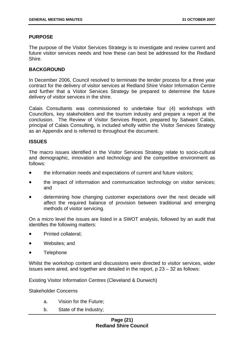#### **PURPOSE**

The purpose of the Visitor Services Strategy is to investigate and review current and future visitor services needs and how these can best be addressed for the Redland Shire.

#### **BACKGROUND**

In December 2006, Council resolved to terminate the tender process for a three year contract for the delivery of visitor services at Redland Shire Visitor Information Centre and further that a Visitor Services Strategy be prepared to determine the future delivery of visitor services in the shire.

Calais Consultants was commissioned to undertake four (4) workshops with Councillors, key stakeholders and the tourism industry and prepare a report at the conclusion. The Review of Visitor Services Report, prepared by Satwant Calais, principal of Calais Consulting, is included wholly within the Visitor Services Strategy as an Appendix and is referred to throughout the document.

#### **ISSUES**

The macro issues identified in the Visitor Services Strategy relate to socio-cultural and demographic, innovation and technology and the competitive environment as follows:

- the information needs and expectations of current and future visitors;
- the impact of information and communication technology on visitor services; and
- determining how changing customer expectations over the next decade will affect the required balance of provision between traditional and emerging methods of visitor servicing.

On a micro level the issues are listed in a SWOT analysis, followed by an audit that identifies the following matters:

- Printed collateral;
- Websites; and
- Telephone

Whilst the workshop content and discussions were directed to visitor services, wider issues were aired, and together are detailed in the report,  $p$   $23 - 32$  as follows:

Existing Visitor Information Centres (Cleveland & Dunwich)

Stakeholder Concerns

- a. Vision for the Future;
- b. State of the Industry;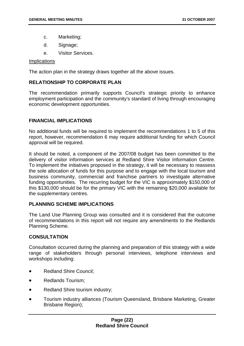- c. Marketing;
- d. Signage:
- e. Visitor Services.

#### **Implications**

The action plan in the strategy draws together all the above issues.

#### **RELATIONSHIP TO CORPORATE PLAN**

The recommendation primarily supports Council's strategic priority to enhance employment participation and the community's standard of living through encouraging economic development opportunities.

#### **FINANCIAL IMPLICATIONS**

No additional funds will be required to implement the recommendations 1 to 5 of this report, however, recommendation 6 may require additional funding for which Council approval will be required.

It should be noted, a component of the 2007/08 budget has been committed to the delivery of visitor information services at Redland Shire Visitor Information Centre. To implement the initiatives proposed in the strategy, it will be necessary to reassess the sole allocation of funds for this purpose and to engage with the local tourism and business community, commercial and franchise partners to investigate alternative funding opportunities. The recurring budget for the VIC is approximately \$150,000 of this \$130,000 should be for the primary VIC with the remaining \$20,000 available for the supplementary centres.

#### **PLANNING SCHEME IMPLICATIONS**

The Land Use Planning Group was consulted and it is considered that the outcome of recommendations in this report will not require any amendments to the Redlands Planning Scheme.

#### **CONSULTATION**

Consultation occurred during the planning and preparation of this strategy with a wide range of stakeholders through personal interviews, telephone interviews and workshops including:

- Redland Shire Council;
- Redlands Tourism;
- Redland Shire tourism industry;
- Tourism industry alliances (Tourism Queensland, Brisbane Marketing, Greater Brisbane Region);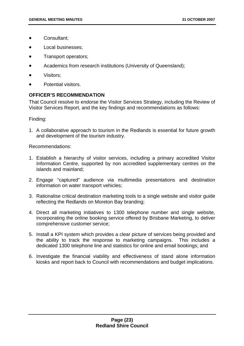- Consultant;
- Local businesses;
- Transport operators;
- Academics from research institutions (University of Queensland);
- Visitors;
- Potential visitors.

#### **OFFICER'S RECOMMENDATION**

That Council resolve to endorse the Visitor Services Strategy, including the Review of Visitor Services Report, and the key findings and recommendations as follows:

Finding:

1. A collaborative approach to tourism in the Redlands is essential for future growth and development of the tourism industry.

Recommendations:

- 1. Establish a hierarchy of visitor services, including a primary accredited Visitor Information Centre, supported by non accredited supplementary centres on the islands and mainland;
- 2. Engage "captured" audience via multimedia presentations and destination information on water transport vehicles;
- 3. Rationalise critical destination marketing tools to a single website and visitor guide reflecting the Redlands on Moreton Bay branding;
- 4. Direct all marketing initiatives to 1300 telephone number and single website, incorporating the online booking service offered by Brisbane Marketing, to deliver comprehensive customer service;
- 5. Install a KPI system which provides a clear picture of services being provided and the ability to track the response to marketing campaigns. This includes a dedicated 1300 telephone line and statistics for online and email bookings; and
- 6. Investigate the financial viability and effectiveness of stand alone information kiosks and report back to Council with recommendations and budget implications.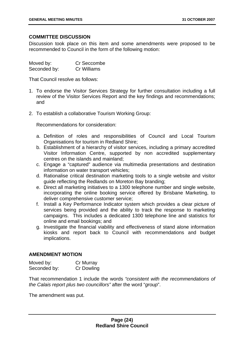#### **COMMITTEE DISCUSSION**

Discussion took place on this item and some amendments were proposed to be recommended to Council in the form of the following motion:

| Moved by:    | Cr Seccombe |
|--------------|-------------|
| Seconded by: | Cr Williams |

That Council resolve as follows:

- 1. To endorse the Visitor Services Strategy for further consultation including a full review of the Visitor Services Report and the key findings and recommendations; and
- 2. To establish a collaborative Tourism Working Group:

Recommendations for consideration:

- a. Definition of roles and responsibilities of Council and Local Tourism Organisations for tourism in Redland Shire;
- b. Establishment of a hierarchy of visitor services, including a primary accredited Visitor Information Centre, supported by non accredited supplementary centres on the islands and mainland;
- c. Engage a "captured" audience via multimedia presentations and destination information on water transport vehicles;
- d. Rationalise critical destination marketing tools to a single website and visitor guide reflecting the Redlands on Moreton Bay branding;
- e. Direct all marketing initiatives to a 1300 telephone number and single website, incorporating the online booking service offered by Brisbane Marketing, to deliver comprehensive customer service;
- f. Install a Key Performance Indicator system which provides a clear picture of services being provided and the ability to track the response to marketing campaigns. This includes a dedicated 1300 telephone line and statistics for online and email bookings; and
- g. Investigate the financial viability and effectiveness of stand alone information kiosks and report back to Council with recommendations and budget implications.

#### **AMENDMENT MOTION**

| Moved by:    | Cr Murray  |
|--------------|------------|
| Seconded by: | Cr Dowling |

That recommendation 1 include the words *"consistent with the recommendations of the Calais report plus two councillors"* after the word "*group*".

The amendment was put.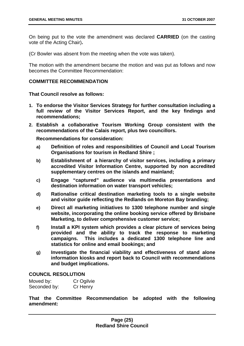On being put to the vote the amendment was declared **CARRIED** (on the casting vote of the Acting Chair)**.**

(Cr Bowler was absent from the meeting when the vote was taken).

The motion with the amendment became the motion and was put as follows and now becomes the Committee Recommendation:

#### **COMMITTEE RECOMMENDATION**

#### **That Council resolve as follows:**

- **1. To endorse the Visitor Services Strategy for further consultation including a full review of the Visitor Services Report, and the key findings and recommendations;**
- **2. Establish a collaborative Tourism Working Group consistent with the recommendations of the Calais report, plus two councillors.**

**Recommendations for consideration:** 

- **a) Definition of roles and responsibilities of Council and Local Tourism Organisations for tourism in Redland Shire ;**
- **b) Establishment of a hierarchy of visitor services, including a primary accredited Visitor Information Centre, supported by non accredited supplementary centres on the islands and mainland;**
- **c) Engage "captured" audience via multimedia presentations and destination information on water transport vehicles;**
- **d) Rationalise critical destination marketing tools to a single website and visitor guide reflecting the Redlands on Moreton Bay branding;**
- **e) Direct all marketing initiatives to 1300 telephone number and single website, incorporating the online booking service offered by Brisbane Marketing, to deliver comprehensive customer service;**
- **f) Install a KPI system which provides a clear picture of services being provided and the ability to track the response to marketing campaigns. This includes a dedicated 1300 telephone line and statistics for online and email bookings; and**
- **g) Investigate the financial viability and effectiveness of stand alone information kiosks and report back to Council with recommendations and budget implications.**

#### **COUNCIL RESOLUTION**

| Moved by:    | Cr Ogilvie |
|--------------|------------|
| Seconded by: | Cr Henry   |

**That the Committee Recommendation be adopted with the following amendment:**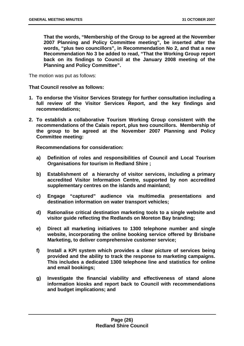**That the words, "Membership of the Group to be agreed at the November 2007 Planning and Policy Committee meeting", be inserted after the words, "plus two councillors", in Recommendation No 2, and that a new Recommendation No 3 be added to read, "That the Working Group report back on its findings to Council at the January 2008 meeting of the Planning and Policy Committee".** 

The motion was put as follows:

**That Council resolve as follows:** 

- **1. To endorse the Visitor Services Strategy for further consultation including a full review of the Visitor Services Report, and the key findings and recommendations;**
- **2. To establish a collaborative Tourism Working Group consistent with the recommendations of the Calais report, plus two councillors. Membership of the group to be agreed at the November 2007 Planning and Policy Committee meeting:**

**Recommendations for consideration:** 

- **a) Definition of roles and responsibilities of Council and Local Tourism Organisations for tourism in Redland Shire ;**
- **b) Establishment of a hierarchy of visitor services, including a primary accredited Visitor Information Centre, supported by non accredited supplementary centres on the islands and mainland;**
- **c) Engage "captured" audience via multimedia presentations and destination information on water transport vehicles;**
- **d) Rationalise critical destination marketing tools to a single website and visitor guide reflecting the Redlands on Moreton Bay branding;**
- **e) Direct all marketing initiatives to 1300 telephone number and single website, incorporating the online booking service offered by Brisbane Marketing, to deliver comprehensive customer service;**
- **f) Install a KPI system which provides a clear picture of services being provided and the ability to track the response to marketing campaigns. This includes a dedicated 1300 telephone line and statistics for online and email bookings;**
- **g) Investigate the financial viability and effectiveness of stand alone information kiosks and report back to Council with recommendations and budget implications; and**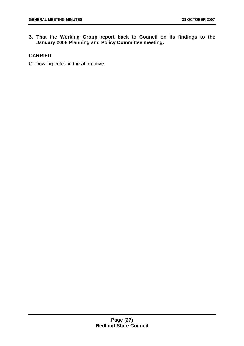**3. That the Working Group report back to Council on its findings to the January 2008 Planning and Policy Committee meeting.** 

#### **CARRIED**

Cr Dowling voted in the affirmative.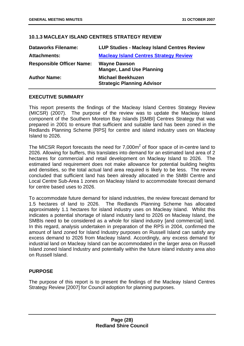#### **10.1.3 MACLEAY ISLAND CENTRES STRATEGY REVIEW**

| <b>Dataworks Filename:</b>       | <b>LUP Studies - Macleay Island Centres Review</b>            |
|----------------------------------|---------------------------------------------------------------|
| <b>Attachments:</b>              | <b>Macleay Island Centres Strategy Review</b>                 |
| <b>Responsible Officer Name:</b> | <b>Wayne Dawson</b><br><b>Manger, Land Use Planning</b>       |
| <b>Author Name:</b>              | <b>Michael Beekhuzen</b><br><b>Strategic Planning Advisor</b> |

#### **EXECUTIVE SUMMARY**

This report presents the findings of the Macleay Island Centres Strategy Review (MICSR) (2007). The purpose of the review was to update the Macleay Island component of the Southern Moreton Bay Islands [SMBI] Centres Strategy that was prepared in 2001 to ensure that sufficient and suitable land has been zoned in the Redlands Planning Scheme [RPS] for centre and island industry uses on Macleay Island to 2026.

The MICSR Report forecasts the need for 7,000 $m<sup>2</sup>$  of floor space of in-centre land to 2026. Allowing for buffers, this translates into demand for an estimated land area of 2 hectares for commercial and retail development on Macleay Island to 2026. The estimated land requirement does not make allowance for potential building heights and densities, so the total actual land area required is likely to be less. The review concluded that sufficient land has been already allocated in the SMBI Centre and Local Centre Sub-Area 1 zones on Macleay Island to accommodate forecast demand for centre based uses to 2026.

To accommodate future demand for island industries, the review forecast demand for 1.5 hectares of land to 2026. The Redlands Planning Scheme has allocated approximately 1.1 hectares for island industry uses on Macleay Island. Whilst this indicates a potential shortage of island industry land to 2026 on Macleay Island, the SMBIs need to be considered as a whole for island industry [and commercial] land. In this regard, analysis undertaken in preparation of the RPS in 2004, confirmed the amount of land zoned for Island Industry purposes on Russell Island can satisfy any excess demand to 2026 from Macleay Island. Accordingly, any excess demand for industrial land on Macleay Island can be accommodated in the larger area on Russell Island zoned Island Industry and potentially within the future island industry area also on Russell Island.

#### **PURPOSE**

The purpose of this report is to present the findings of the Macleay Island Centres Strategy Review [2007] for Council adoption for planning purposes.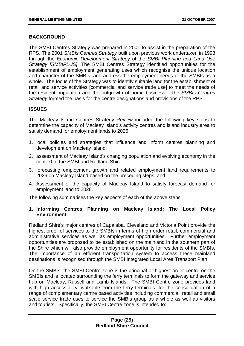#### **BACKGROUND**

The SMBI Centres Strategy was prepared in 2001 to assist in the preparation of the RPS. The 2001 *SMBIs Centres Strategy* built upon previous work undertaken in 1998 through the *Economic Development Strategy* of the *SMBI Planning and Land Use Strategy [SMBIPLUS]*. The SMBI Centres Strategy identified opportunities for the establishment of employment generating uses which recognise the unique location and character of the SMBIs, and address the employment needs of the SMBIs as a whole. The focus of the Strategy was to identify suitable land for the establishment of retail and service activities [commercial and service trade use] to meet the needs of the resident population and the outgrowth of home business. The *SMBIs Centres Strategy* formed the basis for the centre designations and provisions of the RPS.

#### **ISSUES**

The Macleay Island Centres Strategy Review included the following key steps to determine the capacity of Macleay Island's activity centres and island industry area to satisfy demand for employment lands to 2026:

- 1. local policies and strategies that influence and inform centres planning and development on Macleay Island;
- 2. assessment of Macleay Island's changing population and evolving economy in the context of the SMBI and Redland Shire;
- 3. forecasting employment growth and related employment land requirements to 2026 on Macleay Island based on the preceding steps; and
- 4. Assessment of the capacity of Macleay Island to satisfy forecast demand for employment land to 2026.

The following summarises the key aspects of each of the above steps.

#### **1. Informing Centres Planning on Macleay Island: The Local Policy Environment**

Redland Shire's major centres of Capalaba, Cleveland and Victoria Point provide the highest order of services to the SMBIs in terms of high order retail, commercial and administrative services as well as employment opportunities. Further employment opportunities are proposed to be established on the mainland in the southern part of the Shire which will also provide employment opportunity for residents of the SMBIs. The importance of an efficient transportation system to access these mainland destinations is recognised through the SMBI Integrated Local Area Transport Plan.

On the SMBIs, the SMBI Centre zone is the principal or highest order centre on the SMBIs and is located surrounding the ferry terminals to form the gateway and service hub on Macleay, Russell and Lamb Islands. The SMBI Centre zone provides land with high accessibility [walkable from the ferry terminals] for the consolidation of a range of complementary centre based activities including commercial, retail and small scale service trade uses to service the SMBIs group as a whole as well as visitors and tourists. Specifically, the SMBI Centre zone is intended to: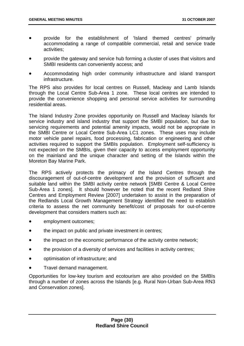- provide for the establishment of 'Island themed centres' primarily accommodating a range of compatible commercial, retail and service trade activities;
- provide the gateway and service hub forming a cluster of uses that visitors and SMBI residents can conveniently access; and
- Accommodating high order community infrastructure and island transport infrastructure.

The RPS also provides for local centres on Russell, Macleay and Lamb Islands through the Local Centre Sub-Area 1 zone. These local centres are intended to provide the convenience shopping and personal service activities for surrounding residential areas.

The Island Industry Zone provides opportunity on Russell and Macleay Islands for service industry and island industry that support the SMBI population, but due to servicing requirements and potential amenity impacts, would not be appropriate in the SMBI Centre or Local Centre Sub-Area LC1 zones. These uses may include motor vehicle panel repairs, food processing, fabrication or engineering and other activities required to support the SMBIs population. Employment self-sufficiency is not expected on the SMBIs, given their capacity to access employment opportunity on the mainland and the unique character and setting of the Islands within the Moreton Bay Marine Park.

The RPS actively protects the primacy of the Island Centres through the discouragement of out-of-centre development and the provision of sufficient and suitable land within the SMBI activity centre network [SMBI Centre & Local Centre Sub-Area 1 zones]. It should however be noted that the recent Redland Shire Centres and Employment Review [2007] undertaken to assist in the preparation of the Redlands Local Growth Management Strategy identified the need to establish criteria to assess the net community benefit/cost of proposals for out-of-centre development that considers matters such as:

- employment outcomes;
- the impact on public and private investment in centres;
- the impact on the economic performance of the activity centre network;
- the provision of a diversity of services and facilities in activity centres;
- optimisation of infrastructure; and
- Travel demand management.

Opportunities for low-key tourism and ecotourism are also provided on the SMBIs through a number of zones across the Islands [e.g. Rural Non-Urban Sub-Area RN3 and Conservation zones].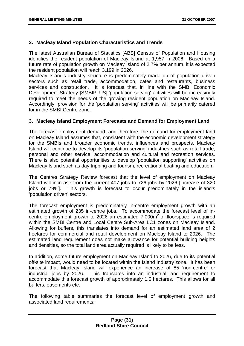#### **2. Macleay Island Population Characteristics and Trends**

The latest Australian Bureau of Statistics [ABS] Census of Population and Housing identifies the resident population of Macleay Island at 1,957 in 2006. Based on a future rate of population growth on Macleay Island of 2.7% per annum, it is expected the resident population will reach 3,199 in 2026.

Macleay Island's industry structure is predominately made up of population driven sectors such as retail trade, accommodation, cafes and restaurants, business services and construction. It is forecast that, in line with the SMBI Economic Development Strategy [SMBIPLUS],'population serving' activities will be increasingly required to meet the needs of the growing resident population on Macleay Island. Accordingly, provision for the 'population serving' activities will be primarily catered for in the SMBI Centre zone.

#### **3. Macleay Island Employment Forecasts and Demand for Employment Land**

The forecast employment demand, and therefore, the demand for employment land on Macleay Island assumes that, consistent with the economic development strategy for the SMBIs and broader economic trends, influences and prospects, Macleay Island will continue to develop its 'population serving' industries such as retail trade, personal and other service, accommodation and cultural and recreation services. There is also potential opportunities to develop 'population supporting' activities on Macleay Island such as day tripping and tourism, recreational boating and education.

The Centres Strategy Review forecast that the level of employment on Macleay Island will increase from the current 407 jobs to 726 jobs by 2026 [increase of 320 jobs or 79%]. This growth is forecast to occur predominately in the island's 'population driven' sectors.

The forecast employment is predominately in-centre employment growth with an estimated growth of 235 in-centre jobs. To accommodate the forecast level of incentre employment growth to  $2026$  an estimated  $7,000m^2$  of floorspace is required within the SMBI Centre and Local Centre Sub-Area LC1 zones on Macleay Island. Allowing for buffers, this translates into demand for an estimated land area of 2 hectares for commercial and retail development on Macleay Island to 2026. The estimated land requirement does not make allowance for potential building heights and densities, so the total land area actually required is likely to be less.

In addition, some future employment on Macleay Island to 2026, due to its potential off-site impact, would need to be located within the Island Industry zone. It has been forecast that Macleay Island will experience an increase of 85 'non-centre' or industrial jobs by 2026. This translates into an industrial land requirement to accommodate this forecast growth of approximately 1.5 hectares. This allows for all buffers, easements etc.

The following table summaries the forecast level of employment growth and associated land requirements: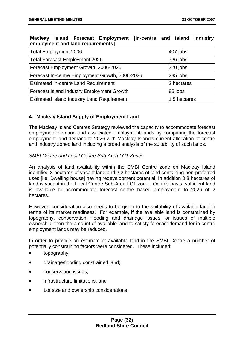| Macleay Island Forecast Employment [in-centre and island<br>employment and land requirements] | industry     |
|-----------------------------------------------------------------------------------------------|--------------|
| <b>Total Employment 2006</b>                                                                  | 407 jobs     |
| <b>Total Forecast Employment 2026</b>                                                         | 726 jobs     |
| Forecast Employment Growth, 2006-2026                                                         | 320 jobs     |
| Forecast In-centre Employment Growth, 2006-2026                                               | 235 jobs     |
| <b>Estimated In-centre Land Requirement</b>                                                   | 2 hectares   |
| Forecast Island Industry Employment Growth                                                    | 85 jobs      |
| <b>Estimated Island Industry Land Requirement</b>                                             | 1.5 hectares |

#### **4. Macleay Island Supply of Employment Land**

The Macleay Island Centres Strategy reviewed the capacity to accommodate forecast employment demand and associated employment lands by comparing the forecast employment land demand to 2026 with Macleay Island's current allocation of centre and industry zoned land including a broad analysis of the suitability of such lands.

#### *SMBI Centre and Local Centre Sub-Area LC1 Zones*

An analysis of land availability within the SMBI Centre zone on Macleay Island identified 3 hectares of vacant land and 2.2 hectares of land containing non-preferred uses [i.e. Dwelling house] having redevelopment potential. In addition 0.8 hectares of land is vacant in the Local Centre Sub-Area LC1 zone. On this basis, sufficient land is available to accommodate forecast centre based employment to 2026 of 2 hectares.

However, consideration also needs to be given to the suitability of available land in terms of its market readiness. For example, if the available land is constrained by topography, conservation, flooding and drainage issues, or issues of multiple ownership, then the amount of available land to satisfy forecast demand for in-centre employment lands may be reduced.

In order to provide an estimate of available land in the SMBI Centre a number of potentially constraining factors were considered. These included:

- topography;
- drainage/flooding constrained land;
- conservation issues;
- infrastructure limitations; and
- Lot size and ownership considerations.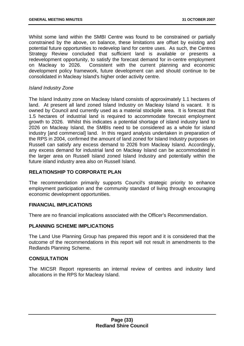Whilst some land within the SMBI Centre was found to be constrained or partially constrained by the above, on balance, these limitations are offset by existing and potential future opportunities to redevelop land for centre uses. As such, the Centres Strategy Review concluded that sufficient land is available or presents a redevelopment opportunity, to satisfy the forecast demand for in-centre employment on Macleay to 2026. Consistent with the current planning and economic development policy framework, future development can and should continue to be consolidated in Macleay Island's higher order activity centre.

#### *Island Industry Zone*

The Island Industry zone on Macleay Island consists of approximately 1.1 hectares of land. At present all land zoned Island Industry on Macleay Island is vacant. It is owned by Council and currently used as a material stockpile area. It is forecast that 1.5 hectares of industrial land is required to accommodate forecast employment growth to 2026. Whilst this indicates a potential shortage of island industry land to 2026 on Macleay Island, the SMBIs need to be considered as a whole for island industry [and commercial] land. In this regard analysis undertaken in preparation of the RPS in 2004, confirmed the amount of land zoned for Island Industry purposes on Russell can satisfy any excess demand to 2026 from Macleay Island. Accordingly, any excess demand for industrial land on Macleay Island can be accommodated in the larger area on Russell Island zoned Island Industry and potentially within the future island industry area also on Russell Island.

#### **RELATIONSHIP TO CORPORATE PLAN**

The recommendation primarily supports Council's strategic priority to enhance employment participation and the community standard of living through encouraging economic development opportunities.

#### **FINANCIAL IMPLICATIONS**

There are no financial implications associated with the Officer's Recommendation.

#### **PLANNING SCHEME IMPLICATIONS**

The Land Use Planning Group has prepared this report and it is considered that the outcome of the recommendations in this report will not result in amendments to the Redlands Planning Scheme.

#### **CONSULTATION**

The MICSR Report represents an internal review of centres and industry land allocations in the RPS for Macleay Island.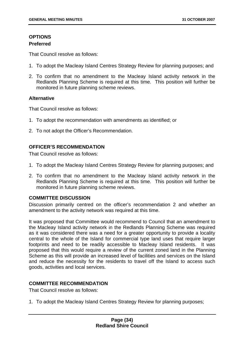#### **OPTIONS Preferred**

That Council resolve as follows:

- 1. To adopt the Macleay Island Centres Strategy Review for planning purposes; and
- 2. To confirm that no amendment to the Macleay Island activity network in the Redlands Planning Scheme is required at this time. This position will further be monitored in future planning scheme reviews.

#### **Alternative**

That Council resolve as follows:

- 1. To adopt the recommendation with amendments as identified; or
- 2. To not adopt the Officer's Recommendation.

#### **OFFICER'S RECOMMENDATION**

That Council resolve as follows:

- 1. To adopt the Macleay Island Centres Strategy Review for planning purposes; and
- 2. To confirm that no amendment to the Macleay Island activity network in the Redlands Planning Scheme is required at this time. This position will further be monitored in future planning scheme reviews.

#### **COMMITTEE DISCUSSION**

Discussion primarily centred on the officer's recommendation 2 and whether an amendment to the activity network was required at this time.

It was proposed that Committee would recommend to Council that an amendment to the Macleay Island activity network in the Redlands Planning Scheme was required as it was considered there was a need for a greater opportunity to provide a locality central to the whole of the Island for commercial type land uses that require larger footprints and need to be readily accessible to Macleay Island residents. It was proposed that this would require a review of the current zoned land in the Planning Scheme as this will provide an increased level of facilities and services on the Island and reduce the necessity for the residents to travel off the Island to access such goods, activities and local services.

#### **COMMITTEE RECOMMENDATION**

That Council resolve as follows:

1. To adopt the Macleay Island Centres Strategy Review for planning purposes;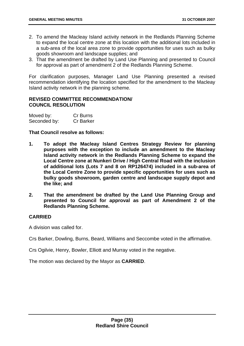- 2. To amend the Macleay Island activity network in the Redlands Planning Scheme to expand the local centre zone at this location with the additional lots included in a sub-area of the local area zone to provide opportunities for uses such as bulky goods showroom and landscape supplies; and
- 3. That the amendment be drafted by Land Use Planning and presented to Council for approval as part of amendment 2 of the Redlands Planning Scheme.

For clarification purposes, Manager Land Use Planning presented a revised recommendation identifying the location specified for the amendment to the Macleay Island activity network in the planning scheme.

#### **REVISED COMMITTEE RECOMMENDATION/ COUNCIL RESOLUTION**

| Moved by:    | Cr Burns         |
|--------------|------------------|
| Seconded by: | <b>Cr Barker</b> |

#### **That Council resolve as follows:**

- **1. To adopt the Macleay Island Centres Strategy Review for planning purposes with the exception to include an amendment to the Macleay Island activity network in the Redlands Planning Scheme to expand the Local Centre zone at Nunkeri Drive / High Central Road with the inclusion of additional lots (Lots 7 and 8 on RP126474) included in a sub-area of the Local Centre Zone to provide specific opportunities for uses such as bulky goods showroom, garden centre and landscape supply depot and the like; and**
- **2. That the amendment be drafted by the Land Use Planning Group and presented to Council for approval as part of Amendment 2 of the Redlands Planning Scheme.**

#### **CARRIED**

A division was called for.

Crs Barker, Dowling, Burns, Beard, Williams and Seccombe voted in the affirmative.

Crs Ogilvie, Henry, Bowler, Elliott and Murray voted in the negative.

The motion was declared by the Mayor as **CARRIED**.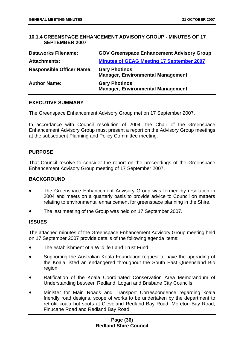## **10.1.4 GREENSPACE ENHANCEMENT ADVISORY GROUP - MINUTES OF 17 SEPTEMBER 2007**

| <b>Dataworks Filename:</b>       | <b>GOV Greenspace Enhancement Advisory Group</b>                 |
|----------------------------------|------------------------------------------------------------------|
| <b>Attachments:</b>              | <b>Minutes of GEAG Meeting 17 September 2007</b>                 |
| <b>Responsible Officer Name:</b> | <b>Gary Photinos</b><br><b>Manager, Environmental Management</b> |
| <b>Author Name:</b>              | <b>Gary Photinos</b><br><b>Manager, Environmental Management</b> |

#### **EXECUTIVE SUMMARY**

The Greenspace Enhancement Advisory Group met on 17 September 2007.

In accordance with Council resolution of 2004, the Chair of the Greenspace Enhancement Advisory Group must present a report on the Advisory Group meetings at the subsequent Planning and Policy Committee meeting.

### **PURPOSE**

That Council resolve to consider the report on the proceedings of the Greenspace Enhancement Advisory Group meeting of 17 September 2007.

### **BACKGROUND**

- The Greenspace Enhancement Advisory Group was formed by resolution in 2004 and meets on a quarterly basis to provide advice to Council on matters relating to environmental enhancement for greenspace planning in the Shire.
- The last meeting of the Group was held on 17 September 2007.

### **ISSUES**

The attached minutes of the Greenspace Enhancement Advisory Group meeting held on 17 September 2007 provide details of the following agenda items:

- The establishment of a Wildlife Land Trust Fund:
- Supporting the Australian Koala Foundation request to have the upgrading of the Koala listed an endangered throughout the South East Queensland Bio region;
- Ratification of the Koala Coordinated Conservation Area Memorandum of Understanding between Redland, Logan and Brisbane City Councils;
- Minister for Main Roads and Transport Correspondence regarding koala friendly road designs, scope of works to be undertaken by the department to retrofit koala hot spots at Cleveland Redland Bay Road, Moreton Bay Road, Finucane Road and Redland Bay Road;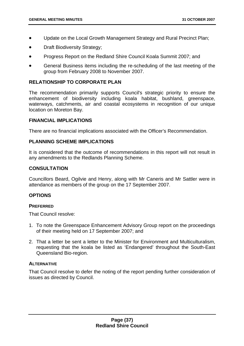- Update on the Local Growth Management Strategy and Rural Precinct Plan;
- **Draft Biodiversity Strategy;**
- Progress Report on the Redland Shire Council Koala Summit 2007; and
- General Business items including the re-scheduling of the last meeting of the group from February 2008 to November 2007.

### **RELATIONSHIP TO CORPORATE PLAN**

The recommendation primarily supports Council's strategic priority to ensure the enhancement of biodiversity including koala habitat, bushland, greenspace, waterways, catchments, air and coastal ecosystems in recognition of our unique location on Moreton Bay.

#### **FINANCIAL IMPLICATIONS**

There are no financial implications associated with the Officer's Recommendation.

#### **PLANNING SCHEME IMPLICATIONS**

It is considered that the outcome of recommendations in this report will not result in any amendments to the Redlands Planning Scheme.

### **CONSULTATION**

Councillors Beard, Ogilvie and Henry, along with Mr Caneris and Mr Sattler were in attendance as members of the group on the 17 September 2007.

### **OPTIONS**

#### **PREFERRED**

That Council resolve:

- 1. To note the Greenspace Enhancement Advisory Group report on the proceedings of their meeting held on 17 September 2007; and
- 2. That a letter be sent a letter to the Minister for Environment and Multiculturalism, requesting that the koala be listed as 'Endangered' throughout the South-East Queensland Bio-region.

### **ALTERNATIVE**

That Council resolve to defer the noting of the report pending further consideration of issues as directed by Council.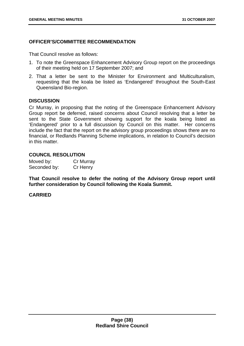# **OFFICER'S/COMMITTEE RECOMMENDATION**

That Council resolve as follows:

- 1. To note the Greenspace Enhancement Advisory Group report on the proceedings of their meeting held on 17 September 2007; and
- 2. That a letter be sent to the Minister for Environment and Multiculturalism, requesting that the koala be listed as 'Endangered' throughout the South-East Queensland Bio-region.

#### **DISCUSSION**

Cr Murray, in proposing that the noting of the Greenspace Enhancement Advisory Group report be deferred, raised concerns about Council resolving that a letter be sent to the State Government showing support for the koala being listed as 'Endangered' prior to a full discussion by Council on this matter. Her concerns include the fact that the report on the advisory group proceedings shows there are no financial, or Redlands Planning Scheme implications, in relation to Council's decision in this matter.

### **COUNCIL RESOLUTION**

| Moved by:    | Cr Murray |
|--------------|-----------|
| Seconded by: | Cr Henry  |

**That Council resolve to defer the noting of the Advisory Group report until further consideration by Council following the Koala Summit.**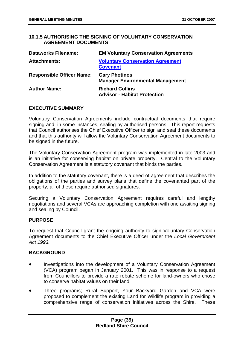# **10.1.5 AUTHORISING THE SIGNING OF VOLUNTARY CONSERVATION AGREEMENT DOCUMENTS**

| <b>Dataworks Filename:</b>       | <b>EM Voluntary Conservation Agreements</b>                     |
|----------------------------------|-----------------------------------------------------------------|
| <b>Attachments:</b>              | <b>Voluntary Conservation Agreement</b><br><b>Covenant</b>      |
| <b>Responsible Officer Name:</b> | <b>Gary Photinos</b><br><b>Manager Environmental Management</b> |
| <b>Author Name:</b>              | <b>Richard Collins</b><br><b>Advisor - Habitat Protection</b>   |

### **EXECUTIVE SUMMARY**

Voluntary Conservation Agreements include contractual documents that require signing and, in some instances, sealing by authorised persons. This report requests that Council authorises the Chief Executive Officer to sign and seal these documents and that this authority will allow the Voluntary Conservation Agreement documents to be signed in the future.

The Voluntary Conservation Agreement program was implemented in late 2003 and is an initiative for conserving habitat on private property. Central to the Voluntary Conservation Agreement is a statutory covenant that binds the parties.

In addition to the statutory covenant, there is a deed of agreement that describes the obligations of the parties and survey plans that define the covenanted part of the property; all of these require authorised signatures.

Securing a Voluntary Conservation Agreement requires careful and lengthy negotiations and several VCAs are approaching completion with one awaiting signing and sealing by Council.

### **PURPOSE**

To request that Council grant the ongoing authority to sign Voluntary Conservation Agreement documents to the Chief Executive Officer under the *Local Government Act 1993.*

### **BACKGROUND**

- Investigations into the development of a Voluntary Conservation Agreement (VCA) program began in January 2001. This was in response to a request from Councillors to provide a rate rebate scheme for land-owners who chose to conserve habitat values on their land.
- Three programs; Rural Support, Your Backyard Garden and VCA were proposed to complement the existing Land for Wildlife program in providing a comprehensive range of conservation initiatives across the Shire. These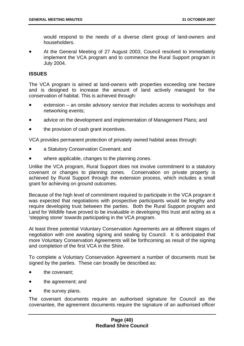would respond to the needs of a diverse client group of land-owners and householders.

At the General Meeting of 27 August 2003, Council resolved to immediately implement the VCA program and to commence the Rural Support program in July 2004.

## **ISSUES**

The VCA program is aimed at land-owners with properties exceeding one hectare and is designed to increase the amount of land actively managed for the conservation of habitat. This is achieved through:

- extension an onsite advisory service that includes access to workshops and networking events;
- advice on the development and implementation of Management Plans; and
- the provision of cash grant incentives.

VCA provides permanent protection of privately owned habitat areas through:

- a Statutory Conservation Covenant; and
- where applicable, changes to the planning zones.

Unlike the VCA program, Rural Support does not involve commitment to a statutory covenant or changes to planning zones. Conservation on private property is achieved by Rural Support through the extension process, which includes a small grant for achieving on ground outcomes.

Because of the high level of commitment required to participate in the VCA program it was expected that negotiations with prospective participants would be lengthy and require developing trust between the parties. Both the Rural Support program and Land for Wildlife have proved to be invaluable in developing this trust and acting as a 'stepping stone' towards participating in the VCA program.

At least three potential Voluntary Conservation Agreements are at different stages of negotiation with one awaiting signing and sealing by Council. It is anticipated that more Voluntary Conservation Agreements will be forthcoming as result of the signing and completion of the first VCA in the Shire.

To complete a Voluntary Conservation Agreement a number of documents must be signed by the parties. These can broadly be described as:

- the covenant:
- the agreement; and
- the survey plans.

The covenant documents require an authorised signature for Council as the covenantee, the agreement documents require the signature of an authorised officer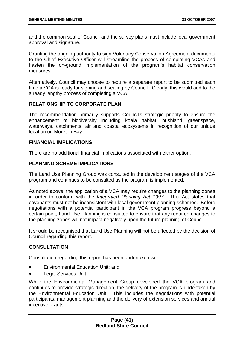and the common seal of Council and the survey plans must include local government approval and signature.

Granting the ongoing authority to sign Voluntary Conservation Agreement documents to the Chief Executive Officer will streamline the process of completing VCAs and hasten the on-ground implementation of the program's habitat conservation measures.

Alternatively, Council may choose to require a separate report to be submitted each time a VCA is ready for signing and sealing by Council. Clearly, this would add to the already lengthy process of completing a VCA.

## **RELATIONSHIP TO CORPORATE PLAN**

The recommendation primarily supports Council's strategic priority to ensure the enhancement of biodiversity including koala habitat, bushland, greenspace, waterways, catchments, air and coastal ecosystems in recognition of our unique location on Moreton Bay.

### **FINANCIAL IMPLICATIONS**

There are no additional financial implications associated with either option.

## **PLANNING SCHEME IMPLICATIONS**

The Land Use Planning Group was consulted in the development stages of the VCA program and continues to be consulted as the program is implemented.

As noted above, the application of a VCA may require changes to the planning zones in order to conform with the *Integrated Planning Act 1997*. This Act states that covenants must not be inconsistent with local government planning schemes. Before negotiations with a potential participant in the VCA program progress beyond a certain point, Land Use Planning is consulted to ensure that any required changes to the planning zones will not impact negatively upon the future planning of Council.

It should be recognised that Land Use Planning will not be affected by the decision of Council regarding this report.

# **CONSULTATION**

Consultation regarding this report has been undertaken with:

- Environmental Education Unit; and
- Legal Services Unit.

While the Environmental Management Group developed the VCA program and continues to provide strategic direction, the delivery of the program is undertaken by the Environmental Education Unit. This includes the negotiations with potential participants, management planning and the delivery of extension services and annual incentive grants.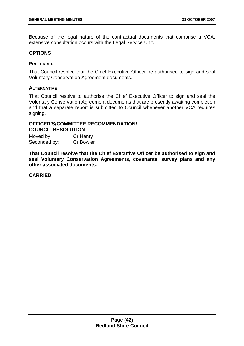Because of the legal nature of the contractual documents that comprise a VCA, extensive consultation occurs with the Legal Service Unit.

#### **OPTIONS**

#### **PREFERRED**

That Council resolve that the Chief Executive Officer be authorised to sign and seal Voluntary Conservation Agreement documents.

### **ALTERNATIVE**

That Council resolve to authorise the Chief Executive Officer to sign and seal the Voluntary Conservation Agreement documents that are presently awaiting completion and that a separate report is submitted to Council whenever another VCA requires signing.

## **OFFICER'S/COMMITTEE RECOMMENDATION/ COUNCIL RESOLUTION**

| Moved by:    | Cr Henry         |
|--------------|------------------|
| Seconded by: | <b>Cr Bowler</b> |

**That Council resolve that the Chief Executive Officer be authorised to sign and seal Voluntary Conservation Agreements, covenants, survey plans and any other associated documents.**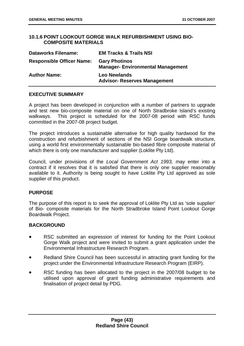## **10.1.6 POINT LOOKOUT GORGE WALK REFURBISHMENT USING BIO-COMPOSITE MATERIALS**

| <b>Dataworks Filename:</b>       | <b>EM Tracks &amp; Trails NSI</b>                               |
|----------------------------------|-----------------------------------------------------------------|
| <b>Responsible Officer Name:</b> | <b>Gary Photinos</b><br><b>Manager-Environmental Management</b> |
| <b>Author Name:</b>              | <b>Leo Newlands</b><br><b>Advisor- Reserves Management</b>      |

## **EXECUTIVE SUMMARY**

A project has been developed in conjunction with a number of partners to upgrade and test new bio-composite material on one of North Stradbroke Island's existing walkways. This project is scheduled for the 2007-08 period with RSC funds committed in the 2007-08 project budget.

The project introduces a sustainable alternative for high quality hardwood for the construction and refurbishment of sections of the NSI Gorge boardwalk structure, using a world first environmentally sustainable bio-based fibre composite material of which there is only one manufacturer and supplier (Loklite Pty Ltd).

Council, under provisions of the *Local Government Act 1993,* may enter into a contract if it resolves that it is satisfied that there is only one supplier reasonably available to it. Authority is being sought to have Loklite Pty Ltd approved as sole supplier of this product.

### **PURPOSE**

The purpose of this report is to seek the approval of Loklite Pty Ltd as 'sole supplier' of Bio- composite materials for the North Stradbroke Island Point Lookout Gorge Boardwalk Project.

# **BACKGROUND**

- RSC submitted an expression of interest for funding for the Point Lookout Gorge Walk project and were invited to submit a grant application under the Environmental Infrastructure Research Program.
- Redland Shire Council has been successful in attracting grant funding for the project under the Environmental Infrastructure Research Program (EIRP).
- RSC funding has been allocated to the project in the 2007/08 budget to be utilised upon approval of grant funding administrative requirements and finalisation of project detail by PDG.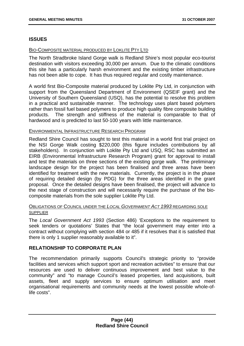# **ISSUES**

## BIO-COMPOSITE MATERIAL PRODUCED BY LOKLITE PTY LTD

The North Stradbroke Island Gorge walk is Redland Shire's most popular eco-tourist destination with visitors exceeding 30,000 per annum. Due to the climatic conditions this site has a particularly harsh environment and the existing timber infrastructure has not been able to cope. It has thus required regular and costly maintenance.

A world first Bio-Composite material produced by Loklite Pty Ltd, in conjunction with support from the Queensland Department of Environment (QSEIF grant) and the University of Southern Queensland (USQ), has the potential to resolve this problem in a practical and sustainable manner. The technology uses plant based polymers rather than fossil fuel based polymers to produce high quality fibre composite building products. The strength and stiffness of the material is comparable to that of hardwood and is predicted to last 50-100 years with little maintenance.

## ENVIRONMENTAL INFRASTRUCTURE RESEARCH PROGRAM

Redland Shire Council has sought to test this material in a world first trial project on the NSI Gorge Walk costing \$220,000 (this figure includes contributions by all stakeholders). In conjunction with Loklite Pty Ltd and USQ, RSC has submitted an EIRB (Environmental Infrastructure Research Program) grant for approval to install and test the materials on three sections of the existing gorge walk. The preliminary landscape design for the project has been finalised and three areas have been identified for treatment with the new materials. Currently, the project is in the phase of requiring detailed design (by PDG) for the three areas identified in the grant proposal. Once the detailed designs have been finalised, the project will advance to the next stage of construction and will necessarily require the purchase of the biocomposite materials from the sole supplier Loklite Pty Ltd.

## OBLIGATIONS OF COUNCIL UNDER THE *LOCAL GOVERNMENT ACT 1993* REGARDING SOLE **SUPPLIER**

The *Local Government Act 1993* (Section 486) 'Exceptions to the requirement to seek tenders or quotations' States that "the local government may enter into a contract without complying with section 484 or 485 if it resolves that it is satisfied that there is only 1 supplier reasonably available to it".

# **RELATIONSHIP TO CORPORATE PLAN**

The recommendation primarily supports Council's strategic priority to "provide facilities and services which support sport and recreation activities" to ensure that our resources are used to deliver continuous improvement and best value to the community" and "to manage Council's leased properties, land acquisitions, built assets, fleet and supply services to ensure optimum utilisation and meet organisational requirements and community needs at the lowest possible whole-oflife costs".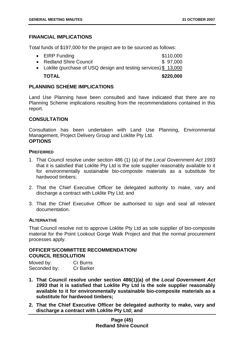# **FINANCIAL IMPLICATIONS**

Total funds of \$197,000 for the project are to be sourced as follows:

| <b>TOTAL</b>                                                     | \$220,000 |
|------------------------------------------------------------------|-----------|
| • Loklite (purchase of USQ design and testing services) \$13,000 |           |
| • Redland Shire Council                                          | \$97,000  |
| $\bullet$ EIRP Funding                                           | \$110,000 |

## **PLANNING SCHEME IMPLICATIONS**

Land Use Planning have been consulted and have indicated that there are no Planning Scheme implications resulting from the recommendations contained in this report.

## **CONSULTATION**

Consultation has been undertaken with Land Use Planning, Environmental Management, Project Delivery Group and Loklite Pty Ltd. **OPTIONS** 

### **PREFERRED**

- 1. That Council resolve under section 486 (1) (a) of the *Local Government Act 1993* that it is satisfied that Loklite Pty Ltd is the sole supplier reasonably available to it for environmentally sustainable bio-composite materials as a substitute for hardwood timbers;
- 2. That the Chief Executive Officer be delegated authority to make, vary and discharge a contract with Loklite Pty Ltd; and
- 3. That the Chief Executive Officer be authorised to sign and seal all relevant documentation.

# **ALTERNATIVE**

That Council resolve not to approve Loklite Pty Ltd as sole supplier of bio-composite material for the Point Lookout Gorge Walk Project and that the normal procurement processes apply.

# **OFFICER'S/COMMITTEE RECOMMENDATION/ COUNCIL RESOLUTION**

| Moved by:    | Cr Burns         |
|--------------|------------------|
| Seconded by: | <b>Cr Barker</b> |

- **1. That Council resolve under section 486(1)(a) of the** *Local Government Act 1993* **that it is satisfied that Loklite Pty Ltd is the sole supplier reasonably available to it for environmentally sustainable bio-composite materials as a substitute for hardwood timbers;**
- **2. That the Chief Executive Officer be delegated authority to make, vary and discharge a contract with Loklite Pty Ltd; and**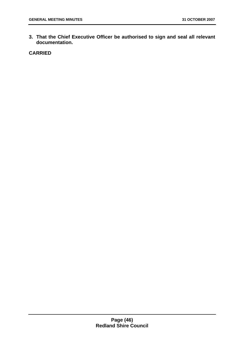**3. That the Chief Executive Officer be authorised to sign and seal all relevant documentation.**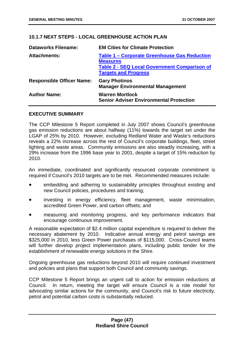# **10.1.7 NEXT STEPS - LOCAL GREENHOUSE ACTION PLAN**

| <b>Dataworks Filename:</b>       | <b>EM Cities for Climate Protection</b>                                                                                                                      |
|----------------------------------|--------------------------------------------------------------------------------------------------------------------------------------------------------------|
| <b>Attachments:</b>              | <b>Table 1 – Corporate Greenhouse Gas Reduction</b><br><b>Measures</b><br><b>Table 2 - SEQ Local Government Comparison of</b><br><b>Targets and Progress</b> |
| <b>Responsible Officer Name:</b> | <b>Gary Photinos</b><br><b>Manager Environmental Management</b>                                                                                              |
| <b>Author Name:</b>              | <b>Warren Mortlock</b><br><b>Senior Adviser Environmental Protection</b>                                                                                     |

### **EXECUTIVE SUMMARY**

The CCP Milestone 5 Report completed in July 2007 shows Council's greenhouse gas emission reductions are about halfway (11%) towards the target set under the LGAP of 25% by 2010. However, excluding Redland Water and Waste's reductions reveals a 22% increase across the rest of Council's corporate buildings, fleet, street lighting and waste areas. Community emissions are also steadily increasing, with a 29% increase from the 1996 base year to 2001, despite a target of 15% reduction by 2010.

An immediate, coordinated and significantly resourced corporate commitment is required if Council's 2010 targets are to be met. Recommended measures include:

- embedding and adhering to sustainability principles throughout existing and new Council policies, procedures and training;
- investing in energy efficiency, fleet management, waste minimisation, accredited Green Power, and carbon offsets; and
- measuring and monitoring progress, and key performance indicators that encourage continuous improvement.

A reasonable expectation of \$2.4 million capital expenditure is required to deliver the necessary abatement by 2010. Indicative annual energy and petrol savings are \$325,000 in 2010, less Green Power purchases of \$115,000. Cross-Council teams will further develop project implementation plans, including public tender for the establishment of renewable energy solutions in the Shire.

Ongoing greenhouse gas reductions beyond 2010 will require continued investment and policies and plans that support both Council and community savings.

CCP Milestone 5 Report brings an urgent call to action for emission reductions at Council. In return, meeting the target will ensure Council is a role model for advocating similar actions for the community, and Council's risk to future electricity, petrol and potential carbon costs is substantially reduced.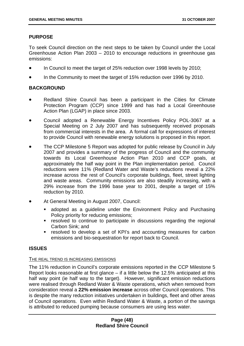# **PURPOSE**

To seek Council direction on the next steps to be taken by Council under the Local Greenhouse Action Plan 2003 – 2010 to encourage reductions in greenhouse gas emissions:

- In Council to meet the target of 25% reduction over 1998 levels by 2010;
- In the Community to meet the target of 15% reduction over 1996 by 2010.

# **BACKGROUND**

- Redland Shire Council has been a participant in the Cities for Climate Protection Program (CCP) since 1999 and has had a Local Greenhouse Action Plan (LGAP) in place since 2003.
- Council adopted a Renewable Energy Incentives Policy POL-3067 at a Special Meeting on 2 July 2007 and has subsequently received proposals from commercial interests in the area. A formal call for expressions of interest to provide Council with renewable energy solutions is proposed in this report.
- The CCP Milestone 5 Report was adopted for public release by Council in July 2007 and provides a summary of the progress of Council and the community towards its Local Greenhouse Action Plan 2010 and CCP goals, at approximately the half way point in the Plan implementation period. Council reductions were 11% (Redland Water and Waste's reductions reveal a 22% increase across the rest of Council's corporate buildings, fleet, street lighting and waste areas. Community emissions are also steadily increasing, with a 29% increase from the 1996 base year to 2001, despite a target of 15% reduction by 2010.
- At General Meeting in August 2007, Council:
	- adopted as a guideline under the Environment Policy and Purchasing Policy priority for reducing emissions;
	- **•** resolved to continue to participate in discussions regarding the regional Carbon Sink; and
	- resolved to develop a set of KPI's and accounting measures for carbon emissions and bio-sequestration for report back to Council.

### **ISSUES**

### THE REAL TREND IS INCREASING EMISSIONS

The 11% reduction in Council's corporate emissions reported in the CCP Milestone 5 Report looks reasonable at first glance – if a little below the 12.5% anticipated at this half way point (ie half way to the target). However, significant emission reductions were realised through Redland Water & Waste operations, which when removed from consideration reveal a **22% emission increase** across other Council operations. This is despite the many reduction initiatives undertaken in buildings, fleet and other areas of Council operations. Even within Redland Water & Waste, a portion of the savings is attributed to reduced pumping because consumers are using less water.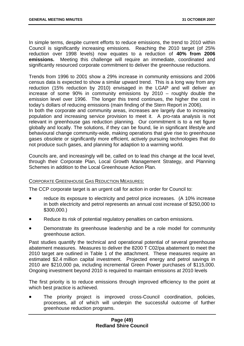In simple terms, despite current efforts to reduce emissions, the trend to 2010 within Council is significantly increasing emissions. Reaching the 2010 target (of 25% reduction over 1998 levels) now equates to a reduction of **40% from 2006 emissions.** Meeting this challenge will require an immediate, coordinated and significantly resourced corporate commitment to deliver the greenhouse reductions.

Trends from 1996 to 2001 show a 29% increase in community emissions and 2006 census data is expected to show a similar upward trend. This is a long way from any reduction (15% reduction by 2010) envisaged in the LGAP and will deliver an increase of some 90% in community emissions by 2010 – roughly double the emission level over 1996. The longer this trend continues, the higher the cost in today's dollars of reducing emissions (main finding of the Stern Report in 2006).

In both the corporate and community areas, increases are largely due to increasing population and increasing service provision to meet it. A pro-rata analysis is not relevant in greenhouse gas reduction planning. Our commitment is to a net figure globally and locally. The solutions, if they can be found, lie in significant lifestyle and behavioural change community-wide, making operations that give rise to greenhouse gases obsolete or significantly more efficient, actively pursuing technologies that do not produce such gases, and planning for adaption to a warming world.

Councils are, and increasingly will be, called on to lead this change at the local level, through their Corporate Plan, Local Growth Management Strategy, and Planning Schemes in addition to the Local Greenhouse Action Plan.

### CORPORATE GREENHOUSE GAS REDUCTION MEASURES:

The CCP corporate target is an urgent call for action in order for Council to:

- reduce its exposure to electricity and petrol price increases. (A 10% increase in both electricity and petrol represents an annual cost increase of \$250,000 to \$300,000.)
- Reduce its risk of potential regulatory penalties on carbon emissions.
- Demonstrate its greenhouse leadership and be a role model for community greenhouse action.

Past studies quantify the technical and operational potential of several greenhouse abatement measures. Measures to deliver the 8200 T C02/pa abatement to meet the 2010 target are outlined in Table 1 of the attachment. These measures require an estimated \$2.4 million capital investment. Projected energy and petrol savings in 2010 are \$210,000 pa, including incremental Green Power purchases of \$115,000. Ongoing investment beyond 2010 is required to maintain emissions at 2010 levels

The first priority is to reduce emissions through improved efficiency to the point at which best practice is achieved.

The priority project is improved cross-Council coordination, policies, processes, all of which will underpin the successful outcome of further greenhouse reduction programs.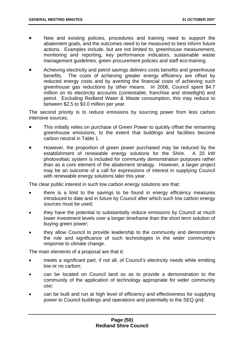- New and existing policies, procedures and training need to support the abatement goals, and the outcomes need to be measured to best inform future actions. Examples include, but are not limited to, greenhouse measurement, monitoring and reporting, key performance indicators, sustainable waste management guidelines, green procurement policies and staff eco-training.
- Achieving electricity and petrol savings delivers costs benefits and greenhouse benefits. The costs of achieving greater energy efficiency are offset by reduced energy costs and by averting the financial costs of achieving such greenhouse gas reductions by other means. In 2006, Council spent \$4.7 million on its electricity accounts (contestable, franchise and streetlight) and petrol. Excluding Redland Water & Waste consumption, this may reduce to between \$2.5 to \$3.0 million per year.

The second priority is to reduce emissions by sourcing power from less carbon intensive sources.

- This initially relies on purchase of Green Power to quickly offset the remaining greenhouse emissions, to the extent that buildings and facilities become carbon neutral in Table 1.
- However, the proportion of green power purchased may be reduced by the establishment of renewable energy solutions for the Shire. A 20 kW photovoltaic system is included for community demonstration purposes rather than as a core element of the abatement strategy. However, a larger project may be an outcome of a call for expressions of interest in supplying Council with renewable energy solutions later this year.

The clear public interest in such low carbon energy solutions are that:

- there is a limit to the savings to be found in energy efficiency measures introduced to date and in future by Council after which such low carbon energy sources must be used;
- they have the potential to substantially reduce emissions by Council at much lower investment levels over a longer timeframe than the short term solution of buying green power;
- they allow Council to provide leadership to the community and demonstrate the role and significance of such technologies in the wider community's response to climate change.

The main elements of a proposal are that it:

- meets a significant part, if not all, of Council's electricity needs while emitting low or no carbon;
- can be located on Council land so as to provide a demonstration to the community of the application of technology appropriate for wider community use;
- can be built and run at high level of efficiency and effectiveness for supplying power to Council buildings and operations and potentially to the SEQ grid;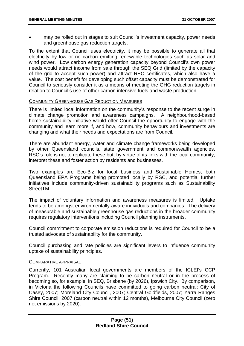may be rolled out in stages to suit Council's investment capacity, power needs and greenhouse gas reduction targets.

To the extent that Council uses electricity, it may be possible to generate all that electricity by low or no carbon emitting renewable technologies such as solar and wind power. Low carbon energy generation capacity beyond Council's own power needs would attract income from sale through the SEQ Grid (limited by the capacity of the grid to accept such power) and attract REC certificates, which also have a value. The cost benefit for developing such offset capacity must be demonstrated for Council to seriously consider it as a means of meeting the GHG reduction targets in relation to Council's use of other carbon intensive fuels and waste production.

#### **COMMUNITY GREENHOUSE GAS REDUCTION MEASURES**

There is limited local information on the community's response to the recent surge in climate change promotion and awareness campaigns. A neighbourhood-based home sustainability initiative would offer Council the opportunity to engage with the community and learn more if, and how, community behaviours and investments are changing and what their needs and expectations are from Council.

There are abundant energy, water and climate change frameworks being developed by other Queensland councils, state government and commonwealth agencies. RSC's role is not to replicate these but, by virtue of its links with the local community, interpret these and foster action by residents and businesses.

Two examples are Eco-Biz for local business and Sustainable Homes, both Queensland EPA Programs being promoted locally by RSC, and potential further initiatives include community-driven sustainability programs such as Sustainability StreetTM.

The impact of voluntary information and awareness measures is limited. Uptake tends to be amongst environmentally-aware individuals and companies. The delivery of measurable and sustainable greenhouse gas reductions in the broader community requires regulatory interventions including Council planning instruments.

Council commitment to corporate emission reductions is required for Council to be a trusted advocate of sustainability for the community.

Council purchasing and rate policies are significant levers to influence community uptake of sustainability principles.

#### COMPARATIVE APPRAISAL

Currently, 101 Australian local governments are members of the ICLEI's CCP Program. Recently many are claiming to be carbon neutral or in the process of becoming so, for example: in SEQ, Brisbane (by 2026), Ipswich City. By comparison, in Victoria the following Councils have committed to going carbon neutral: City of Casey, 2007; Moreland City Council, 2007; Central Goldfields, 2007; Yarra Ranges Shire Council, 2007 (carbon neutral within 12 months), Melbourne City Council (zero net emissions by 2020).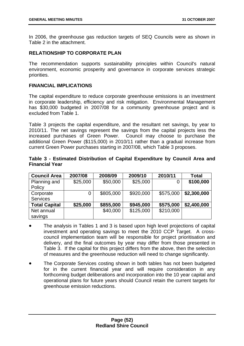In 2006, the greenhouse gas reduction targets of SEQ Councils were as shown in Table 2 in the attachment.

# **RELATIONSHIP TO CORPORATE PLAN**

The recommendation supports sustainability principles within Council's natural environment, economic prosperity and governance in corporate services strategic priorities.

## **FINANCIAL IMPLICATIONS**

The capital expenditure to reduce corporate greenhouse emissions is an investment in corporate leadership, efficiency and risk mitigation. Environmental Management has \$30,000 budgeted in 2007/08 for a community greenhouse project and is excluded from Table 1.

Table 3 projects the capital expenditure, and the resultant net savings, by year to 2010/11. The net savings represent the savings from the capital projects less the increased purchases of Green Power. Council may choose to purchase the additional Green Power (\$115,000) in 2010/11 rather than a gradual increase from current Green Power purchases starting in 2007/08, which Table 3 proposes.

| Table 3 - Estimated Distribution of Capital Expenditure by Council Area and |  |  |  |  |  |
|-----------------------------------------------------------------------------|--|--|--|--|--|
| <b>Financial Year</b>                                                       |  |  |  |  |  |

| <b>Council Area</b>  | 2007/08  | 2008/09   | 2009/10   | 2010/11   | <b>Total</b> |
|----------------------|----------|-----------|-----------|-----------|--------------|
| Planning and         | \$25,000 | \$50,000  | \$25,000  |           | \$100,000    |
| Policy               |          |           |           |           |              |
| Corporate            |          | \$805,000 | \$920,000 | \$575,000 | \$2,300,000  |
| <b>Services</b>      |          |           |           |           |              |
| <b>Total Capital</b> | \$25,000 | \$855,000 | \$945,000 | \$575,000 | \$2,400,000  |
| Net annual           |          | \$40,000  | \$125,000 | \$210,000 |              |
| savings              |          |           |           |           |              |

- The analysis in Tables 1 and 3 is based upon high level projections of capital investment and operating savings to meet the 2010 CCP Target. A crosscouncil implementation team will be responsible for project prioritisation and delivery, and the final outcomes by year may differ from those presented in Table 3. If the capital for this project differs from the above, then the selection of measures and the greenhouse reduction will need to change significantly.
- The Corporate Services costing shown in both tables has not been budgeted for in the current financial year and will require consideration in any forthcoming budget deliberations and incorporation into the 10 year capital and operational plans for future years should Council retain the current targets for greenhouse emission reductions.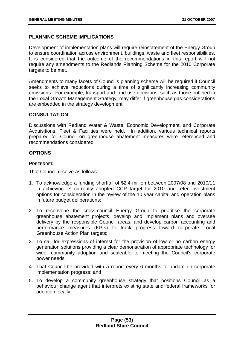# **PLANNING SCHEME IMPLICATIONS**

Development of implementation plans will require reinstatement of the Energy Group to ensure coordination across environment, buildings, waste and fleet responsibilities. It is considered that the outcome of the recommendations in this report will not require any amendments to the Redlands Planning Scheme for the 2010 Corporate targets to be met.

Amendments to many facets of Council's planning scheme will be required if Council seeks to achieve reductions during a time of significantly increasing community emissions. For example, transport and land use decisions, such as those outlined in the Local Growth Management Strategy, may differ if greenhouse gas considerations are embedded in the strategy development.

## **CONSULTATION**

Discussions with Redland Water & Waste, Economic Development, and Corporate Acquisitions, Fleet & Facilities were held. In addition, various technical reports prepared for Council on greenhouse abatement measures were referenced and recommendations considered.

## **OPTIONS**

### **PREFERRED**

That Council resolve as follows:

- 1. To acknowledge a funding shortfall of \$2.4 million between 2007/08 and 2010/11 in achieving its currently adopted CCP target for 2010 and refer investment options for consideration in the review of the 10 year capital and operation plans in future budget deliberations;
- 2. To reconvene the cross-council Energy Group to prioritise the corporate greenhouse abatement projects, develop and implement plans and oversee delivery by the responsible Council areas, and develop carbon accounting and performance measures (KPIs) to track progress toward corporate Local Greenhouse Action Plan targets;
- 3. To call for expressions of interest for the provision of low or no carbon energy generation solutions providing a clear demonstration of appropriate technology for wider community adoption and scaleable to meeting the Council's corporate power needs;
- 4. That Council be provided with a report every 6 months to update on corporate implementation progress; and
- 5. To develop a community greenhouse strategy that positions Council as a behaviour change agent that interprets existing state and federal frameworks for adoption locally.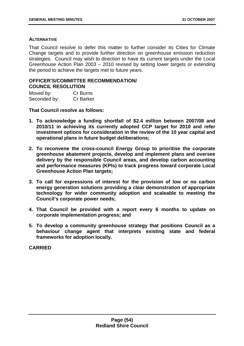#### **ALTERNATIVE**

That Council resolve to defer this matter to further consider its Cities for Climate Change targets and to provide further direction on greenhouse emission reduction strategies. Council may wish to direction to have its current targets under the Local Greenhouse Action Plan 2003 – 2010 revised by setting lower targets or extending the period to achieve the targets met to future years.

## **OFFICER'S/COMMITTEE RECOMMENDATION/ COUNCIL RESOLUTION**

| Moved by:    | Cr Burns         |
|--------------|------------------|
| Seconded by: | <b>Cr Barker</b> |

**That Council resolve as follows:** 

- **1. To acknowledge a funding shortfall of \$2.4 million between 2007/08 and 2010/11 in achieving its currently adopted CCP target for 2010 and refer investment options for consideration in the review of the 10 year capital and operational plans in future budget deliberations;**
- **2. To reconvene the cross-council Energy Group to prioritise the corporate greenhouse abatement projects, develop and implement plans and oversee delivery by the responsible Council areas, and develop carbon accounting and performance measures (KPIs) to track progress toward corporate Local Greenhouse Action Plan targets;**
- **3. To call for expressions of interest for the provision of low or no carbon energy generation solutions providing a clear demonstration of appropriate technology for wider community adoption and scaleable to meeting the Council's corporate power needs;**
- **4. That Council be provided with a report every 6 months to update on corporate implementation progress; and**
- **5. To develop a community greenhouse strategy that positions Council as a behaviour change agent that interprets existing state and federal frameworks for adoption locally.**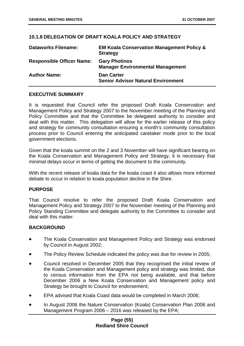# **10.1.8 DELEGATION OF DRAFT KOALA POLICY AND STRATEGY**

| <b>Dataworks Filename:</b>       | <b>EM Koala Conservation Management Policy &amp;</b><br><b>Strategy</b> |
|----------------------------------|-------------------------------------------------------------------------|
| <b>Responsible Officer Name:</b> | <b>Gary Photinos</b><br><b>Manager Environmental Management</b>         |
| <b>Author Name:</b>              | <b>Dan Carter</b><br><b>Senior Advisor Natural Environment</b>          |

### **EXECUTIVE SUMMARY**

It is requested that Council refer the proposed Draft Koala Conservation and Management Policy and Strategy 2007 to the November meeting of the Planning and Policy Committee and that the Committee be delegated authority to consider and deal with this matter. This delegation will allow for the earlier release of this policy and strategy for community consultation ensuring a month's community consultation process prior to Council entering the anticipated caretaker mode prior to the local government elections.

Given that the koala summit on the 2 and 3 November will have significant bearing on the Koala Conservation and Management Policy and Strategy, it is necessary that minimal delays occur in terms of getting the document to the community.

With the recent release of koala data for the koala coast it also allows more informed debate to occur in relation to koala population decline in the Shire.

### **PURPOSE**

That Council resolve to refer the proposed Draft Koala Conservation and Management Policy and Strategy 2007 to the November meeting of the Planning and Policy Standing Committee and delegate authority to the Committee to consider and deal with this matter.

### **BACKGROUND**

- The Koala Conservation and Management Policy and Strategy was endorsed by Council in August 2002;
- The Policy Review Schedule indicated the policy was due for review in 2005;
- Council resolved in December 2005 that they recognised the initial review of the Koala Conservation and Management policy and strategy was limited, due to census information from the EPA not being available, and that before December 2006 a New Koala Conservation and Management policy and Strategy be brought to Council for endorsement;
- EPA advised that Koala Coast data would be completed in March 2006;
- In August 2006 the Nature Conservation (Koala) Conservation Plan 2006 and Management Program 2006 – 2016 was released by the EPA;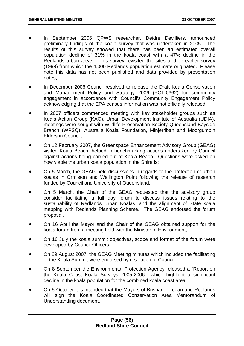- In September 2006 QPWS researcher, Deidre Devilliers, announced preliminary findings of the koala survey that was undertaken in 2005. The results of this survey showed that there has been an estimated overall population decline of 31% in the koala coast with a 47% decline in the Redlands urban areas. This survey revisited the sites of their earlier survey (1999) from which the 4,000 Redlands population estimate originated. Please note this data has not been published and data provided by presentation notes;
- In December 2006 Council resolved to release the Draft Koala Conservation and Management Policy and Strategy 2006 (POL-0362) for community engagement in accordance with Council's Community Engagement Policy acknowledging that the EPA census information was not officially released;
- In 2007 officers commenced meeting with key stakeholder groups such as Koala Action Group (KAG), Urban Development Institute of Australia (UDIA), meetings were sought with Wildlife Preservation Society Queensland Bayside Branch (WPSQ), Australia Koala Foundation, Minjerribah and Moorgumpin Elders in Council;
- On 12 February 2007, the Greenspace Enhancement Advisory Group (GEAG) visited Koala Beach, helped in benchmarking actions undertaken by Council against actions being carried out at Koala Beach. Questions were asked on how viable the urban koala population in the Shire is;
- On 5 March, the GEAG held discussions in regards to the protection of urban koalas in Ormiston and Wellington Point following the release of research funded by Council and University of Queensland;
- On 5 March, the Chair of the GEAG requested that the advisory group consider facilitating a full day forum to discuss issues relating to the sustainability of Redlands Urban Koalas, and the alignment of State koala mapping with Redlands Planning Scheme. The GEAG endorsed the forum proposal.
- On 16 April the Mayor and the Chair of the GEAG obtained support for the koala forum from a meeting held with the Minister of Environment;
- On 16 July the koala summit objectives, scope and format of the forum were developed by Council Officers;
- On 29 August 2007, the GEAG Meeting minutes which included the facilitating of the Koala Summit were endorsed by resolution of Council;
- On 8 September the Environmental Protection Agency released a "Report on the Koala Coast Koala Surveys 2005-2006", which highlight a significant decline in the koala population for the combined koala coast area;
- On 5 October it is intended that the Mayors of Brisbane, Logan and Redlands will sign the Koala Coordinated Conservation Area Memorandum of Understanding document.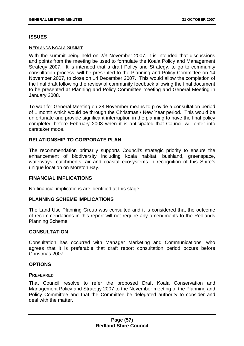# **ISSUES**

### REDLANDS KOALA SUMMIT

With the summit being held on 2/3 November 2007, it is intended that discussions and points from the meeting be used to formulate the Koala Policy and Management Strategy 2007. It is intended that a draft Policy and Strategy, to go to community consultation process, will be presented to the Planning and Policy Committee on 14 November 2007, to close on 14 December 2007. This would allow the completion of the final draft following the review of community feedback allowing the final document to be presented at Planning and Policy Committee meeting and General Meeting in January 2008.

To wait for General Meeting on 28 November means to provide a consultation period of 1 month which would be through the Christmas / New Year period. This would be unfortunate and provide significant interruption in the planning to have the final policy completed before February 2008 when it is anticipated that Council will enter into caretaker mode.

# **RELATIONSHIP TO CORPORATE PLAN**

The recommendation primarily supports Council's strategic priority to ensure the enhancement of biodiversity including koala habitat, bushland, greenspace, waterways, catchments, air and coastal ecosystems in recognition of this Shire's unique location on Moreton Bay.

# **FINANCIAL IMPLICATIONS**

No financial implications are identified at this stage.

# **PLANNING SCHEME IMPLICATIONS**

The Land Use Planning Group was consulted and it is considered that the outcome of recommendations in this report will not require any amendments to the Redlands Planning Scheme.

### **CONSULTATION**

Consultation has occurred with Manager Marketing and Communications, who agrees that it is preferable that draft report consultation period occurs before Christmas 2007.

# **OPTIONS**

### **PREFERRED**

That Council resolve to refer the proposed Draft Koala Conservation and Management Policy and Strategy 2007 to the November meeting of the Planning and Policy Committee and that the Committee be delegated authority to consider and deal with the matter.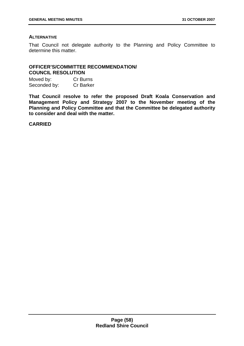# **ALTERNATIVE**

That Council not delegate authority to the Planning and Policy Committee to determine this matter.

# **OFFICER'S/COMMITTEE RECOMMENDATION/ COUNCIL RESOLUTION**

Moved by: Cr Burns Seconded by: Cr Barker

**That Council resolve to refer the proposed Draft Koala Conservation and Management Policy and Strategy 2007 to the November meeting of the Planning and Policy Committee and that the Committee be delegated authority to consider and deal with the matter.**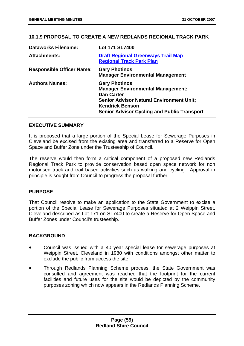# **10.1.9 PROPOSAL TO CREATE A NEW REDLANDS REGIONAL TRACK PARK**

| <b>Dataworks Filename:</b>       | Lot 171 SL7400                                                                                                                                                                                                           |
|----------------------------------|--------------------------------------------------------------------------------------------------------------------------------------------------------------------------------------------------------------------------|
| <b>Attachments:</b>              | <b>Draft Regional Greenways Trail Map</b><br><b>Regional Track Park Plan</b>                                                                                                                                             |
| <b>Responsible Officer Name:</b> | <b>Gary Photinos</b><br><b>Manager Environmental Management</b>                                                                                                                                                          |
| <b>Authors Names:</b>            | <b>Gary Photinos</b><br><b>Manager Environmental Management;</b><br><b>Dan Carter</b><br><b>Senior Advisor Natural Environment Unit;</b><br><b>Kendrick Benson</b><br><b>Senior Advisor Cycling and Public Transport</b> |

# **EXECUTIVE SUMMARY**

It is proposed that a large portion of the Special Lease for Sewerage Purposes in Cleveland be excised from the existing area and transferred to a Reserve for Open Space and Buffer Zone under the Trusteeship of Council.

The reserve would then form a critical component of a proposed new Redlands Regional Track Park to provide conservation based open space network for non motorised track and trail based activities such as walking and cycling. Approval in principle is sought from Council to progress the proposal further.

# **PURPOSE**

That Council resolve to make an application to the State Government to excise a portion of the Special Lease for Sewerage Purposes situated at 2 Weippin Street, Cleveland described as Lot 171 on SL7400 to create a Reserve for Open Space and Buffer Zones under Council's trusteeship.

# **BACKGROUND**

- Council was issued with a 40 year special lease for sewerage purposes at Weippin Street, Cleveland in 1980 with conditions amongst other matter to exclude the public from access the site.
- Through Redlands Planning Scheme process, the State Government was consulted and agreement was reached that the footprint for the current facilities and future uses for the site would be depicted by the community purposes zoning which now appears in the Redlands Planning Scheme.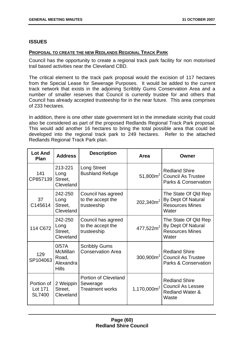## **ISSUES**

#### **PROPOSAL TO CREATE THE NEW REDLANDS REGIONAL TRACK PARK**

Council has the opportunity to create a regional track park facility for non motorised trail based activities near the Cleveland CBD.

The critical element to the track park proposal would the excision of 117 hectares from the Special Lease for Sewerage Purposes. It would be added to the current track network that exists in the adjoining Scribbly Gums Conservation Area and a number of smaller reserves that Council is currently trustee for and others that Council has already accepted trusteeship for in the near future. This area comprises of 233 hectares.

In addition, there is one other state government lot in the immediate vicinity that could also be considered as part of the proposed Redlands Regional Track Park proposal. This would add another 16 hectares to bring the total possible area that could be developed into the regional track park to 249 hectares. Refer to the attached Redlands Regional Track Park plan.

| <b>Lot And</b><br>Plan                 | <b>Address</b>                                                 | <b>Description</b>                                                | Area                  | Owner                                                                                   |
|----------------------------------------|----------------------------------------------------------------|-------------------------------------------------------------------|-----------------------|-----------------------------------------------------------------------------------------|
| 141<br>CP857139                        | 213-221<br>Long<br>Street,<br>Cleveland                        | Long Street<br><b>Bushland Refuge</b>                             | 51,800 $m^2$          | <b>Redland Shire</b><br><b>Council As Trustee</b><br><b>Parks &amp; Conservation</b>    |
| 37<br>C145614                          | 242-250<br>Long<br>Street,<br>Cleveland                        | Council has agreed<br>to the accept the<br>trusteeship            | $202,340m^2$          | The State Of Qld Rep<br>By Dept Of Natural<br><b>Resources Mines</b><br>Water           |
| 114 C672                               | 242-250<br>Long<br>Street,<br>Cleveland                        | Council has agreed<br>to the accept the<br>trusteeship            | 477,522m <sup>2</sup> | The State Of Qld Rep<br>By Dept Of Natural<br><b>Resources Mines</b><br>Water           |
| 129<br>SP104063                        | 0/57A<br><b>McMillan</b><br>Road,<br>Alexandra<br><b>Hills</b> | <b>Scribbly Gums</b><br><b>Conservation Area</b>                  | $300,900m^2$          | <b>Redland Shire</b><br><b>Council As Trustee</b><br><b>Parks &amp; Conservation</b>    |
| Portion of<br>Lot 171<br><b>SL7400</b> | 2 Weippin<br>Street,<br>Cleveland                              | <b>Portion of Cleveland</b><br>Sewerage<br><b>Treatment works</b> | 1,170,000 $m^2$       | <b>Redland Shire</b><br><b>Council As Lessee</b><br><b>Redland Water &amp;</b><br>Waste |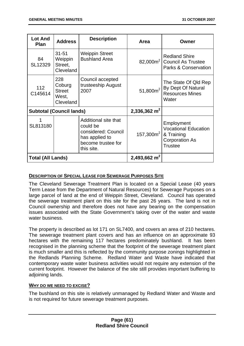| <b>Lot And</b><br><b>Plan</b>   | <b>Address</b>                                       | <b>Description</b>                                                                                            | Area           | Owner                                                                                              |
|---------------------------------|------------------------------------------------------|---------------------------------------------------------------------------------------------------------------|----------------|----------------------------------------------------------------------------------------------------|
| 84<br>SL12329                   | $31 - 51$<br>Weippin<br>Street,<br>Cleveland         | <b>Weippin Street</b><br><b>Bushland Area</b>                                                                 |                | <b>Redland Shire</b><br>82,000m <sup>2</sup> Council As Trustee<br><b>Parks &amp; Conservation</b> |
| 112<br>C145614                  | 228<br>Coburg<br><b>Street</b><br>West,<br>Cleveland | Council accepted<br>trusteeship August<br>2007                                                                | 51,800 $m^2$   | The State Of Qld Rep<br>By Dept Of Natural<br><b>Resources Mines</b><br>Water                      |
| <b>Subtotal (Council lands)</b> |                                                      | 2,336,362 $m2$                                                                                                |                |                                                                                                    |
| SL813180                        |                                                      | Additional site that<br>could be<br>considered: Council<br>has applied to<br>become trustee for<br>this site. | $157,300m^2$   | Employment<br><b>Vocational Education</b><br>& Training<br><b>Corporation As</b><br><b>Trustee</b> |
| <b>Total (All Lands)</b>        |                                                      |                                                                                                               | 2,493,662 $m2$ |                                                                                                    |

# **DESCRIPTION OF SPECIAL LEASE FOR SEWERAGE PURPOSES SITE**

The Cleveland Sewerage Treatment Plan is located on a Special Lease (40 years Term Lease from the Department of Natural Resources) for Sewerage Purposes on a large parcel of land at the end of Weippin Street, Cleveland. Council has operated the sewerage treatment plant on this site for the past 26 years. The land is not in Council ownership and therefore does not have any bearing on the compensation issues associated with the State Government's taking over of the water and waste water business.

The property is described as lot 171 on SL7400, and covers an area of 210 hectares. The sewerage treatment plant covers and has an influence on an approximate 93 hectares with the remaining 117 hectares predominately bushland. It has been recognised in the planning scheme that the footprint of the sewerage treatment plant is much smaller and this is reflected by the community purpose zonings highlighted in the Redlands Planning Scheme. Redland Water and Waste have indicated that contemporary waste water business activities would not require any extension of the current footprint. However the balance of the site still provides important buffering to adjoining lands.

### **WHY DO WE NEED TO EXCISE?**

The bushland on this site is relatively unmanaged by Redland Water and Waste and is not required for future sewerage treatment purposes.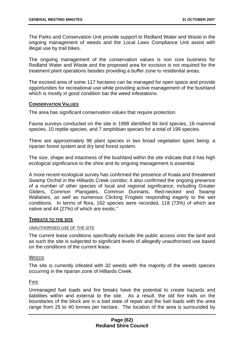The Parks and Conservation Unit provide support to Redland Water and Waste in the ongoing management of weeds and the Local Laws Compliance Unit assist with illegal use by trail bikes.

The ongoing management of the conservation values is non core business for Redland Water and Waste and the proposed area for excision is not required for the treatment plant operations besides providing a buffer zone to residential areas.

The excised area of some 117 hectares can be managed for open space and provide opportunities for recreational use while providing active management of the bushland which is mostly in good condition bar the weed infestations.

#### **CONSERVATION VALUES**

The area has significant conservation values that require protection.

Fauna surveys conducted on the site in 1998 identified 84 bird species, 18 mammal species, 10 reptile species, and 7 amphibian species for a total of 199 species.

There are approximately 96 plant species in two broad vegetation types being: a riparian forest system and dry land forest system.

The size, shape and intactness of the bushland within the site indicate that it has high ecological significance to the shire and its ongoing management is essential.

A more recent ecological survey has confirmed the presence of Koala and threatened Swamp Orchid in the Hilliards Creek corridor; it also confirmed the ongoing presence of a number of other species of local and regional significance, including Greater Gliders, Common Planigales, Common Dunnarts, Red-necked and Swamp Wallabies, as well as numerous Clicking Froglets responding eagerly to the wet conditions. In terms of flora, 162 species were recorded, 118 (73%) of which are native and 44 (27%) of which are exotic."

### **THREATS TO THE SITE**

#### UNAUTHORISED USE OF THE SITE

The current lease conditions specifically exclude the public access onto the land and as such the site is subjected to significant levels of allegedly unauthorised use based on the conditions of the current lease.

#### **WEEDS**

The site is currently infested with 32 weeds with the majority of the weeds species occurring in the riparian zone of Hilliards Creek.

### FIRE

Unmanaged fuel loads and fire breaks have the potential to create hazards and liabilities within and external to the site. As a result, the old fire trails on the boundaries of the block are in a bad state of repair and the fuel loads with the area range from 25 to 40 tonnes per hectare. The location of the area is surrounded by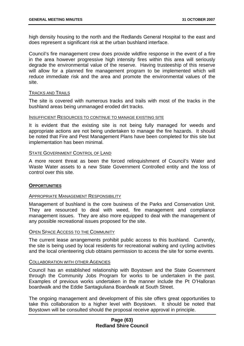high density housing to the north and the Redlands General Hospital to the east and does represent a significant risk at the urban bushland interface.

Council's fire management crew does provide wildfire response in the event of a fire in the area however progressive high intensity fires within this area will seriously degrade the environmental value of the reserve. Having trusteeship of this reserve will allow for a planned fire management program to be implemented which will reduce immediate risk and the area and promote the environmental values of the site.

### TRACKS AND TRAILS

The site is covered with numerous tracks and trails with most of the tracks in the bushland areas being unmanaged eroded dirt tracks.

#### INSUFFICIENT RESOURCES TO CONTINUE TO MANAGE EXISTING SITE

It is evident that the existing site is not being fully managed for weeds and appropriate actions are not being undertaken to manage the fire hazards. It should be noted that Fire and Pest Management Plans have been completed for this site but implementation has been minimal.

#### STATE GOVERNMENT CONTROL OF LAND

A more recent threat as been the forced relinquishment of Council's Water and Waste Water assets to a new State Government Controlled entity and the loss of control over this site.

### **OPPORTUNITIES**

### APPROPRIATE MANAGEMENT RESPONSIBILITY

Management of bushland is the core business of the Parks and Conservation Unit. They are resourced to deal with weed, fire management and compliance management issues. They are also more equipped to deal with the management of any possible recreational issues proposed for the site.

#### OPEN SPACE ACCESS TO THE COMMUNITY

The current lease arrangements prohibit public access to this bushland. Currently, the site is being used by local residents for recreational walking and cycling activities and the local orienteering club obtains permission to access the site for some events.

#### **COLLABORATION WITH OTHER AGENCIES**

Council has an established relationship with Boystown and the State Government through the Community Jobs Program for works to be undertaken in the past. Examples of previous works undertaken in the manner include the Pt O'Halloran boardwalk and the Eddie Santagiuliana Boardwalk at South Street.

The ongoing management and development of this site offers great opportunities to take this collaboration to a higher level with Boystown. It should be noted that Boystown will be consulted should the proposal receive approval in principle.

### **Page (63) Redland Shire Council**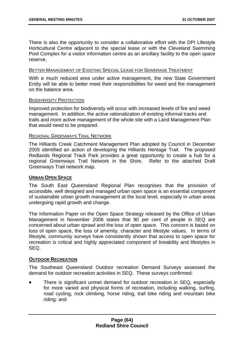There is also the opportunity to consider a collaborative effort with the DPI Lifestyle Horticultural Centre adjacent to the special lease or with the Cleveland Swimming Pool Complex for a visitor information centre as an ancillary facility to the open space reserve.

#### BETTER MANAGEMENT OF EXISTING SPECIAL LEASE FOR SEWERAGE TREATMENT

With a much reduced area under active management, the new State Government Entity will be able to better meet their responsibilities for weed and fire management on the balance area.

#### BIODIVERSITY PROTECTION

Improved protection for biodiversity will occur with increased levels of fire and weed management. In addition, the active rationalization of existing informal tracks and trails and more active management of the whole site with a Land Management Plan that would need to be prepared.

### REGIONAL GREENWAYS TRAIL NETWORK

The Hilliards Creek Catchment Management Plan adopted by Council in December 2005 identified an action of developing the Hilliards Heritage Trail. The proposed Redlands Regional Track Park provides a great opportunity to create a hub for a regional Greenways Trail Network in the Shire. Refer to the attached Draft Greenways Trail network map.

### **URBAN OPEN SPACE**

The South East Queensland Regional Plan recognises that the provision of accessible, well designed and managed urban open space is an essential component of sustainable urban growth management at the local level, especially in urban areas undergoing rapid growth and change.

The Information Paper on the Open Space Strategy released by the Office of Urban Management in November 2006 states that 90 per cent of people in SEQ are concerned about urban sprawl and the loss of open space. This concern is based on loss of open space, the loss of amenity, character and lifestyle values. In terms of lifestyle, community surveys have consistently shown that access to open space for recreation is critical and highly appreciated component of liveability and lifestyles in SEQ.

### **OUTDOOR RECREATION**

The Southeast Queensland Outdoor recreation Demand Surveys assessed the demand for outdoor recreation activities in SEQ. These surveys confirmed:

There is significant unmet demand for outdoor recreation in SEQ, especially for more varied and physical forms of recreation, including walking, surfing, road cycling, rock climbing, horse riding, trail bike riding and mountain bike riding: and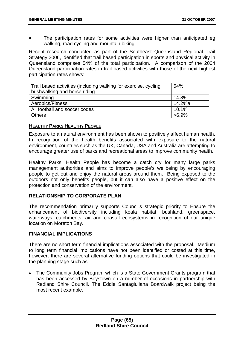The participation rates for some activities were higher than anticipated eg walking, road cycling and mountain biking.

Recent research conducted as part of the Southeast Queensland Regional Trail Strategy 2006, identified that trail based participation in sports and physical activity in Queensland comprises 54% of the total participation. A comparison of the 2004 Queensland participation rates in trail based activities with those of the next highest participation rates shows:

| Trail based activities (including walking for exercise, cycling, | 54%      |
|------------------------------------------------------------------|----------|
| bushwalking and horse riding                                     |          |
| Swimming                                                         | 14.8%    |
| Aerobics/Fitness                                                 | 14.2%a   |
| All football and soccer codes                                    | 10.1%    |
| <b>Others</b>                                                    | $>6.9\%$ |

# **HEALTHY PARKS HEALTHY PEOPLE**

Exposure to a natural environment has been shown to positively affect human health. In recognition of the health benefits associated with exposure to the natural environment, countries such as the UK, Canada, USA and Australia are attempting to encourage greater use of parks and recreational areas to improve community health.

Healthy Parks, Health People has become a catch cry for many large parks management authorities and aims to improve people's wellbeing by encouraging people to get out and enjoy the natural areas around them. Being exposed to the outdoors not only benefits people, but it can also have a positive effect on the protection and conservation of the environment.

# **RELATIONSHIP TO CORPORATE PLAN**

The recommendation primarily supports Council's strategic priority to Ensure the enhancement of biodiversity including koala habitat, bushland, greenspace, waterways, catchments, air and coastal ecosystems in recognition of our unique location on Moreton Bay.

### **FINANCIAL IMPLICATIONS**

There are no short term financial implications associated with the proposal. Medium to long term financial implications have not been identified or costed at this time, however, there are several alternative funding options that could be investigated in the planning stage such as:

• The Community Jobs Program which is a State Government Grants program that has been accessed by Boystown on a number of occasions in partnership with Redland Shire Council. The Eddie Santagiuliana Boardwalk project being the most recent example.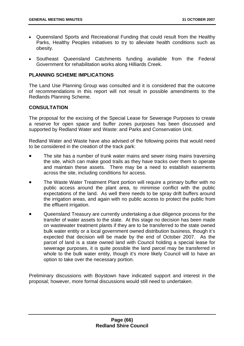- Queensland Sports and Recreational Funding that could result from the Healthy Parks, Healthy Peoples initiatives to try to alleviate health conditions such as obesity.
- Southeast Queensland Catchments funding available from the Federal Government for rehabilitation works along Hilliards Creek.

# **PLANNING SCHEME IMPLICATIONS**

The Land Use Planning Group was consulted and it is considered that the outcome of recommendations in this report will not result in possible amendments to the Redlands Planning Scheme.

# **CONSULTATION**

The proposal for the excising of the Special Lease for Sewerage Purposes to create a reserve for open space and buffer zones purposes has been discussed and supported by Redland Water and Waste: and Parks and Conservation Unit.

Redland Water and Waste have also advised of the following points that would need to be considered in the creation of the track park:

- The site has a number of trunk water mains and sewer rising mains traversing the site, which can make good trails as they have tracks over them to operate and maintain these assets. There may be a need to establish easements across the site, including conditions for access.
- The Waste Water Treatment Plant portion will require a primary buffer with no public access around the plant area, to minimise conflict with the public expectations of the land. As well there needs to be spray drift buffers around the irrigation areas, and again with no public access to protect the public from the effluent irrigation.
- Queensland Treasury are currently undertaking a due diligence process for the transfer of water assets to the state. At this stage no decision has been made on wastewater treatment plants if they are to be transferred to the state owned bulk water entity or a local government owned distribution business, though it's expected that decision will be made by the end of October 2007. As the parcel of land is a state owned land with Council holding a special lease for sewerage purposes, it is quite possible the land parcel may be transferred in whole to the bulk water entity, though it's more likely Council will to have an option to take over the necessary portion.

Preliminary discussions with Boystown have indicated support and interest in the proposal; however, more formal discussions would still need to undertaken.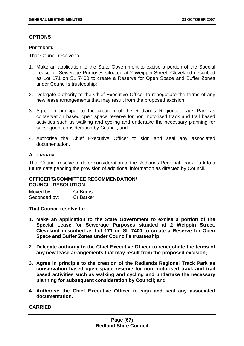# **OPTIONS**

#### **PREFERRED**

That Council resolve to:

- 1. Make an application to the State Government to excise a portion of the Special Lease for Sewerage Purposes situated at 2 Weippin Street, Cleveland described as Lot 171 on SL 7400 to create a Reserve for Open Space and Buffer Zones under Council's trusteeship;
- 2. Delegate authority to the Chief Executive Officer to renegotiate the terms of any new lease arrangements that may result from the proposed excision;
- 3. Agree in principal to the creation of the Redlands Regional Track Park as conservation based open space reserve for non motorised track and trail based activities such as walking and cycling and undertake the necessary planning for subsequent consideration by Council; and
- 4. Authorise the Chief Executive Officer to sign and seal any associated documentation.

# **ALTERNATIVE**

That Council resolve to defer consideration of the Redlands Regional Track Park to a future date pending the provision of additional information as directed by Council.

## **OFFICER'S/COMMITTEE RECOMMENDATION/ COUNCIL RESOLUTION**

Moved by: Cr Burns Seconded by: Cr Barker

**That Council resolve to:** 

- **1. Make an application to the State Government to excise a portion of the Special Lease for Sewerage Purposes situated at 2 Weippin Street, Cleveland described as Lot 171 on SL 7400 to create a Reserve for Open Space and Buffer Zones under Council's trusteeship;**
- **2. Delegate authority to the Chief Executive Officer to renegotiate the terms of any new lease arrangements that may result from the proposed excision;**
- **3. Agree in principle to the creation of the Redlands Regional Track Park as conservation based open space reserve for non motorised track and trail based activities such as walking and cycling and undertake the necessary planning for subsequent consideration by Council; and**
- **4. Authorise the Chief Executive Officer to sign and seal any associated documentation.**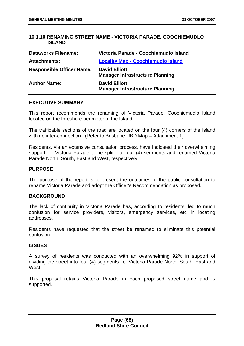# **10.1.10 RENAMING STREET NAME - VICTORIA PARADE, COOCHIEMUDLO ISLAND**

| <b>Dataworks Filename:</b>       | Victoria Parade - Coochiemudlo Island                          |
|----------------------------------|----------------------------------------------------------------|
| <b>Attachments:</b>              | <b>Locality Map - Coochiemudlo Island</b>                      |
| <b>Responsible Officer Name:</b> | <b>David Elliott</b><br><b>Manager Infrastructure Planning</b> |
| <b>Author Name:</b>              | <b>David Elliott</b><br><b>Manager Infrastructure Planning</b> |

#### **EXECUTIVE SUMMARY**

This report recommends the renaming of Victoria Parade, Coochiemudlo Island located on the foreshore perimeter of the Island.

The trafficable sections of the road are located on the four (4) corners of the Island with no inter-connection. (Refer to Brisbane UBD Map – Attachment 1).

Residents, via an extensive consultation process, have indicated their overwhelming support for Victoria Parade to be split into four (4) segments and renamed Victoria Parade North, South, East and West, respectively.

## **PURPOSE**

The purpose of the report is to present the outcomes of the public consultation to rename Victoria Parade and adopt the Officer's Recommendation as proposed.

### **BACKGROUND**

The lack of continuity in Victoria Parade has, according to residents, led to much confusion for service providers, visitors, emergency services, etc in locating addresses.

Residents have requested that the street be renamed to eliminate this potential confusion.

## **ISSUES**

A survey of residents was conducted with an overwhelming 92% in support of dividing the street into four (4) segments i.e. Victoria Parade North, South, East and West.

This proposal retains Victoria Parade in each proposed street name and is supported.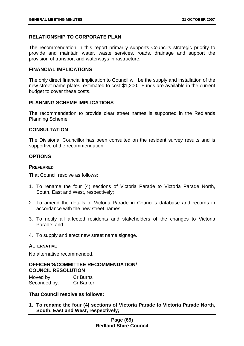# **RELATIONSHIP TO CORPORATE PLAN**

The recommendation in this report primarily supports Council's strategic priority to provide and maintain water, waste services, roads, drainage and support the provision of transport and waterways infrastructure.

#### **FINANCIAL IMPLICATIONS**

The only direct financial implication to Council will be the supply and installation of the new street name plates, estimated to cost \$1,200. Funds are available in the current budget to cover these costs.

### **PLANNING SCHEME IMPLICATIONS**

The recommendation to provide clear street names is supported in the Redlands Planning Scheme.

#### **CONSULTATION**

The Divisional Councillor has been consulted on the resident survey results and is supportive of the recommendation.

### **OPTIONS**

#### **PREFERRED**

That Council resolve as follows:

- 1. To rename the four (4) sections of Victoria Parade to Victoria Parade North, South, East and West, respectively;
- 2. To amend the details of Victoria Parade in Council's database and records in accordance with the new street names;
- 3. To notify all affected residents and stakeholders of the changes to Victoria Parade; and
- 4. To supply and erect new street name signage.

#### **ALTERNATIVE**

No alternative recommended.

### **OFFICER'S/COMMITTEE RECOMMENDATION/ COUNCIL RESOLUTION**

| Moved by:    | Cr Burns         |
|--------------|------------------|
| Seconded by: | <b>Cr Barker</b> |

**That Council resolve as follows:** 

**1. To rename the four (4) sections of Victoria Parade to Victoria Parade North, South, East and West, respectively;**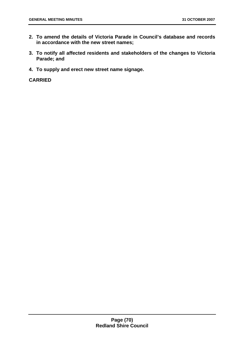- **2. To amend the details of Victoria Parade in Council's database and records in accordance with the new street names;**
- **3. To notify all affected residents and stakeholders of the changes to Victoria Parade; and**
- **4. To supply and erect new street name signage.**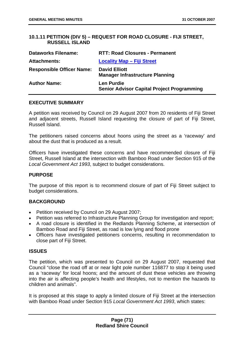# **10.1.11 PETITION (DIV 5) – REQUEST FOR ROAD CLOSURE - FIJI STREET, RUSSELL ISLAND**

| <b>Dataworks Filename:</b>       | <b>RTT: Road Closures - Permanent</b>                                  |
|----------------------------------|------------------------------------------------------------------------|
| <b>Attachments:</b>              | <b>Locality Map - Fiji Street</b>                                      |
| <b>Responsible Officer Name:</b> | <b>David Elliott</b><br><b>Manager Infrastructure Planning</b>         |
| <b>Author Name:</b>              | <b>Len Purdie</b><br><b>Senior Advisor Capital Project Programming</b> |

### **EXECUTIVE SUMMARY**

A petition was received by Council on 29 August 2007 from 20 residents of Fiji Street and adjacent streets, Russell Island requesting the closure of part of Fiji Street, Russell Island.

The petitioners raised concerns about hoons using the street as a 'raceway' and about the dust that is produced as a result.

Officers have investigated these concerns and have recommended closure of Fiji Street, Russell Island at the intersection with Bamboo Road under Section 915 of the *Local Government Act 1993*, subject to budget considerations.

### **PURPOSE**

The purpose of this report is to recommend closure of part of Fiji Street subject to budget considerations.

### **BACKGROUND**

- Petition received by Council on 29 August 2007;
- Petition was referred to Infrastructure Planning Group for investigation and report;
- A road closure is identified in the Redlands Planning Scheme, at intersection of Bamboo Road and Fiji Street, as road is low lying and flood prone
- Officers have investigated petitioners concerns, resulting in recommendation to close part of Fiji Street.

## **ISSUES**

The petition, which was presented to Council on 29 August 2007, requested that Council "close the road off at or near light pole number 116877 to stop it being used as a 'raceway' for local hoons; and the amount of dust these vehicles are throwing into the air is affecting people's health and lifestyles, not to mention the hazards to children and animals".

It is proposed at this stage to apply a limited closure of Fiji Street at the intersection with Bamboo Road under Section 915 *Local Government Act 1993*, which states: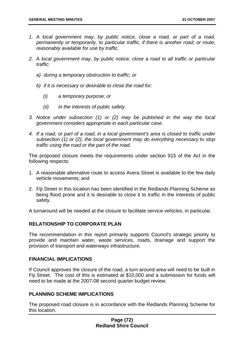- *1. A local government may, by public notice, close a road, or part of a road, permanently or temporarily, to particular traffic, if there is another road, or route, reasonably available for use by traffic.*
- *2. A local government may, by public notice, close a road to all traffic or particular traffic:* 
	- *a) during a temporary obstruction to traffic; or*
	- *b) if it is necessary or desirable to close the road for:* 
		- *(i) a temporary purpose; or*
		- *(ii) in the interests of public safety.*
- *3. Notice under subsection (1) or (2) may be published in the way the local government considers appropriate in each particular case.*
- *4. If a road, or part of a road, in a local government's area is closed to traffic under subsection (1) or (2), the local government may do everything necessary to stop traffic using the road or the part of the road.*

The proposed closure meets the requirements under section 915 of the Act in the following respects:

- 1. A reasonable alternative route to access Avera Street is available to the few daily vehicle movements; and
- 2. Fiji Street in this location has been identified in the Redlands Planning Scheme as being flood prone and it is desirable to close it to traffic in the interests of public safety.

A turnaround will be needed at the closure to facilitate service vehicles, in particular.

### **RELATIONSHIP TO CORPORATE PLAN**

The recommendation in this report primarily supports Council's strategic priority to provide and maintain water, waste services, roads, drainage and support the provision of transport and waterways infrastructure.

# **FINANCIAL IMPLICATIONS**

If Council approves the closure of the road, a turn around area will need to be built in Fiji Street. The cost of this is estimated at \$10,000 and a submission for funds will need to be made at the 2007-08 second quarter budget review.

### **PLANNING SCHEME IMPLICATIONS**

The proposed road closure is in accordance with the Redlands Planning Scheme for this location.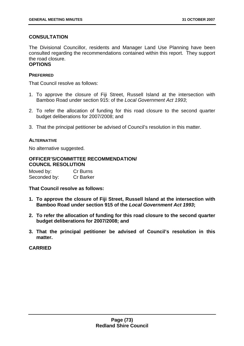# **CONSULTATION**

The Divisional Councillor, residents and Manager Land Use Planning have been consulted regarding the recommendations contained within this report. They support the road closure.

# **OPTIONS**

## **PREFERRED**

That Council resolve as follows:

- 1. To approve the closure of Fiji Street, Russell Island at the intersection with Bamboo Road under section 915: of the *Local Government Act 1993*;
- 2. To refer the allocation of funding for this road closure to the second quarter budget deliberations for 2007/2008; and
- 3. That the principal petitioner be advised of Council's resolution in this matter.

## **ALTERNATIVE**

No alternative suggested.

#### **OFFICER'S/COMMITTEE RECOMMENDATION/ COUNCIL RESOLUTION**

| Moved by:    | Cr Burns         |
|--------------|------------------|
| Seconded by: | <b>Cr Barker</b> |

**That Council resolve as follows:** 

- **1. To approve the closure of Fiji Street, Russell Island at the intersection with Bamboo Road under section 915 of the** *Local Government Act 1993***;**
- **2. To refer the allocation of funding for this road closure to the second quarter budget deliberations for 2007/2008; and**
- **3. That the principal petitioner be advised of Council's resolution in this matter.**

**CARRIED**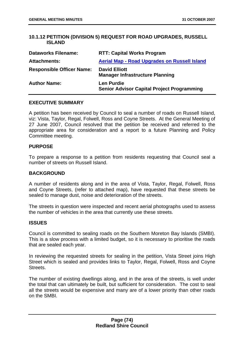# **10.1.12 PETITION (DIVISION 5) REQUEST FOR ROAD UPGRADES, RUSSELL ISLAND**

| <b>Dataworks Filename:</b>       | <b>RTT: Capital Works Program</b>                                      |
|----------------------------------|------------------------------------------------------------------------|
| <b>Attachments:</b>              | <b>Aerial Map - Road Upgrades on Russell Island</b>                    |
| <b>Responsible Officer Name:</b> | <b>David Elliott</b><br><b>Manager Infrastructure Planning</b>         |
| <b>Author Name:</b>              | <b>Len Purdie</b><br><b>Senior Advisor Capital Project Programming</b> |

### **EXECUTIVE SUMMARY**

A petition has been received by Council to seal a number of roads on Russell Island, viz: Vista, Taylor, Regal, Folwell, Ross and Coyne Streets. At the General Meeting of 27 June 2007, Council resolved that the petition be received and referred to the appropriate area for consideration and a report to a future Planning and Policy Committee meeting.

### **PURPOSE**

To prepare a response to a petition from residents requesting that Council seal a number of streets on Russell Island.

#### **BACKGROUND**

A number of residents along and in the area of Vista, Taylor, Regal, Folwell, Ross and Coyne Streets, (refer to attached map), have requested that these streets be sealed to manage dust, noise and deterioration of the streets.

The streets in question were inspected and recent aerial photographs used to assess the number of vehicles in the area that currently use these streets.

### **ISSUES**

Council is committed to sealing roads on the Southern Moreton Bay Islands (SMBI). This is a slow process with a limited budget, so it is necessary to prioritise the roads that are sealed each year.

In reviewing the requested streets for sealing in the petition, Vista Street joins High Street which is sealed and provides links to Taylor, Regal, Folwell, Ross and Coyne Streets.

The number of existing dwellings along, and in the area of the streets, is well under the total that can ultimately be built, but sufficient for consideration. The cost to seal all the streets would be expensive and many are of a lower priority than other roads on the SMBI.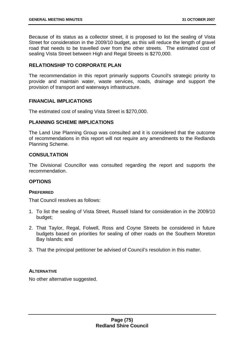Because of its status as a collector street, it is proposed to list the sealing of Vista Street for consideration in the 2009/10 budget, as this will reduce the length of gravel road that needs to be travelled over from the other streets. The estimated cost of sealing Vista Street between High and Regal Streets is \$270,000.

# **RELATIONSHIP TO CORPORATE PLAN**

The recommendation in this report primarily supports Council's strategic priority to provide and maintain water, waste services, roads, drainage and support the provision of transport and waterways infrastructure.

## **FINANCIAL IMPLICATIONS**

The estimated cost of sealing Vista Street is \$270,000.

### **PLANNING SCHEME IMPLICATIONS**

The Land Use Planning Group was consulted and it is considered that the outcome of recommendations in this report will not require any amendments to the Redlands Planning Scheme.

## **CONSULTATION**

The Divisional Councillor was consulted regarding the report and supports the recommendation.

# **OPTIONS**

### **PREFERRED**

That Council resolves as follows:

- 1. To list the sealing of Vista Street, Russell Island for consideration in the 2009/10 budget;
- 2. That Taylor, Regal, Folwell, Ross and Coyne Streets be considered in future budgets based on priorities for sealing of other roads on the Southern Moreton Bay Islands; and
- 3. That the principal petitioner be advised of Council's resolution in this matter.

### **ALTERNATIVE**

No other alternative suggested.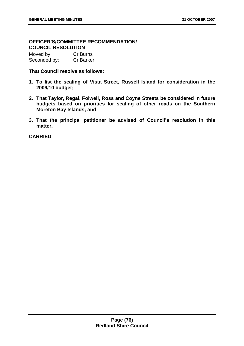# **OFFICER'S/COMMITTEE RECOMMENDATION/ COUNCIL RESOLUTION**

| Moved by:    | Cr Burns         |
|--------------|------------------|
| Seconded by: | <b>Cr Barker</b> |

### **That Council resolve as follows:**

- **1. To list the sealing of Vista Street, Russell Island for consideration in the 2009/10 budget;**
- **2. That Taylor, Regal, Folwell, Ross and Coyne Streets be considered in future budgets based on priorities for sealing of other roads on the Southern Moreton Bay Islands; and**
- **3. That the principal petitioner be advised of Council's resolution in this matter.**

**CARRIED**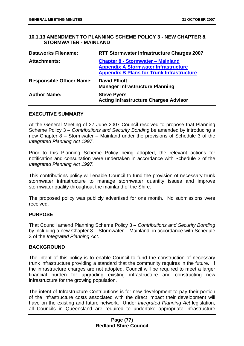## **10.1.13 AMENDMENT TO PLANNING SCHEME POLICY 3 - NEW CHAPTER 8, STORMWATER - MAINLAND**

| <b>RTT Stormwater Infrastructure Charges 2007</b>                                                                                           |
|---------------------------------------------------------------------------------------------------------------------------------------------|
| <b>Chapter 8 - Stormwater - Mainland</b><br><b>Appendix A Stormwater Infrastructure</b><br><b>Appendix B Plans for Trunk Infrastructure</b> |
| <b>David Elliott</b><br><b>Manager Infrastructure Planning</b>                                                                              |
| <b>Steve Pyers</b><br><b>Acting Infrastructure Charges Advisor</b>                                                                          |
|                                                                                                                                             |

#### **EXECUTIVE SUMMARY**

At the General Meeting of 27 June 2007 Council resolved to propose that Planning Scheme Policy 3 – *Contributions and Security Bonding* be amended by introducing a new Chapter 8 – Stormwater – Mainland under the provisions of Schedule 3 of the *Integrated Planning Act 1997*.

Prior to this Planning Scheme Policy being adopted, the relevant actions for notification and consultation were undertaken in accordance with Schedule 3 of the *Integrated Planning Act 1997.*

This contributions policy will enable Council to fund the provision of necessary trunk stormwater infrastructure to manage stormwater quantity issues and improve stormwater quality throughout the mainland of the Shire.

The proposed policy was publicly advertised for one month. No submissions were received.

### **PURPOSE**

That Council amend Planning Scheme Policy 3 – *Contributions and Security Bonding* by including a new Chapter  $8 -$  Stormwater – Mainland, in accordance with Schedule 3 of the *Integrated Planning Act.* 

### **BACKGROUND**

The intent of this policy is to enable Council to fund the construction of necessary trunk infrastructure providing a standard that the community requires in the future. If the infrastructure charges are not adopted, Council will be required to meet a larger financial burden for upgrading existing infrastructure and constructing new infrastructure for the growing population.

The intent of Infrastructure Contributions is for new development to pay their portion of the infrastructure costs associated with the direct impact their development will have on the existing and future network. Under *Integrated Planning Act* legislation, all Councils in Queensland are required to undertake appropriate infrastructure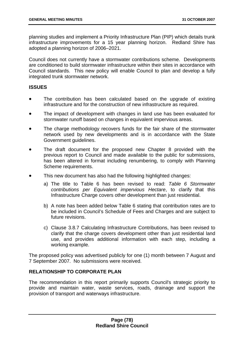planning studies and implement a Priority Infrastructure Plan (PIP) which details trunk infrastructure improvements for a 15 year planning horizon. Redland Shire has adopted a planning horizon of 2006–2021.

Council does not currently have a stormwater contributions scheme. Developments are conditioned to build stormwater infrastructure within their sites in accordance with Council standards. This new policy will enable Council to plan and develop a fully integrated trunk stormwater network.

# **ISSUES**

- The contribution has been calculated based on the upgrade of existing infrastructure and for the construction of new infrastructure as required.
- The impact of development with changes in land use has been evaluated for stormwater runoff based on changes in equivalent impervious areas.
- The charge methodology recovers funds for the fair share of the stormwater network used by new developments and is in accordance with the State Government guidelines.
- The draft document for the proposed new Chapter 8 provided with the previous report to Council and made available to the public for submissions, has been altered in format including renumbering, to comply with Planning Scheme requirements.
- This new document has also had the following highlighted changes:
	- a) The title to Table 6 has been revised to read: *Table 6 Stormwater contributions per Equivalent impervious Hectare*, to clarify that this Infrastructure Charge covers other development than just residential.
	- b) A note has been added below Table 6 stating that contribution rates are to be included in Council's Schedule of Fees and Charges and are subject to future revisions.
	- c) Clause 3.8.7 Calculating Infrastructure Contributions, has been revised to clarify that the charge covers development other than just residential land use, and provides additional information with each step, including a working example.

The proposed policy was advertised publicly for one (1) month between 7 August and 7 September 2007. No submissions were received.

# **RELATIONSHIP TO CORPORATE PLAN**

The recommendation in this report primarily supports Council's strategic priority to provide and maintain water, waste services, roads, drainage and support the provision of transport and waterways infrastructure.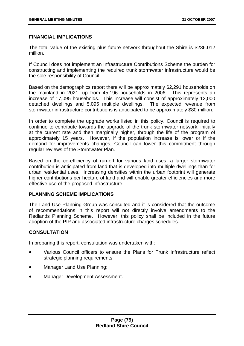# **FINANCIAL IMPLICATIONS**

The total value of the existing plus future network throughout the Shire is \$236.012 million.

If Council does not implement an Infrastructure Contributions Scheme the burden for constructing and implementing the required trunk stormwater infrastructure would be the sole responsibility of Council.

Based on the demographics report there will be approximately 62,291 households on the mainland in 2021, up from 45,196 households in 2006. This represents an increase of 17,095 households. This increase will consist of approximately 12,000 detached dwellings and 5,095 multiple dwellings. The expected revenue from stormwater infrastructure contributions is anticipated to be approximately \$80 million.

In order to complete the upgrade works listed in this policy, Council is required to continue to contribute towards the upgrade of the trunk stormwater network, initially at the current rate and then marginally higher, through the life of the program of approximately 15 years. However, if the population increase is lower or if the demand for improvements changes, Council can lower this commitment through regular reviews of the Stormwater Plan.

Based on the co-efficiency of run-off for various land uses, a larger stormwater contribution is anticipated from land that is developed into multiple dwellings than for urban residential uses. Increasing densities within the urban footprint will generate higher contributions per hectare of land and will enable greater efficiencies and more effective use of the proposed infrastructure.

# **PLANNING SCHEME IMPLICATIONS**

The Land Use Planning Group was consulted and it is considered that the outcome of recommendations in this report will not directly involve amendments to the Redlands Planning Scheme. However, this policy shall be included in the future adoption of the PIP and associated infrastructure charges schedules.

# **CONSULTATION**

In preparing this report, consultation was undertaken with:

- Various Council officers to ensure the Plans for Trunk Infrastructure reflect strategic planning requirements;
- Manager Land Use Planning;
- Manager Development Assessment.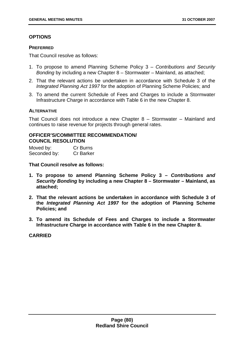# **OPTIONS**

#### **PREFERRED**

That Council resolve as follows:

- 1. To propose to amend Planning Scheme Policy 3 *Contributions and Security Bonding* by including a new Chapter 8 – Stormwater – Mainland, as attached;
- 2. That the relevant actions be undertaken in accordance with Schedule 3 of the *Integrated Planning Act 1997* for the adoption of Planning Scheme Policies; and
- 3. To amend the current Schedule of Fees and Charges to include a Stormwater Infrastructure Charge in accordance with Table 6 in the new Chapter 8.

### **ALTERNATIVE**

That Council does not introduce a new Chapter 8 – Stormwater – Mainland and continues to raise revenue for projects through general rates.

# **OFFICER'S/COMMITTEE RECOMMENDATION/ COUNCIL RESOLUTION**

| Moved by:    | Cr Burns         |
|--------------|------------------|
| Seconded by: | <b>Cr Barker</b> |

**That Council resolve as follows:** 

- **1. To propose to amend Planning Scheme Policy 3** *Contributions and Security Bonding* **by including a new Chapter 8 – Stormwater – Mainland, as attached;**
- **2. That the relevant actions be undertaken in accordance with Schedule 3 of the** *Integrated Planning Act 1997* **for the adoption of Planning Scheme Policies; and**
- **3. To amend its Schedule of Fees and Charges to include a Stormwater Infrastructure Charge in accordance with Table 6 in the new Chapter 8.**

**CARRIED**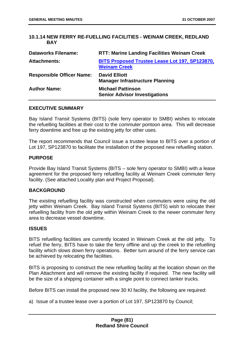# **10.1.14 NEW FERRY RE-FUELLING FACILITIES - WEINAM CREEK, REDLAND BAY**

| <b>Dataworks Filename:</b>       | <b>RTT: Marine Landing Facilities Weinam Creek</b>                           |
|----------------------------------|------------------------------------------------------------------------------|
| <b>Attachments:</b>              | <b>BITS Proposed Trustee Lease Lot 197, SP123870,</b><br><b>Weinam Creek</b> |
| <b>Responsible Officer Name:</b> | <b>David Elliott</b><br><b>Manager Infrastructure Planning</b>               |
| <b>Author Name:</b>              | <b>Michael Pattinson</b><br><b>Senior Advisor Investigations</b>             |

### **EXECUTIVE SUMMARY**

Bay Island Transit Systems (BITS) (sole ferry operator to SMBI) wishes to relocate the refuelling facilities at their cost to the commuter pontoon area. This will decrease ferry downtime and free up the existing jetty for other uses.

The report recommends that Council issue a trustee lease to BITS over a portion of Lot 197, SP123870 to facilitate the installation of the proposed new refuelling station.

#### **PURPOSE**

Provide Bay Island Transit Systems (BITS – sole ferry operator to SMBI) with a lease agreement for the proposed ferry refuelling facility at Weinam Creek commuter ferry facility. (See attached Locality plan and Project Proposal).

#### **BACKGROUND**

The existing refuelling facility was constructed when commuters were using the old jetty within Weinam Creek. Bay Island Transit Systems (BITS) wish to relocate their refuelling facility from the old jetty within Weinam Creek to the newer commuter ferry area to decrease vessel downtime.

#### **ISSUES**

BITS refuelling facilities are currently located in Weinam Creek at the old jetty. To refuel the ferry, BITS have to take the ferry offline and up the creek to the refuelling facility which slows down ferry operations. Better turn around of the ferry service can be achieved by relocating the facilities.

BITS is proposing to construct the new refuelling facility at the location shown on the Plan Attachment and will remove the existing facility if required. The new facility will be the size of a shipping container with a single point to connect tanker trucks.

Before BITS can install the proposed new 30 Kl facility, the following are required:

a) Issue of a trustee lease over a portion of Lot 197, SP123870 by Council;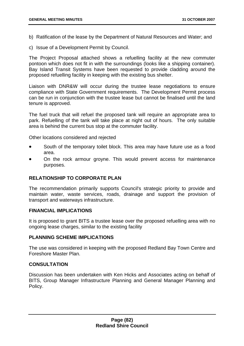- b) Ratification of the lease by the Department of Natural Resources and Water; and
- c) Issue of a Development Permit by Council.

The Project Proposal attached shows a refuelling facility at the new commuter pontoon which does not fit in with the surroundings (looks like a shipping container). Bay Island Transit Systems have been requested to provide cladding around the proposed refuelling facility in keeping with the existing bus shelter.

Liaison with DNR&W will occur during the trustee lease negotiations to ensure compliance with State Government requirements. The Development Permit process can be run in conjunction with the trustee lease but cannot be finalised until the land tenure is approved.

The fuel truck that will refuel the proposed tank will require an appropriate area to park. Refuelling of the tank will take place at night out of hours. The only suitable area is behind the current bus stop at the commuter facility.

Other locations considered and rejected

- South of the temporary toilet block. This area may have future use as a food area.
- On the rock armour groyne. This would prevent access for maintenance purposes.

### **RELATIONSHIP TO CORPORATE PLAN**

The recommendation primarily supports Council's strategic priority to provide and maintain water, waste services, roads, drainage and support the provision of transport and waterways infrastructure.

#### **FINANCIAL IMPLICATIONS**

It is proposed to grant BITS a trustee lease over the proposed refuelling area with no ongoing lease charges, similar to the existing facility

# **PLANNING SCHEME IMPLICATIONS**

The use was considered in keeping with the proposed Redland Bay Town Centre and Foreshore Master Plan.

# **CONSULTATION**

Discussion has been undertaken with Ken Hicks and Associates acting on behalf of BITS, Group Manager Infrastructure Planning and General Manager Planning and Policy.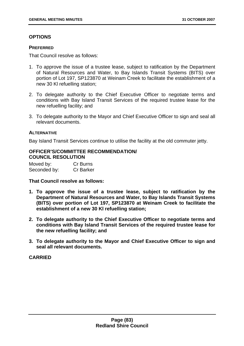# **OPTIONS**

#### **PREFERRED**

That Council resolve as follows:

- 1. To approve the issue of a trustee lease, subject to ratification by the Department of Natural Resources and Water, to Bay Islands Transit Systems (BITS) over portion of Lot 197, SP123870 at Weinam Creek to facilitate the establishment of a new 30 Kl refuelling station;
- 2. To delegate authority to the Chief Executive Officer to negotiate terms and conditions with Bay Island Transit Services of the required trustee lease for the new refuelling facility; and
- 3. To delegate authority to the Mayor and Chief Executive Officer to sign and seal all relevant documents.

#### **ALTERNATIVE**

Bay Island Transit Services continue to utilise the facility at the old commuter jetty.

# **OFFICER'S/COMMITTEE RECOMMENDATION/ COUNCIL RESOLUTION**

| Moved by:    | Cr Burns         |
|--------------|------------------|
| Seconded by: | <b>Cr Barker</b> |

**That Council resolve as follows:** 

- **1. To approve the issue of a trustee lease, subject to ratification by the Department of Natural Resources and Water, to Bay Islands Transit Systems (BITS) over portion of Lot 197, SP123870 at Weinam Creek to facilitate the establishment of a new 30 Kl refuelling station;**
- **2. To delegate authority to the Chief Executive Officer to negotiate terms and conditions with Bay Island Transit Services of the required trustee lease for the new refuelling facility; and**
- **3. To delegate authority to the Mayor and Chief Executive Officer to sign and seal all relevant documents.**

### **CARRIED**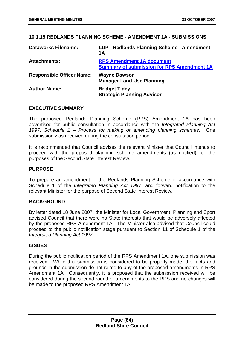## **10.1.15 REDLANDS PLANNING SCHEME - AMENDMENT 1A - SUBMISSIONS**

| <b>Dataworks Filename:</b>       | LUP - Redlands Planning Scheme - Amendment<br>1A                                      |
|----------------------------------|---------------------------------------------------------------------------------------|
| <b>Attachments:</b>              | <b>RPS Amendment 1A document</b><br><b>Summary of submission for RPS Amendment 1A</b> |
| <b>Responsible Officer Name:</b> | <b>Wayne Dawson</b><br><b>Manager Land Use Planning</b>                               |
| <b>Author Name:</b>              | <b>Bridget Tidey</b><br><b>Strategic Planning Advisor</b>                             |

#### **EXECUTIVE SUMMARY**

The proposed Redlands Planning Scheme (RPS) Amendment 1A has been advertised for public consultation in accordance with the *Integrated Planning Act 1997*, *Schedule 1 – Process for making or amending planning schemes*. One submission was received during the consultation period.

It is recommended that Council advises the relevant Minister that Council intends to proceed with the proposed planning scheme amendments (as notified) for the purposes of the Second State Interest Review.

## **PURPOSE**

To prepare an amendment to the Redlands Planning Scheme in accordance with Schedule 1 of the *Integrated Planning Act 1997*, and forward notification to the relevant Minister for the purpose of Second State Interest Review.

### **BACKGROUND**

By letter dated 18 June 2007, the Minister for Local Government, Planning and Sport advised Council that there were no State interests that would be adversely affected by the proposed RPS Amendment 1A. The Minister also advised that Council could proceed to the public notification stage pursuant to Section 11 of Schedule 1 of the *Integrated Planning Act 1997*.

### **ISSUES**

During the public notification period of the RPS Amendment 1A, one submission was received. While this submission is considered to be properly made, the facts and grounds in the submission do not relate to any of the proposed amendments in RPS Amendment 1A. Consequently, it is proposed that the submission received will be considered during the second round of amendments to the RPS and no changes will be made to the proposed RPS Amendment 1A.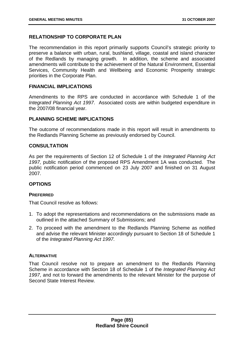# **RELATIONSHIP TO CORPORATE PLAN**

The recommendation in this report primarily supports Council's strategic priority to preserve a balance with urban, rural, bushland, village, coastal and island character of the Redlands by managing growth. In addition, the scheme and associated amendments will contribute to the achievement of the Natural Environment, Essential Services, Community Health and Wellbeing and Economic Prosperity strategic priorities in the Corporate Plan.

# **FINANCIAL IMPLICATIONS**

Amendments to the RPS are conducted in accordance with Schedule 1 of the *Integrated Planning Act 1997*. Associated costs are within budgeted expenditure in the 2007/08 financial year.

## **PLANNING SCHEME IMPLICATIONS**

The outcome of recommendations made in this report will result in amendments to the Redlands Planning Scheme as previously endorsed by Council.

# **CONSULTATION**

As per the requirements of Section 12 of Schedule 1 of the *Integrated Planning Act 1997,* public notification of the proposed RPS Amendment 1A was conducted. The public notification period commenced on 23 July 2007 and finished on 31 August 2007.

# **OPTIONS**

### **PREFERRED**

That Council resolve as follows:

- 1. To adopt the representations and recommendations on the submissions made as outlined in the attached Summary of Submissions; and
- 2. To proceed with the amendment to the Redlands Planning Scheme as notified and advise the relevant Minister accordingly pursuant to Section 18 of Schedule 1 of the *Integrated Planning Act 1997.*

### **ALTERNATIVE**

That Council resolve not to prepare an amendment to the Redlands Planning Scheme in accordance with Section 18 of Schedule 1 of the *Integrated Planning Act 1997*, and not to forward the amendments to the relevant Minister for the purpose of Second State Interest Review.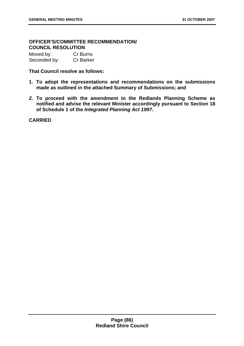# **OFFICER'S/COMMITTEE RECOMMENDATION/ COUNCIL RESOLUTION**

| Moved by:    | Cr Burns  |
|--------------|-----------|
| Seconded by: | Cr Barker |

**That Council resolve as follows:** 

- **1. To adopt the representations and recommendations on the submissions made as outlined in the attached Summary of Submissions; and**
- *2.* **To proceed with the amendment to the Redlands Planning Scheme as notified and advise the relevant Minister accordingly pursuant to Section 18 of Schedule 1 of the** *Integrated Planning Act 1997.*

**CARRIED**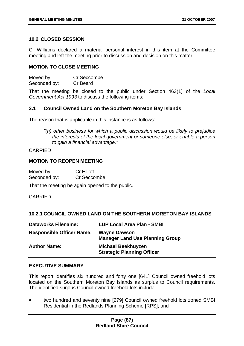# **10.2 CLOSED SESSION**

Cr Williams declared a material personal interest in this item at the Committee meeting and left the meeting prior to discussion and decision on this matter.

### **MOTION TO CLOSE MEETING**

Moved by: Cr Seccombe Seconded by: Cr Beard

That the meeting be closed to the public under Section 463(1) of the *Local Government Act 1993* to discuss the following items:

## **2.1 Council Owned Land on the Southern Moreton Bay Islands**

The reason that is applicable in this instance is as follows:

*"(h) other business for which a public discussion would be likely to prejudice the interests of the local government or someone else, or enable a person to gain a financial advantage."* 

## CARRIED

### **MOTION TO REOPEN MEETING**

| Moved by:    | <b>Cr Elliott</b> |
|--------------|-------------------|
| Seconded by: | Cr Seccombe       |

That the meeting be again opened to the public.

### CARRIED

# **10.2.1 COUNCIL OWNED LAND ON THE SOUTHERN MORETON BAY ISLANDS**

| <b>Dataworks Filename:</b>       | <b>LUP Local Area Plan - SMBI</b>                              |
|----------------------------------|----------------------------------------------------------------|
| <b>Responsible Officer Name:</b> | <b>Wayne Dawson</b><br><b>Manager Land Use Planning Group</b>  |
| <b>Author Name:</b>              | <b>Michael Beekhuyzen</b><br><b>Strategic Planning Officer</b> |

### **EXECUTIVE SUMMARY**

This report identifies six hundred and forty one [641] Council owned freehold lots located on the Southern Moreton Bay Islands as surplus to Council requirements. The identified surplus Council owned freehold lots include:

• two hundred and seventy nine [279] Council owned freehold lots zoned SMBI Residential in the Redlands Planning Scheme [RPS]; and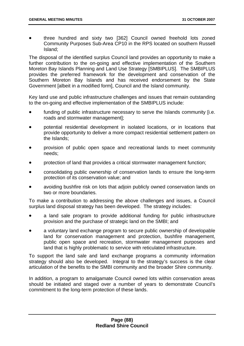• three hundred and sixty two [362] Council owned freehold lots zoned Community Purposes Sub-Area CP10 in the RPS located on southern Russell Island;

The disposal of the identified surplus Council land provides an opportunity to make a further contribution to the on-going and effective implementation of the Southern Moreton Bay Islands Planning and Land Use Strategy [SMBIPLUS]. The SMBIPLUS provides the preferred framework for the development and conservation of the Southern Moreton Bay Islands and has received endorsement by the State Government [albeit in a modified form], Council and the Island community.

Key land use and public infrastructure challenges and issues that remain outstanding to the on-going and effective implementation of the SMBIPLUS include:

- funding of public infrastructure necessary to serve the Islands community [i.e. roads and stormwater management];
- potential residential development in isolated locations, or in locations that provide opportunity to deliver a more compact residential settlement pattern on the Islands;
- provision of public open space and recreational lands to meet community needs;
- protection of land that provides a critical stormwater management function;
- consolidating public ownership of conservation lands to ensure the long-term protection of its conservation value; and
- avoiding bushfire risk on lots that adjoin publicly owned conservation lands on two or more boundaries.

To make a contribution to addressing the above challenges and issues, a Council surplus land disposal strategy has been developed. The strategy includes:

- a land sale program to provide additional funding for public infrastructure provision and the purchase of strategic land on the SMBI; and
- a voluntary land exchange program to secure public ownership of developable land for conservation management and protection, bushfire management, public open space and recreation, stormwater management purposes and land that is highly problematic to service with reticulated infrastructure.

To support the land sale and land exchange programs a community information strategy should also be developed. Integral to the strategy's success is the clear articulation of the benefits to the SMBI community and the broader Shire community.

In addition, a program to amalgamate Council owned lots within conservation areas should be initiated and staged over a number of years to demonstrate Council's commitment to the long-term protection of these lands.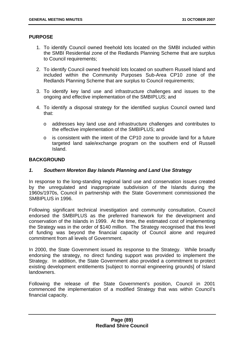### **PURPOSE**

- 1. To identify Council owned freehold lots located on the SMBI included within the SMBI Residential zone of the Redlands Planning Scheme that are surplus to Council requirements;
- 2. To identify Council owned freehold lots located on southern Russell Island and included within the Community Purposes Sub-Area CP10 zone of the Redlands Planning Scheme that are surplus to Council requirements;
- 3. To identify key land use and infrastructure challenges and issues to the ongoing and effective implementation of the SMBIPLUS; and
- 4. To identify a disposal strategy for the identified surplus Council owned land that:
	- o addresses key land use and infrastructure challenges and contributes to the effective implementation of the SMBIPLUS; and
	- o is consistent with the intent of the CP10 zone to provide land for a future targeted land sale/exchange program on the southern end of Russell Island.

# **BACKGROUND**

## *1. Southern Moreton Bay Islands Planning and Land Use Strategy*

In response to the long-standing regional land use and conservation issues created by the unregulated and inappropriate subdivision of the Islands during the 1960s/1970s, Council in partnership with the State Government commissioned the SMBIPLUS in 1996.

Following significant technical investigation and community consultation, Council endorsed the SMBIPLUS as the preferred framework for the development and conservation of the Islands in 1999. At the time, the estimated cost of implementing the Strategy was in the order of \$140 million. The Strategy recognised that this level of funding was beyond the financial capacity of Council alone and required commitment from all levels of Government.

In 2000, the State Government issued its response to the Strategy. While broadly endorsing the strategy, no direct funding support was provided to implement the Strategy. In addition, the State Government also provided a commitment to protect existing development entitlements [subject to normal engineering grounds] of Island landowners.

Following the release of the State Government's position, Council in 2001 commenced the implementation of a modified Strategy that was within Council's financial capacity.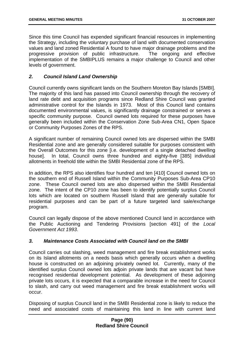Since this time Council has expended significant financial resources in implementing the Strategy, including the voluntary purchase of land with documented conservation values and land zoned Residential A found to have major drainage problems and the progressive provision of public infrastructure. The ongoing and effective implementation of the SMBIPLUS remains a major challenge to Council and other levels of government.

# *2. Council Island Land Ownership*

Council currently owns significant lands on the Southern Moreton Bay Islands [SMBI]. The majority of this land has passed into Council ownership through the recovery of land rate debt and acquisition programs since Redland Shire Council was granted administrative control for the Islands in 1973. Most of this Council land contains documented environmental values, is significantly drainage constrained or serves a specific community purpose. Council owned lots required for these purposes have generally been included within the Conservation Zone Sub-Area CN1, Open Space or Community Purposes Zones of the RPS.

A significant number of remaining Council owned lots are dispersed within the SMBI Residential zone and are generally considered suitable for purposes consistent with the Overall Outcomes for this zone [i.e. development of a single detached dwelling house]. In total, Council owns three hundred and eighty-five [385] individual allotments in freehold title within the SMBI Residential zone of the RPS.

In addition, the RPS also identifies four hundred and ten [410] Council owned lots on the southern end of Russell Island within the Community Purposes Sub-Area CP10 zone. These Council owned lots are also dispersed within the SMBI Residential zone. The intent of the CP10 zone has been to identify potentially surplus Council lots which are located on southern Russell Island that are generally suitable for residential purposes and can be part of a future targeted land sale/exchange program.

Council can legally dispose of the above mentioned Council land in accordance with the Public Auctioning and Tendering Provisions [section 491] of the *Local Government Act 1993*.

# *3. Maintenance Costs Associated with Council land on the SMBI*

Council carries out slashing, weed management and fire break establishment works on its Island allotments on a needs basis which generally occurs when a dwelling house is constructed on an adjoining privately owned lot. Currently, many of the identified surplus Council owned lots adjoin private lands that are vacant but have recognised residential development potential. As development of these adjoining private lots occurs, it is expected that a comparable increase in the need for Council to slash, and carry out weed management and fire break establishment works will occur.

Disposing of surplus Council land in the SMBI Residential zone is likely to reduce the need and associated costs of maintaining this land in line with current land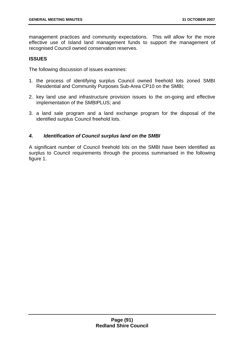management practices and community expectations. This will allow for the more effective use of Island land management funds to support the management of recognised Council owned conservation reserves.

# **ISSUES**

The following discussion of issues examines:

- 1. the process of identifying surplus Council owned freehold lots zoned SMBI Residential and Community Purposes Sub-Area CP10 on the SMBI;
- 2. key land use and infrastructure provision issues to the on-going and effective implementation of the SMBIPLUS; and
- 3. a land sale program and a land exchange program for the disposal of the identified surplus Council freehold lots.

## *4. Identification of Council surplus land on the SMBI*

A significant number of Council freehold lots on the SMBI have been identified as surplus to Council requirements through the process summarised in the following figure 1.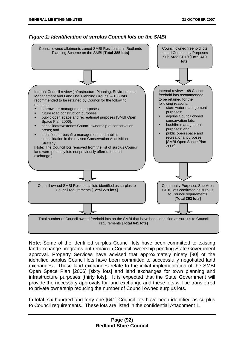



**Note**: Some of the identified surplus Council lots have been committed to existing land exchange programs but remain in Council ownership pending State Government approval. Property Services have advised that approximately ninety [90] of the identified surplus Council lots have been committed to successfully negotiated land exchanges. These land exchanges relate to the initial implementation of the SMBI Open Space Plan [2006] [sixty lots] and land exchanges for town planning and infrastructure purposes [thirty lots]. It is expected that the State Government will provide the necessary approvals for land exchange and these lots will be transferred to private ownership reducing the number of Council owned surplus lots.

In total, six hundred and forty one [641] Council lots have been identified as surplus to Council requirements. These lots are listed in the confidential Attachment 1.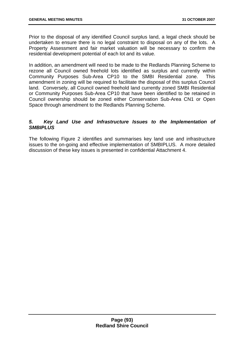Prior to the disposal of any identified Council surplus land, a legal check should be undertaken to ensure there is no legal constraint to disposal on any of the lots. A Property Assessment and fair market valuation will be necessary to confirm the residential development potential of each lot and its value.

In addition, an amendment will need to be made to the Redlands Planning Scheme to rezone all Council owned freehold lots identified as surplus and currently within Community Purposes Sub-Area CP10 to the SMBI Residential zone. This amendment in zoning will be required to facilitate the disposal of this surplus Council land. Conversely, all Council owned freehold land currently zoned SMBI Residential or Community Purposes Sub-Area CP10 that have been identified to be retained in Council ownership should be zoned either Conservation Sub-Area CN1 or Open Space through amendment to the Redlands Planning Scheme.

# *5. Key Land Use and Infrastructure Issues to the Implementation of SMBIPLUS*

The following Figure 2 identifies and summarises key land use and infrastructure issues to the on-going and effective implementation of SMBIPLUS. A more detailed discussion of these key issues is presented in confidential Attachment 4.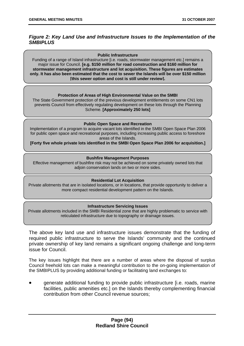# *Figure 2: Key Land Use and Infrastructure Issues to the Implementation of the SMBIPLUS*

#### **Public Infrastructure**

Funding of a range of Island infrastructure [i.e. roads, stormwater management etc.] remains a major issue for Council. **[e.g. \$150 million for road construction and \$160 million for stormwater management infrastructure and lot acquisition. These figures are estimates only. It has also been estimated that the cost to sewer the Islands will be over \$150 million [this sewer option and cost is still under review].** 

#### **Protection of Areas of High Environmental Value on the SMBI**

The State Government protection of the previous development entitlements on some CN1 lots prevents Council from effectively regulating development on these lots through the Planning Scheme. **[Approximately 250 lots]**

#### **Public Open Space and Recreation**

Implementation of a program to acquire vacant lots identified in the SMBI Open Space Plan 2006 for public open space and recreational purposes, including increasing public access to foreshore areas of the Islands.

**[Forty five whole private lots identified in the SMBI Open Space Plan 2006 for acquisition.]** 

#### **Bushfire Management Purposes**

Effective management of bushfire risk may not be achieved on some privately owned lots that adjoin conservation lands on two or more sides.

#### **Residential Lot Acquisition**

Private allotments that are in isolated locations, or in locations, that provide opportunity to deliver a more compact residential development pattern on the Islands.

#### **Infrastructure Servicing Issues**

Private allotments included in the SMBI Residential zone that are highly problematic to service with reticulated infrastructure due to topography or drainage issues.

The above key land use and infrastructure issues demonstrate that the funding of required public infrastructure to serve the Islands' community and the continued private ownership of key land remains a significant ongoing challenge and long-term issue for Council.

The key issues highlight that there are a number of areas where the disposal of surplus Council freehold lots can make a meaningful contribution to the on-going implementation of the SMBIPLUS by providing additional funding or facilitating land exchanges to:

• generate additional funding to provide public infrastructure [i.e. roads, marine facilities, public amenities etc.] on the Islands thereby complementing financial contribution from other Council revenue sources;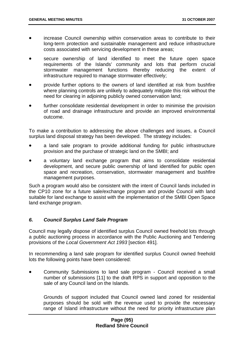- increase Council ownership within conservation areas to contribute to their long-term protection and sustainable management and reduce infrastructure costs associated with servicing development in these areas;
- secure ownership of land identified to meet the future open space requirements of the Islands' community and lots that perform crucial stormwater management functions thereby reducing the extent of infrastructure required to manage stormwater effectively;
- provide further options to the owners of land identified at risk from bushfire where planning controls are unlikely to adequately mitigate this risk without the need for clearing in adjoining publicly owned conservation land;
- further consolidate residential development in order to minimise the provision of road and drainage infrastructure and provide an improved environmental outcome.

To make a contribution to addressing the above challenges and issues, a Council surplus land disposal strategy has been developed. The strategy includes:

- a land sale program to provide additional funding for public infrastructure provision and the purchase of strategic land on the SMBI; and
- a voluntary land exchange program that aims to consolidate residential development, and secure public ownership of land identified for public open space and recreation, conservation, stormwater management and bushfire management purposes.

Such a program would also be consistent with the intent of Council lands included in the CP10 zone for a future sale/exchange program and provide Council with land suitable for land exchange to assist with the implementation of the SMBI Open Space land exchange program.

# *6. Council Surplus Land Sale Program*

Council may legally dispose of identified surplus Council owned freehold lots through a public auctioning process in accordance with the Public Auctioning and Tendering provisions of the *Local Government Act 1993* [section 491].

In recommending a land sale program for identified surplus Council owned freehold lots the following points have been considered:

• Community Submissions to land sale program - Council received a small number of submissions [11] to the draft RPS in support and opposition to the sale of any Council land on the Islands.

Grounds of support included that Council owned land zoned for residential purposes should be sold with the revenue used to provide the necessary range of Island infrastructure without the need for priority infrastructure plan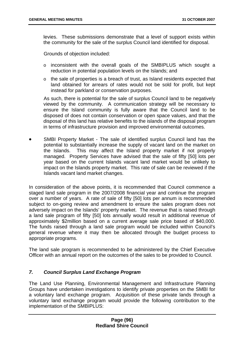levies. These submissions demonstrate that a level of support exists within the community for the sale of the surplus Council land identified for disposal.

Grounds of objection included:

- o inconsistent with the overall goals of the SMBIPLUS which sought a reduction in potential population levels on the Islands; and
- o the sale of properties is a breach of trust, as Island residents expected that land obtained for arrears of rates would not be sold for profit, but kept instead for parkland or conservation purposes.

As such, there is potential for the sale of surplus Council land to be negatively viewed by the community. A communication strategy will be necessary to ensure the Island community is fully aware that the Council land to be disposed of does not contain conservation or open space values, and that the disposal of this land has relative benefits to the islands of the disposal program in terms of infrastructure provision and improved environmental outcomes.

• SMBI Property Market - The sale of identified surplus Council land has the potential to substantially increase the supply of vacant land on the market on the Islands. This may affect the Island property market if not properly managed. Property Services have advised that the sale of fifty [50] lots per year based on the current Islands vacant land market would be unlikely to impact on the Islands property market. This rate of sale can be reviewed if the Islands vacant land market changes.

In consideration of the above points, it is recommended that Council commence a staged land sale program in the 2007/2008 financial year and continue the program over a number of years. A rate of sale of fifty [50] lots per annum is recommended subject to on-going review and amendment to ensure the sales program does not adversely impact on the Islands' property market. The revenue that is raised through a land sale program of fifty [50] lots annually would result in additional revenue of approximately \$2million based on a current average sale price based of \$40,000. The funds raised through a land sale program would be included within Council's general revenue where it may then be allocated through the budget process to appropriate programs.

The land sale program is recommended to be administered by the Chief Executive Officer with an annual report on the outcomes of the sales to be provided to Council.

# *7. Council Surplus Land Exchange Program*

The Land Use Planning, Environmental Management and Infrastructure Planning Groups have undertaken investigations to identify private properties on the SMBI for a voluntary land exchange program. Acquisition of these private lands through a voluntary land exchange program would provide the following contribution to the implementation of the SMBIPLUS: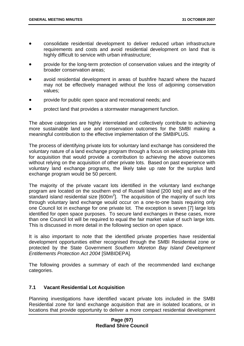- consolidate residential development to deliver reduced urban infrastructure requirements and costs and avoid residential development on land that is highly difficult to service with urban infrastructure;
- provide for the long-term protection of conservation values and the integrity of broader conservation areas;
- avoid residential development in areas of bushfire hazard where the hazard may not be effectively managed without the loss of adjoining conservation values;
- provide for public open space and recreational needs; and
- protect land that provides a stormwater management function.

The above categories are highly interrelated and collectively contribute to achieving more sustainable land use and conservation outcomes for the SMBI making a meaningful contribution to the effective implementation of the SMBIPLUS.

The process of identifying private lots for voluntary land exchange has considered the voluntary nature of a land exchange program through a focus on selecting private lots for acquisition that would provide a contribution to achieving the above outcomes without relying on the acquisition of other private lots. Based on past experience with voluntary land exchange programs, the likely take up rate for the surplus land exchange program would be 50 percent.

The majority of the private vacant lots identified in the voluntary land exchange program are located on the southern end of Russell Island [200 lots] and are of the standard island residential size  $[600m^2]$ . The acquisition of the majority of such lots through voluntary land exchange would occur on a one-to-one basis requiring only one Council lot in exchange for one private lot. The exception is seven [7] large lots identified for open space purposes. To secure land exchanges in these cases, more than one Council lot will be required to equal the fair market value of such large lots. This is discussed in more detail in the following section on open space.

It is also important to note that the identified private properties have residential development opportunities either recognised through the SMBI Residential zone or protected by the State Government *Southern Moreton Bay Island Development Entitlements Protection Act 2004* [SMBIDEPA].

The following provides a summary of each of the recommended land exchange categories.

### **7.1 Vacant Residential Lot Acquisition**

Planning investigations have identified vacant private lots included in the SMBI Residential zone for land exchange acquisition that are in isolated locations, or in locations that provide opportunity to deliver a more compact residential development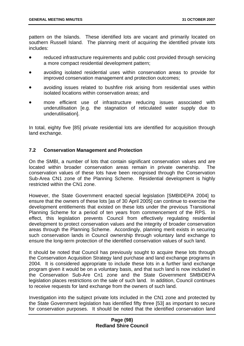pattern on the Islands. These identified lots are vacant and primarily located on southern Russell Island. The planning merit of acquiring the identified private lots includes:

- reduced infrastructure requirements and public cost provided through servicing a more compact residential development pattern;
- avoiding isolated residential uses within conservation areas to provide for improved conservation management and protection outcomes;
- avoiding issues related to bushfire risk arising from residential uses within isolated locations within conservation areas; and
- more efficient use of infrastructure reducing issues associated with underutilisation [e.g. the stagnation of reticulated water supply due to underutilisation].

In total, eighty five [85] private residential lots are identified for acquisition through land exchange.

## **7.2 Conservation Management and Protection**

On the SMBI, a number of lots that contain significant conservation values and are located within broader conservation areas remain in private ownership. The conservation values of these lots have been recognised through the Conservation Sub-Area CN1 zone of the Planning Scheme. Residential development is highly restricted within the CN1 zone.

However, the State Government enacted special legislation [SMBIDEPA 2004] to ensure that the owners of these lots [as of 30 April 2005] can continue to exercise the development entitlements that existed on these lots under the previous Transitional Planning Scheme for a period of ten years from commencement of the RPS. In effect, this legislation prevents Council from effectively regulating residential development to protect conservation values and the integrity of broader conservation areas through the Planning Scheme. Accordingly, planning merit exists in securing such conservation lands in Council ownership through voluntary land exchange to ensure the long-term protection of the identified conservation values of such land.

It should be noted that Council has previously sought to acquire these lots through the Conservation Acquisition Strategy land purchase and land exchange programs in 2004. It is considered appropriate to include these lots in a further land exchange program given it would be on a voluntary basis, and that such land is now included in the Conservation Sub-Are Cn1 zone and the State Government SMBIDEPA legislation places restrictions on the sale of such land. In addition, Council continues to receive requests for land exchange from the owners of such land.

Investigation into the subject private lots included in the CN1 zone and protected by the State Government legislation has identified fifty three [53] as important to secure for conservation purposes. It should be noted that the identified conservation land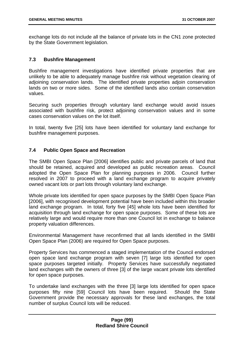exchange lots do not include all the balance of private lots in the CN1 zone protected by the State Government legislation.

# **7.3 Bushfire Management**

Bushfire management investigations have identified private properties that are unlikely to be able to adequately manage bushfire risk without vegetation clearing of adjoining conservation lands. The identified private properties adjoin conservation lands on two or more sides. Some of the identified lands also contain conservation values.

Securing such properties through voluntary land exchange would avoid issues associated with bushfire risk, protect adjoining conservation values and in some cases conservation values on the lot itself.

In total, twenty five [25] lots have been identified for voluntary land exchange for bushfire management purposes.

## **7.4 Public Open Space and Recreation**

The SMBI Open Space Plan [2006] identifies public and private parcels of land that should be retained, acquired and developed as public recreation areas. Council adopted the Open Space Plan for planning purposes in 2006. Council further resolved in 2007 to proceed with a land exchange program to acquire privately owned vacant lots or part lots through voluntary land exchange.

Whole private lots identified for open space purposes by the SMBI Open Space Plan [2006], with recognised development potential have been included within this broader land exchange program. In total, forty five [45] whole lots have been identified for acquisition through land exchange for open space purposes. Some of these lots are relatively large and would require more than one Council lot in exchange to balance property valuation differences.

Environmental Management have reconfirmed that all lands identified in the SMBI Open Space Plan (2006) are required for Open Space purposes.

Property Services has commenced a staged implementation of the Council endorsed open space land exchange program with seven [7] large lots identified for open space purposes targeted initially. Property Services have successfully negotiated land exchanges with the owners of three [3] of the large vacant private lots identified for open space purposes.

To undertake land exchanges with the three [3] large lots identified for open space purposes fifty nine [59] Council lots have been required. Should the State Government provide the necessary approvals for these land exchanges, the total number of surplus Council lots will be reduced.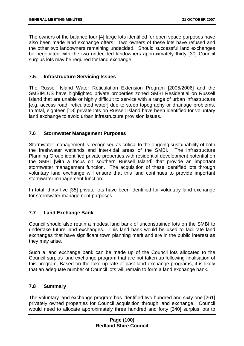The owners of the balance four [4] large lots identified for open space purposes have also been made land exchange offers. Two owners of these lots have refused and the other two landowners remaining undecided. Should successful land exchanges be negotiated with the two undecided landowners approximately thirty [30] Council surplus lots may be required for land exchange.

# **7.5 Infrastructure Servicing Issues**

The Russell Island Water Reticulation Extension Program [2005/2006] and the SMBIPLUS have highlighted private properties zoned SMBI Residential on Russell Island that are unable or highly difficult to service with a range of urban infrastructure [e.g. access road, reticulated water] due to steep topography or drainage problems. In total, eighteen [18] private lots on Russell Island have been identified for voluntary land exchange to avoid urban infrastructure provision issues.

# **7.6 Stormwater Management Purposes**

Stormwater management is recognised as critical to the ongoing sustainability of both the freshwater wetlands and inter-tidal areas of the SMBI. The Infrastructure Planning Group identified private properties with residential development potential on the SMBI [with a focus on southern Russell Island] that provide an important stormwater management function. The acquisition of these identified lots through voluntary land exchange will ensure that this land continues to provide important stormwater management function.

In total, thirty five [35] private lots have been identified for voluntary land exchange for stormwater management purposes.

# **7.7 Land Exchange Bank**

Council should also retain a modest land bank of unconstrained lots on the SMBI to undertake future land exchanges. This land bank would be used to facilitate land exchanges that have significant town planning merit and are in the public interest as they may arise.

Such a land exchange bank can be made up of the Council lots allocated to the Council surplus land exchange program that are not taken up following finalisation of this program. Based on the take up rate of past land exchange programs, it is likely that an adequate number of Council lots will remain to form a land exchange bank.

# **7.8 Summary**

The voluntary land exchange program has identified two hundred and sixty one [261] privately owned properties for Council acquisition through land exchange. Council would need to allocate approximately three hundred and forty [340] surplus lots to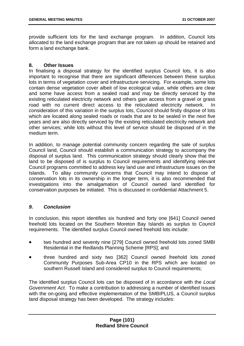provide sufficient lots for the land exchange program. In addition, Council lots allocated to the land exchange program that are not taken up should be retained and form a land exchange bank.

### **8. Other Issues**

In finalising a disposal strategy for the identified surplus Council lots, it is also important to recognise that there are significant differences between these surplus lots in terms of vegetation cover and infrastructure servicing. For example, some lots contain dense vegetation cover albeit of low ecological value, while others are clear and some have access from a sealed road and may be directly serviced by the existing reticulated electricity network and others gain access from a gravel or grass road with no current direct access to the reticulated electricity network. In consideration of this variation in the surplus lots, Council should firstly dispose of lots which are located along sealed roads or roads that are to be sealed in the next five years and are also directly serviced by the existing reticulated electricity network and other services; while lots without this level of service should be disposed of in the medium term.

In addition, to manage potential community concern regarding the sale of surplus Council land, Council should establish a communication strategy to accompany the disposal of surplus land. This communication strategy should clearly show that the land to be disposed of is surplus to Council requirements and identifying relevant Council programs committed to address key land use and infrastructure issues on the Islands. To allay community concerns that Council may intend to dispose of conservation lots in its ownership in the longer term, it is also recommended that investigations into the amalgamation of Council owned land identified for conservation purposes be initiated. This is discussed in confidential Attachment 5.

# *9. Conclusion*

In conclusion, this report identifies six hundred and forty one [641] Council owned freehold lots located on the Southern Moreton Bay Islands as surplus to Council requirements. The identified surplus Council owned freehold lots include:

- two hundred and seventy nine [279] Council owned freehold lots zoned SMBI Residential in the Redlands Planning Scheme [RPS]; and
- three hundred and sixty two [362] Council owned freehold lots zoned Community Purposes Sub-Area CP10 in the RPS which are located on southern Russell Island and considered surplus to Council requirements;

The identified surplus Council lots can be disposed of in accordance with the *Local Government Act.* To make a contribution to addressing a number of identified issues with the on-going and effective implementation of the SMBIPLUS, a Council surplus land disposal strategy has been developed. The strategy includes: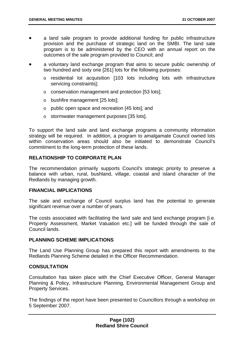- a land sale program to provide additional funding for public infrastructure provision and the purchase of strategic land on the SMBI. The land sale program is to be administered by the CEO with an annual report on the outcomes of the sale program provided to Council; and
- a voluntary land exchange program that aims to secure public ownership of two hundred and sixty one [261] lots for the following purposes:
	- o residential lot acquisition [103 lots including lots with infrastructure servicing constraints];
	- o conservation management and protection [53 lots];
	- o bushfire management [25 lots];
	- o public open space and recreation [45 lots]; and
	- o stormwater management purposes [35 lots].

To support the land sale and land exchange programs a community information strategy will be required. In addition, a program to amalgamate Council owned lots within conservation areas should also be initiated to demonstrate Council's commitment to the long-term protection of these lands.

# **RELATIONSHIP TO CORPORATE PLAN**

The recommendation primarily supports Council's strategic priority to preserve a balance with urban, rural, bushland, village, coastal and island character of the Redlands by managing growth.

### **FINANCIAL IMPLICATIONS**

The sale and exchange of Council surplus land has the potential to generate significant revenue over a number of years.

The costs associated with facilitating the land sale and land exchange program [i.e. Property Assessment, Market Valuation etc.] will be funded through the sale of Council lands.

### **PLANNING SCHEME IMPLICATIONS**

The Land Use Planning Group has prepared this report with amendments to the Redlands Planning Scheme detailed in the Officer Recommendation.

### **CONSULTATION**

Consultation has taken place with the Chief Executive Officer, General Manager Planning & Policy, Infrastructure Planning, Environmental Management Group and Property Services.

The findings of the report have been presented to Councillors through a workshop on 5 September 2007.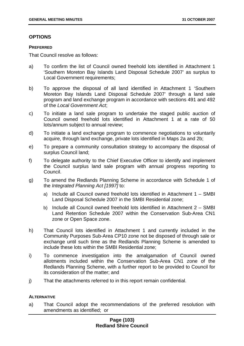# **OPTIONS**

#### **PREFERRED**

That Council resolve as follows:

- a) To confirm the list of Council owned freehold lots identified in Attachment 1 'Southern Moreton Bay Islands Land Disposal Schedule 2007' as surplus to Local Government requirements;
- b) To approve the disposal of all land identified in Attachment 1 'Southern Moreton Bay Islands Land Disposal Schedule 2007' through a land sale program and land exchange program in accordance with sections 491 and 492 of the *Local Government Act*;
- c) To initiate a land sale program to undertake the staged public auction of Council owned freehold lots identified in Attachment 1 at a rate of 50 lots/annum subject to annual review;
- d) To initiate a land exchange program to commence negotiations to voluntarily acquire, through land exchange, private lots identified in Maps 2a and 2b;
- e) To prepare a community consultation strategy to accompany the disposal of surplus Council land;
- f) To delegate authority to the Chief Executive Officer to identify and implement the Council surplus land sale program with annual progress reporting to Council.
- g) To amend the Redlands Planning Scheme in accordance with Schedule 1 of the *Integrated Planning Act [1997]* to:
	- a) Include all Council owned freehold lots identified in Attachment 1 SMBI Land Disposal Schedule 2007 in the SMBI Residential zone;
	- b) Include all Council owned freehold lots identified in Attachment 2 SMBI Land Retention Schedule 2007 within the Conservation Sub-Area CN1 zone or Open Space zone.
- h) That Council lots identified in Attachment 1 and currently included in the Community Purposes Sub-Area CP10 zone not be disposed of through sale or exchange until such time as the Redlands Planning Scheme is amended to include these lots within the SMBI Residential zone;
- i) To commence investigation into the amalgamation of Council owned allotments included within the Conservation Sub-Area CN1 zone of the Redlands Planning Scheme, with a further report to be provided to Council for its consideration of the matter; and
- j) That the attachments referred to in this report remain confidential.

### **ALTERNATIVE**

a) That Council adopt the recommendations of the preferred resolution with amendments as identified; or

## **Page (103) Redland Shire Council**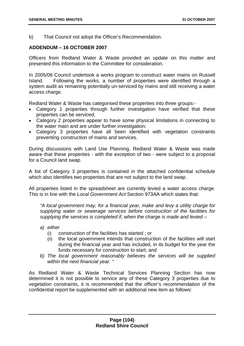b) That Council not adopt the Officer's Recommendation.

### **ADDENDUM – 16 OCTOBER 2007**

Officers from Redland Water & Waste provided an update on this matter and presented this information to the Committee for consideration.

In 2005/06 Council undertook a works program to construct water mains on Russell Island. Following the works, a number of properties were identified through a system audit as remaining potentially un-serviced by mains and still receiving a water access charge.

Redland Water & Waste has categorised these properties into three groups:-

- Category 1 properties through further investigation have verified that these properties can be serviced;
- Category 2 properties appear to have some physical limitations in connecting to the water main and are under further investigation;
- Category 3 properties have all been identified with vegetation constraints preventing construction of mains and services.

During discussions with Land Use Planning, Redland Water & Waste was made aware that these properties - with the exception of two - were subject to a proposal for a Council land swap.

A list of Category 3 properties is contained in the attached confidential schedule which also identifies two properties that are not subject to the land swap.

All properties listed in the spreadsheet are currently levied a water access charge. This is in line with the *Local Government Act* Section 973AA which states that:

*"A local government may, for a financial year, make and levy a utility charge for supplying water or sewerage services before construction of the facilities for supplying the services is completed if, when the charge is made and levied –* 

- *a) either* 
	- (i) construction of the facilities has started ; or
	- (ii) the local government intends that construction of the facilities will start during the financial year and has included, in its budget for the year the funds necessary for construction to start; and
- *b) The local government reasonably believes the services will be supplied within the next financial year. "*

As Redland Water & Waste Technical Services Planning Section has now determined it is not possible to service any of these Category 3 properties due to vegetation constraints, it is recommended that the officer's recommendation of the confidential report be supplemented with an additional new item as follows: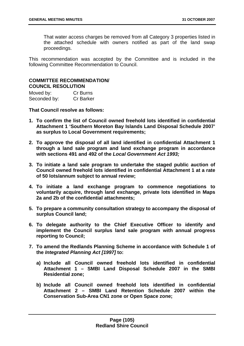That water access charges be removed from all Category 3 properties listed in the attached schedule with owners notified as part of the land swap proceedings.

This recommendation was accepted by the Committee and is included in the following Committee Recommendation to Council.

## **COMMITTEE RECOMMENDATION/ COUNCIL RESOLUTION**

| Moved by:    | Cr Burns         |
|--------------|------------------|
| Seconded by: | <b>Cr Barker</b> |

**That Council resolve as follows:** 

- **1. To confirm the list of Council owned freehold lots identified in confidential Attachment 1 'Southern Moreton Bay Islands Land Disposal Schedule 2007' as surplus to Local Government requirements;**
- **2. To approve the disposal of all land identified in confidential Attachment 1 through a land sale program and land exchange program in accordance with sections 491 and 492 of the** *Local Government Act 1993;*
- **3. To initiate a land sale program to undertake the staged public auction of Council owned freehold lots identified in confidential Attachment 1 at a rate of 50 lots/annum subject to annual review;**
- **4. To initiate a land exchange program to commence negotiations to voluntarily acquire, through land exchange, private lots identified in Maps 2a and 2b of the confidential attachments;**
- **5. To prepare a community consultation strategy to accompany the disposal of surplus Council land;**
- **6. To delegate authority to the Chief Executive Officer to identify and implement the Council surplus land sale program with annual progress reporting to Council;**
- **7. To amend the Redlands Planning Scheme in accordance with Schedule 1 of the** *Integrated Planning Act [1997]* **to:** 
	- **a) Include all Council owned freehold lots identified in confidential Attachment 1 – SMBI Land Disposal Schedule 2007 in the SMBI Residential zone;**
	- **b) Include all Council owned freehold lots identified in confidential Attachment 2 – SMBI Land Retention Schedule 2007 within the Conservation Sub-Area CN1 zone or Open Space zone;**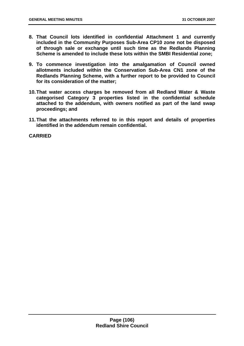- **8. That Council lots identified in confidential Attachment 1 and currently included in the Community Purposes Sub-Area CP10 zone not be disposed of through sale or exchange until such time as the Redlands Planning Scheme is amended to include these lots within the SMBI Residential zone;**
- **9. To commence investigation into the amalgamation of Council owned allotments included within the Conservation Sub-Area CN1 zone of the Redlands Planning Scheme, with a further report to be provided to Council for its consideration of the matter;**
- **10. That water access charges be removed from all Redland Water & Waste categorised Category 3 properties listed in the confidential schedule attached to the addendum, with owners notified as part of the land swap proceedings; and**
- **11. That the attachments referred to in this report and details of properties identified in the addendum remain confidential.**

**CARRIED**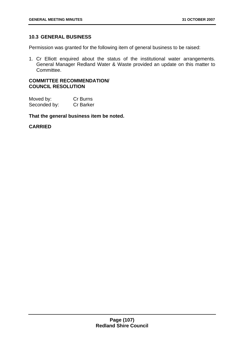# **10.3 GENERAL BUSINESS**

Permission was granted for the following item of general business to be raised:

1. Cr Elliott enquired about the status of the institutional water arrangements. General Manager Redland Water & Waste provided an update on this matter to Committee.

### **COMMITTEE RECOMMENDATION/ COUNCIL RESOLUTION**

| Moved by:    | Cr Burns         |
|--------------|------------------|
| Seconded by: | <b>Cr Barker</b> |

**That the general business item be noted.** 

### **CARRIED**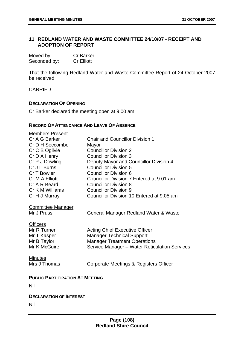## **11 REDLAND WATER AND WASTE COMMITTEE 24/10/07 - RECEIPT AND ADOPTION OF REPORT**

| Moved by:    | <b>Cr Barker</b>  |
|--------------|-------------------|
| Seconded by: | <b>Cr Elliott</b> |

That the following Redland Water and Waste Committee Report of 24 October 2007 be received

CARRIED

#### **DECLARATION OF OPENING**

Cr Barker declared the meeting open at 9.00 am.

## **RECORD OF ATTENDANCE AND LEAVE OF ABSENCE**

| <b>Members Present</b><br>Cr A G Barker<br>Cr D H Seccombe<br>Cr C B Ogilvie<br>Cr D A Henry<br>Cr P J Dowling<br>Cr J L Burns<br>Cr T Bowler<br>Cr M A Elliott<br>Cr A R Beard<br>Cr K M Williams<br>Cr H J Murray | <b>Chair and Councillor Division 1</b><br>Mayor<br><b>Councillor Division 2</b><br><b>Councillor Division 3</b><br>Deputy Mayor and Councillor Division 4<br><b>Councillor Division 5</b><br><b>Councillor Division 6</b><br>Councillor Division 7 Entered at 9.01 am<br><b>Councillor Division 8</b><br><b>Councillor Division 9</b><br>Councillor Division 10 Entered at 9.05 am |  |
|---------------------------------------------------------------------------------------------------------------------------------------------------------------------------------------------------------------------|------------------------------------------------------------------------------------------------------------------------------------------------------------------------------------------------------------------------------------------------------------------------------------------------------------------------------------------------------------------------------------|--|
|                                                                                                                                                                                                                     |                                                                                                                                                                                                                                                                                                                                                                                    |  |
| <b>Committee Manager</b><br>Mr J Pruss                                                                                                                                                                              | General Manager Redland Water & Waste                                                                                                                                                                                                                                                                                                                                              |  |
| <b>Officers</b><br>Mr R Turner<br>Mr T Kasper<br>Mr B Taylor<br>Mr K McGuire                                                                                                                                        | <b>Acting Chief Executive Officer</b><br><b>Manager Technical Support</b><br><b>Manager Treatment Operations</b><br>Service Manager - Water Reticulation Services                                                                                                                                                                                                                  |  |
| <b>Minutes</b><br>Mrs J Thomas                                                                                                                                                                                      | Corporate Meetings & Registers Officer                                                                                                                                                                                                                                                                                                                                             |  |
| <b>PUBLIC PARTICIPATION AT MEETING</b>                                                                                                                                                                              |                                                                                                                                                                                                                                                                                                                                                                                    |  |
| Nil                                                                                                                                                                                                                 |                                                                                                                                                                                                                                                                                                                                                                                    |  |
| <b>DECLARATION OF INTEREST</b><br>Nil                                                                                                                                                                               |                                                                                                                                                                                                                                                                                                                                                                                    |  |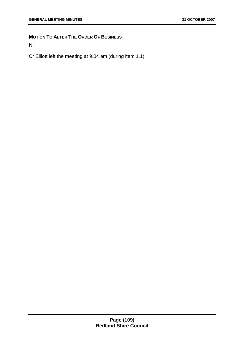# **MOTION TO ALTER THE ORDER OF BUSINESS**

Nil

Cr Elliott left the meeting at 9.04 am (during item 1.1).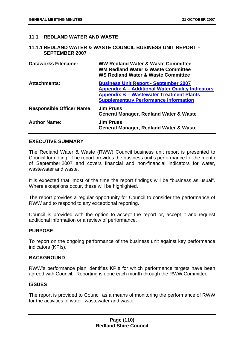## **11.1 REDLAND WATER AND WASTE**

#### **11.1.1 REDLAND WATER & WASTE COUNCIL BUSINESS UNIT REPORT – SEPTEMBER 2007**

| <b>Dataworks Filename:</b>       | <b>WW Redland Water &amp; Waste Committee</b><br><b>WM Redland Water &amp; Waste Committee</b><br><b>WS Redland Water &amp; Waste Committee</b>                                                            |
|----------------------------------|------------------------------------------------------------------------------------------------------------------------------------------------------------------------------------------------------------|
| <b>Attachments:</b>              | <b>Business Unit Report - September 2007</b><br><b>Appendix A - Additional Water Quality Indicators</b><br><b>Appendix B – Wastewater Treatment Plants</b><br><b>Supplementary Performance Information</b> |
| <b>Responsible Officer Name:</b> | <b>Jim Pruss</b><br><b>General Manager, Redland Water &amp; Waste</b>                                                                                                                                      |
| <b>Author Name:</b>              | <b>Jim Pruss</b><br><b>General Manager, Redland Water &amp; Waste</b>                                                                                                                                      |

## **EXECUTIVE SUMMARY**

The Redland Water & Waste (RWW) Council business unit report is presented to Council for noting. The report provides the business unit's performance for the month of September 2007 and covers financial and non-financial indicators for water, wastewater and waste.

It is expected that, most of the time the report findings will be "business as usual". Where exceptions occur, these will be highlighted.

The report provides a regular opportunity for Council to consider the performance of RWW and to respond to any exceptional reporting.

Council is provided with the option to accept the report or, accept it and request additional information or a review of performance.

#### **PURPOSE**

To report on the ongoing performance of the business unit against key performance indicators (KPIs).

#### **BACKGROUND**

RWW's performance plan identifies KPIs for which performance targets have been agreed with Council. Reporting is done each month through the RWW Committee.

#### **ISSUES**

The report is provided to Council as a means of monitoring the performance of RWW for the activities of water, wastewater and waste.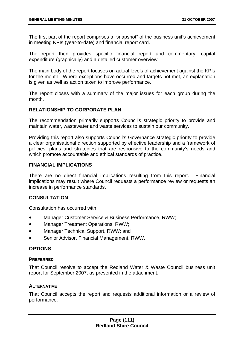The first part of the report comprises a "snapshot" of the business unit's achievement in meeting KPIs (year-to-date) and financial report card.

The report then provides specific financial report and commentary, capital expenditure (graphically) and a detailed customer overview.

The main body of the report focuses on actual levels of achievement against the KPIs for the month. Where exceptions have occurred and targets not met, an explanation is given as well as action taken to improve performance.

The report closes with a summary of the major issues for each group during the month.

## **RELATIONSHIP TO CORPORATE PLAN**

The recommendation primarily supports Council's strategic priority to provide and maintain water, wastewater and waste services to sustain our community.

Providing this report also supports Council's Governance strategic priority to provide a clear organisational direction supported by effective leadership and a framework of policies, plans and strategies that are responsive to the community's needs and which promote accountable and ethical standards of practice.

## **FINANCIAL IMPLICATIONS**

There are no direct financial implications resulting from this report. Financial implications may result where Council requests a performance review or requests an increase in performance standards.

## **CONSULTATION**

Consultation has occurred with:

- Manager Customer Service & Business Performance, RWW;
- Manager Treatment Operations, RWW;
- Manager Technical Support, RWW; and
- Senior Advisor, Financial Management, RWW.

#### **OPTIONS**

#### **PREFERRED**

That Council resolve to accept the Redland Water & Waste Council business unit report for September 2007, as presented in the attachment.

#### **ALTERNATIVE**

That Council accepts the report and requests additional information or a review of performance.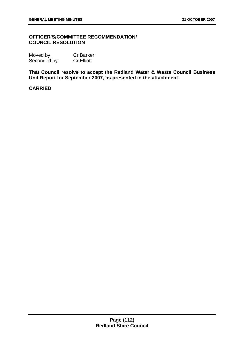## **OFFICER'S/COMMITTEE RECOMMENDATION/ COUNCIL RESOLUTION**

| Moved by:    | <b>Cr Barker</b>  |
|--------------|-------------------|
| Seconded by: | <b>Cr Elliott</b> |

**That Council resolve to accept the Redland Water & Waste Council Business Unit Report for September 2007, as presented in the attachment.** 

## **CARRIED**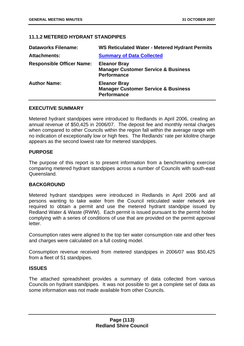## **11.1.2 METERED HYDRANT STANDPIPES**

| <b>Dataworks Filename:</b>       | <b>WS Reticulated Water - Metered Hydrant Permits</b>                                       |
|----------------------------------|---------------------------------------------------------------------------------------------|
| <b>Attachments:</b>              | <b>Summary of Data Collected</b>                                                            |
| <b>Responsible Officer Name:</b> | <b>Eleanor Bray</b><br><b>Manager Customer Service &amp; Business</b><br><b>Performance</b> |
| <b>Author Name:</b>              | <b>Eleanor Bray</b><br><b>Manager Customer Service &amp; Business</b><br><b>Performance</b> |

#### **EXECUTIVE SUMMARY**

Metered hydrant standpipes were introduced to Redlands in April 2006, creating an annual revenue of \$50,425 in 2006/07. The deposit fee and monthly rental charges when compared to other Councils within the region fall within the average range with no indication of exceptionally low or high fees. The Redlands' rate per kilolitre charge appears as the second lowest rate for metered standpipes.

#### **PURPOSE**

The purpose of this report is to present information from a benchmarking exercise comparing metered hydrant standpipes across a number of Councils with south-east **Queensland** 

## **BACKGROUND**

Metered hydrant standpipes were introduced in Redlands in April 2006 and all persons wanting to take water from the Council reticulated water network are required to obtain a permit and use the metered hydrant standpipe issued by Redland Water & Waste (RWW). Each permit is issued pursuant to the permit holder complying with a series of conditions of use that are provided on the permit approval letter.

Consumption rates were aligned to the top tier water consumption rate and other fees and charges were calculated on a full costing model.

Consumption revenue received from metered standpipes in 2006/07 was \$50,425 from a fleet of 51 standpipes.

#### **ISSUES**

The attached spreadsheet provides a summary of data collected from various Councils on hydrant standpipes. It was not possible to get a complete set of data as some information was not made available from other Councils.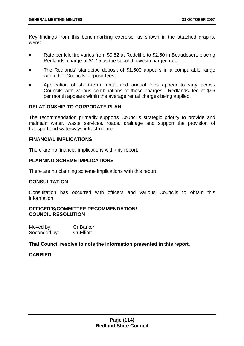Key findings from this benchmarking exercise, as shown in the attached graphs, were:

- Rate per kilolitre varies from \$0.52 at Redcliffe to \$2.50 in Beaudesert, placing Redlands' charge of \$1.15 as the second lowest charged rate;
- The Redlands' standpipe deposit of \$1,500 appears in a comparable range with other Councils' deposit fees;
- Application of short-term rental and annual fees appear to vary across Councils with various combinations of these charges. Redlands' fee of \$96 per month appears within the average rental charges being applied.

## **RELATIONSHIP TO CORPORATE PLAN**

The recommendation primarily supports Council's strategic priority to provide and maintain water, waste services, roads, drainage and support the provision of transport and waterways infrastructure.

#### **FINANCIAL IMPLICATIONS**

There are no financial implications with this report.

## **PLANNING SCHEME IMPLICATIONS**

There are no planning scheme implications with this report.

#### **CONSULTATION**

Consultation has occurred with officers and various Councils to obtain this information.

#### **OFFICER'S/COMMITTEE RECOMMENDATION/ COUNCIL RESOLUTION**

| Moved by:    | <b>Cr Barker</b>  |
|--------------|-------------------|
| Seconded by: | <b>Cr Elliott</b> |

**That Council resolve to note the information presented in this report.** 

## **CARRIED**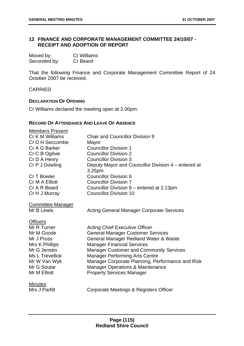## **12 FINANCE AND CORPORATE MANAGEMENT COMMITTEE 24/10/07 - RECEIPT AND ADOPTION OF REPORT**

| Moved by:    | <b>Cr Williams</b> |
|--------------|--------------------|
| Seconded by: | Cr Beard           |

That the following Finance and Corporate Management Committee Report of 24 October 2007 be received.

CARRIED

#### **DECLARATION OF OPENING**

Cr Williams declared the meeting open at 2.00pm.

#### **RECORD OF ATTENDANCE AND LEAVE OF ABSENCE**

| <b>Members Present</b><br>Cr K M Williams | <b>Chair and Councillor Division 9</b>                                              |
|-------------------------------------------|-------------------------------------------------------------------------------------|
| Cr D H Seccombe                           | Mayor                                                                               |
| Cr A G Barker                             | <b>Councillor Division 1</b>                                                        |
| Cr C B Ogilvie                            | <b>Councillor Division 2</b>                                                        |
| Cr D A Henry                              | <b>Councillor Division 3</b>                                                        |
| Cr P J Dowling                            | Deputy Mayor and Councillor Division 4 – entered at<br>3.25pm                       |
| Cr T Bowler                               | <b>Councillor Division 6</b>                                                        |
| Cr M A Elliott                            | <b>Councillor Division 7</b>                                                        |
| Cr A R Beard                              | Councillor Division 8 - entered at 2.13pm                                           |
| Cr H J Murray                             | <b>Councillor Division 10</b>                                                       |
| <b>Committee Manager</b><br>Mr B Lewis    | <b>Acting General Manager Corporate Services</b>                                    |
| <b>Officers</b>                           |                                                                                     |
| Mr R Turner                               | <b>Acting Chief Executive Officer</b>                                               |
| Mr M Goode                                | <b>General Manager Customer Services</b>                                            |
| Mr J Pruss                                | General Manager Redland Water & Waste                                               |
| Mrs K Phillips<br>Mr G Jensen             | <b>Manager Financial Services</b><br><b>Manager Customer and Community Services</b> |
| Ms L Trevellick                           | <b>Manager Performing Arts Centre</b>                                               |
| Mr W Van Wyk                              | Manager Corporate Planning, Performance and Risk                                    |
| Mr G Soutar                               | <b>Manager Operations &amp; Maintenance</b>                                         |
| Mr M Elliott                              | <b>Property Services Manager</b>                                                    |
| <b>Minutes</b>                            |                                                                                     |
| Mrs J Parfitt                             | Corporate Meetings & Registers Officer                                              |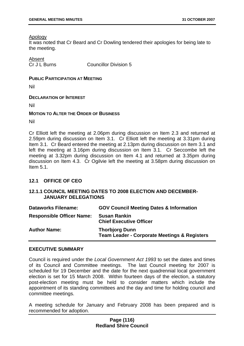#### Apology

It was noted that Cr Beard and Cr Dowling tendered their apologies for being late to the meeting.

## Absent

Cr J L Burns Councillor Division 5

### **PUBLIC PARTICIPATION AT MEETING**

Nil

## **DECLARATION OF INTEREST**

Nil

## **MOTION TO ALTER THE ORDER OF BUSINESS**

Nil

Cr Elliott left the meeting at 2.06pm during discussion on Item 2.3 and returned at 2.59pm during discussion on Item 3.1. Cr Elliott left the meeting at 3.31pm during Item 3.1. Cr Beard entered the meeting at 2.13pm during discussion on Item 3.1 and left the meeting at 3.16pm during discussion on Item 3.1. Cr Seccombe left the meeting at 3.32pm during discussion on Item 4.1 and returned at 3.35pm during discussion on Item 4.3. Cr Ogilvie left the meeting at 3.58pm during discussion on Item 5.1.

## **12.1 OFFICE OF CEO**

## **12.1.1 COUNCIL MEETING DATES TO 2008 ELECTION AND DECEMBER-JANUARY DELEGATIONS**

| <b>Dataworks Filename:</b>       | <b>GOV Council Meeting Dates &amp; Information</b>                               |
|----------------------------------|----------------------------------------------------------------------------------|
| <b>Responsible Officer Name:</b> | <b>Susan Rankin</b><br><b>Chief Executive Officer</b>                            |
| <b>Author Name:</b>              | <b>Thorbjorg Dunn</b><br><b>Team Leader - Corporate Meetings &amp; Registers</b> |

#### **EXECUTIVE SUMMARY**

Council is required under the *Local Government Act 1993* to set the dates and times of its Council and Committee meetings. The last Council meeting for 2007 is scheduled for 19 December and the date for the next quadrennial local government election is set for 15 March 2008. Within fourteen days of the election, a statutory post-election meeting must be held to consider matters which include the appointment of its standing committees and the day and time for holding council and committee meetings.

A meeting schedule for January and February 2008 has been prepared and is recommended for adoption.

## **Page (116) Redland Shire Council**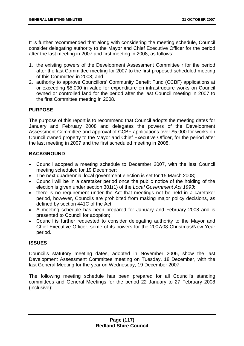It is further recommended that along with considering the meeting schedule, Council consider delegating authority to the Mayor and Chief Executive Officer for the period after the last meeting in 2007 and first meeting in 2008, as follows:

- 1. the existing powers of the Development Assessment Committee r for the period after the last Committee meeting for 2007 to the first proposed scheduled meeting of this Committee in 2008; and
- 2. authority to approve Councillors' Community Benefit Fund (CCBF) applications at or exceeding \$5,000 in value for expenditure on infrastructure works on Council owned or controlled land for the period after the last Council meeting in 2007 to the first Committee meeting in 2008.

# **PURPOSE**

The purpose of this report is to recommend that Council adopts the meeting dates for January and February 2008 and delegates the powers of the Development Assessment Committee and approval of CCBF applications over \$5,000 for works on Council owned property to the Mayor and Chief Executive Officer, for the period after the last meeting in 2007 and the first scheduled meeting in 2008.

# **BACKGROUND**

- Council adopted a meeting schedule to December 2007, with the last Council meeting scheduled for 19 December;
- The next quadrennial local government election is set for 15 March 2008;
- Council will be in a caretaker period once the public notice of the holding of the election is given under section 301(1) of the *Local Government Act 1993*;
- there is no requirement under the Act that meetings not be held in a caretaker period, however, Councils are prohibited from making major policy decisions, as defined by section 441C of the Act;
- A meeting schedule has been prepared for January and February 2008 and is presented to Council for adoption;
- Council is further requested to consider delegating authority to the Mayor and Chief Executive Officer, some of its powers for the 2007/08 Christmas/New Year period.

## **ISSUES**

Council's statutory meeting dates, adopted in November 2006, show the last Development Assessment Committee meeting on Tuesday, 18 December, with the last General Meeting for the year on Wednesday, 19 December 2007.

The following meeting schedule has been prepared for all Council's standing committees and General Meetings for the period 22 January to 27 February 2008 (inclusive):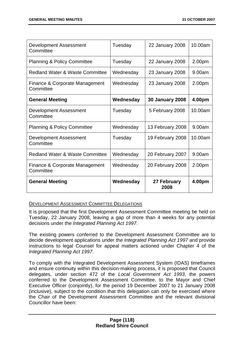| Development Assessment<br>Committee         | Tuesday   | 22 January 2008        | 10.00am |
|---------------------------------------------|-----------|------------------------|---------|
| <b>Planning &amp; Policy Committee</b>      | Tuesday   | 22 January 2008        | 2.00pm  |
| <b>Redland Water &amp; Waste Committee</b>  | Wednesday | 23 January 2008        | 9.00am  |
| Finance & Corporate Management<br>Committee | Wednesday | 23 January 2008        | 2.00pm  |
| <b>General Meeting</b>                      | Wednesday | <b>30 January 2008</b> | 4.00pm  |
| Development Assessment<br>Committee         | Tuesday   | 5 February 2008        | 10.00am |
| <b>Planning &amp; Policy Committee</b>      | Wednesday | 13 February 2008       | 9.00am  |
| Development Assessment<br>Committee         | Tuesday   | 19 February 2008       | 10.00am |
| <b>Redland Water &amp; Waste Committee</b>  | Wednesday | 20 February 2007       | 9.00am  |
| Finance & Corporate Management<br>Committee | Wednesday | 20 February 2008       | 2.00pm  |
| <b>General Meeting</b>                      | Wednesday | 27 February<br>2008    | 4.00pm  |

#### DEVELOPMENT ASSESSMENT COMMITTEE DELEGATIONS

It is proposed that the first Development Assessment Committee meeting be held on Tuesday, 22 January 2008, leaving a gap of more than 4 weeks for any potential decisions under the *Integrated Planning Act 1997*.

The existing powers conferred to the Development Assessment Committee are to decide development applications under the *Integrated Planning Act 1997* and provide instructions to legal Counsel for appeal matters actioned under Chapter 4 of the *Integrated Planning Act 1997*.

To comply with the Integrated Development Assessment System (IDAS) timeframes and ensure continuity within this decision-making process, it is proposed that Council delegates, under section 472 of the *Local Government Act 1993*, the powers conferred to the Development Assessment Committee, to the Mayor and Chief Executive Officer (conjointly), for the period 19 December 2007 to 21 January 2008 (inclusive), subject to the condition that this delegation can only be exercised where the Chair of the Development Assessment Committee and the relevant divisional Councillor have been: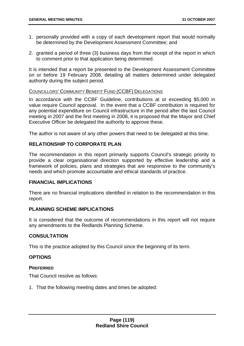- 1. personally provided with a copy of each development report that would normally be determined by the Development Assessment Committee; and
- 2. granted a period of three (3) business days from the receipt of the report in which to comment prior to that application being determined.

It is intended that a report be presented to the Development Assessment Committee on or before 19 February 2008, detailing all matters determined under delegated authority during the subject period.

#### COUNCILLORS' COMMUNITY BENEFIT FUND (CCBF) DELEGATIONS

In accordance with the CCBF Guideline, contributions at or exceeding \$5,000 in value require Council approval. In the event that a CCBF contribution is required for any potential expenditure on Council infrastructure in the period after the last Council meeting in 2007 and the first meeting in 2008, it is proposed that the Mayor and Chief Executive Officer be delegated the authority to approve these.

The author is not aware of any other powers that need to be delegated at this time.

## **RELATIONSHIP TO CORPORATE PLAN**

The recommendation in this report primarily supports Council's strategic priority to provide a clear organisational direction supported by effective leadership and a framework of policies, plans and strategies that are responsive to the community's needs and which promote accountable and ethical standards of practice.

#### **FINANCIAL IMPLICATIONS**

There are no financial implications identified in relation to the recommendation in this report.

## **PLANNING SCHEME IMPLICATIONS**

It is considered that the outcome of recommendations in this report will not require any amendments to the Redlands Planning Scheme.

#### **CONSULTATION**

This is the practice adopted by this Council since the beginning of its term.

## **OPTIONS**

#### **PREFERRED**

That Council resolve as follows:

1. That the following meeting dates and times be adopted: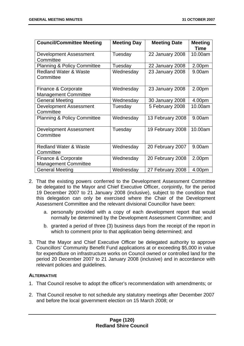| <b>Council/Committee Meeting</b>       | <b>Meeting Day</b> | <b>Meeting Date</b> | <b>Meeting</b> |
|----------------------------------------|--------------------|---------------------|----------------|
|                                        |                    |                     | Time           |
| Development Assessment                 | Tuesday            | 22 January 2008     | 10.00am        |
| Committee                              |                    |                     |                |
| <b>Planning &amp; Policy Committee</b> | Tuesday            | 22 January 2008     | 2.00pm         |
| <b>Redland Water &amp; Waste</b>       | Wednesday          | 23 January 2008     | 9.00am         |
| Committee                              |                    |                     |                |
|                                        |                    |                     |                |
| Finance & Corporate                    | Wednesday          | 23 January 2008     | 2.00pm         |
| <b>Management Committee</b>            |                    |                     |                |
| <b>General Meeting</b>                 | Wednesday          | 30 January 2008     | 4.00pm         |
| <b>Development Assessment</b>          | Tuesday            | 5 February 2008     | 10.00am        |
| Committee                              |                    |                     |                |
| <b>Planning &amp; Policy Committee</b> | Wednesday          | 13 February 2008    | 9.00am         |
|                                        |                    |                     |                |
| <b>Development Assessment</b>          | Tuesday            | 19 February 2008    | 10.00am        |
| Committee                              |                    |                     |                |
|                                        |                    |                     |                |
| <b>Redland Water &amp; Waste</b>       | Wednesday          | 20 February 2007    | 9.00am         |
| Committee                              |                    |                     |                |
| Finance & Corporate                    | Wednesday          | 20 February 2008    | 2.00pm         |
| <b>Management Committee</b>            |                    |                     |                |
| <b>General Meeting</b>                 | Wednesday          | 27 February 2008    | 4.00pm         |

- 2. That the existing powers conferred to the Development Assessment Committee be delegated to the Mayor and Chief Executive Officer, conjointly, for the period 19 December 2007 to 21 January 2008 (inclusive), subject to the condition that this delegation can only be exercised where the Chair of the Development Assessment Committee and the relevant divisional Councillor have been:
	- a. personally provided with a copy of each development report that would normally be determined by the Development Assessment Committee; and
	- b. granted a period of three (3) business days from the receipt of the report in which to comment prior to that application being determined; and
- 3. That the Mayor and Chief Executive Officer be delegated authority to approve Councillors' Community Benefit Fund applications at or exceeding \$5,000 in value for expenditure on infrastructure works on Council owned or controlled land for the period 20 December 2007 to 21 January 2008 (inclusive) and in accordance with relevant policies and guidelines.

## **ALTERNATIVE**

- 1. That Council resolve to adopt the officer's recommendation with amendments; or
- 2. That Council resolve to not schedule any statutory meetings after December 2007 and before the local government election on 15 March 2008; or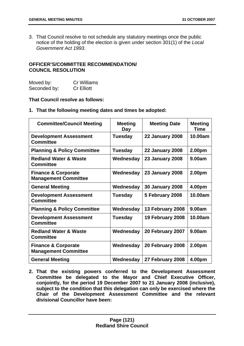3. That Council resolve to not schedule any statutory meetings once the public notice of the holding of the election is given under section 301(1) of the *Local Government Act 1993*.

## **OFFICER'S/COMMITTEE RECOMMENDATION/ COUNCIL RESOLUTION**

| Moved by:    | <b>Cr Williams</b> |
|--------------|--------------------|
| Seconded by: | <b>Cr Elliott</b>  |

## **That Council resolve as follows:**

#### **1. That the following meeting dates and times be adopted:**

| <b>Committee/Council Meeting</b>                              | <b>Meeting</b><br>Day | <b>Meeting Date</b>    | <b>Meeting</b><br><b>Time</b> |
|---------------------------------------------------------------|-----------------------|------------------------|-------------------------------|
| <b>Development Assessment</b><br><b>Committee</b>             | <b>Tuesday</b>        | <b>22 January 2008</b> | 10.00am                       |
| <b>Planning &amp; Policy Committee</b>                        | <b>Tuesday</b>        | <b>22 January 2008</b> | 2.00pm                        |
| <b>Redland Water &amp; Waste</b><br><b>Committee</b>          | Wednesday             | <b>23 January 2008</b> | 9.00am                        |
| <b>Finance &amp; Corporate</b><br><b>Management Committee</b> | Wednesday             | <b>23 January 2008</b> | 2.00pm                        |
| <b>General Meeting</b>                                        | Wednesday             | <b>30 January 2008</b> | 4.00pm                        |
| <b>Development Assessment</b><br><b>Committee</b>             | <b>Tuesday</b>        | 5 February 2008        | 10.00am                       |
| <b>Planning &amp; Policy Committee</b>                        | Wednesday             | 13 February 2008       | 9.00am                        |
| <b>Development Assessment</b><br><b>Committee</b>             | <b>Tuesday</b>        | 19 February 2008       | 10.00am                       |
| <b>Redland Water &amp; Waste</b><br><b>Committee</b>          | Wednesday             | 20 February 2007       | 9.00am                        |
| <b>Finance &amp; Corporate</b><br><b>Management Committee</b> | Wednesday             | 20 February 2008       | 2.00pm                        |
| <b>General Meeting</b>                                        | Wednesday             | 27 February 2008       | 4.00pm                        |

**2. That the existing powers conferred to the Development Assessment Committee be delegated to the Mayor and Chief Executive Officer, conjointly, for the period 19 December 2007 to 21 January 2008 (inclusive), subject to the condition that this delegation can only be exercised where the Chair of the Development Assessment Committee and the relevant divisional Councillor have been:**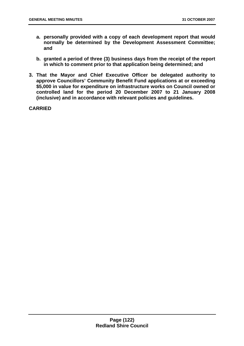- **a. personally provided with a copy of each development report that would normally be determined by the Development Assessment Committee; and**
- **b. granted a period of three (3) business days from the receipt of the report in which to comment prior to that application being determined; and**
- **3. That the Mayor and Chief Executive Officer be delegated authority to approve Councillors' Community Benefit Fund applications at or exceeding \$5,000 in value for expenditure on infrastructure works on Council owned or controlled land for the period 20 December 2007 to 21 January 2008 (inclusive) and in accordance with relevant policies and guidelines.**

**CARRIED**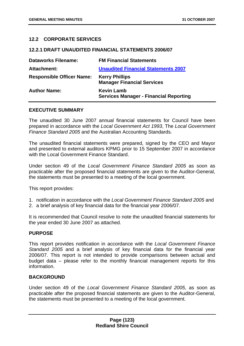## **12.2 CORPORATE SERVICES**

#### **12.2.1 DRAFT UNAUDITED FINANCIAL STATEMENTS 2006/07**

| <b>Dataworks Filename:</b>       | <b>FM Financial Statements</b>                                     |
|----------------------------------|--------------------------------------------------------------------|
| <b>Attachment:</b>               | <b>Unaudited Financial Statements 2007</b>                         |
| <b>Responsible Officer Name:</b> | <b>Kerry Phillips</b><br><b>Manager Financial Services</b>         |
| <b>Author Name:</b>              | <b>Kevin Lamb</b><br><b>Services Manager - Financial Reporting</b> |

#### **EXECUTIVE SUMMARY**

The unaudited 30 June 2007 annual financial statements for Council have been prepared in accordance with the *Local Government Act 1993*, The *Local Government Finance Standard 2005* and the Australian Accounting Standards.

The unaudited financial statements were prepared, signed by the CEO and Mayor and presented to external auditors KPMG prior to 15 September 2007 in accordance with the Local Government Finance Standard.

Under section 49 of the *Local Government Finance Standard 2005* as soon as practicable after the proposed financial statements are given to the Auditor-General, the statements must be presented to a meeting of the local government.

This report provides:

- 1. notification in accordance with the *Local Government Finance Standard 2005* and
- 2. a brief analysis of key financial data for the financial year 2006/07.

It is recommended that Council resolve to note the unaudited financial statements for the year ended 30 June 2007 as attached.

#### **PURPOSE**

This report provides notification in accordance with the *Local Government Finance Standard 2005* and a brief analysis of key financial data for the financial year 2006/07. This report is not intended to provide comparisons between actual and budget data – please refer to the monthly financial management reports for this information.

## **BACKGROUND**

Under section 49 of the *Local Government Finance Standard 2005*, as soon as practicable after the proposed financial statements are given to the Auditor-General, the statements must be presented to a meeting of the local government.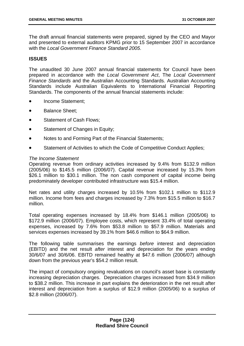The draft annual financial statements were prepared, signed by the CEO and Mayor and presented to external auditors KPMG prior to 15 September 2007 in accordance with the *Local Government Finance Standard 2005*.

## **ISSUES**

The unaudited 30 June 2007 annual financial statements for Council have been prepared in accordance with the *Local Government Act*, The *Local Government Finance Standards* and the Australian Accounting Standards. Australian Accounting Standards include Australian Equivalents to International Financial Reporting Standards. The components of the annual financial statements include:

- Income Statement;
- Balance Sheet;
- Statement of Cash Flows;
- Statement of Changes in Equity;
- Notes to and Forming Part of the Financial Statements;
- Statement of Activities to which the Code of Competitive Conduct Applies;

#### *The Income Statement*

Operating revenue from ordinary activities increased by 9.4% from \$132.9 million (2005/06) to \$145.5 million (2006/07). Capital revenue increased by 15.3% from \$26.1 million to \$30.1 million. The non cash component of capital income being predominately developer contributed infrastructure was \$15.4 million.

Net rates and utility charges increased by 10.5% from \$102.1 million to \$112.9 million. Income from fees and charges increased by 7.3% from \$15.5 million to \$16.7 million.

Total operating expenses increased by 18.4% from \$146.1 million (2005/06) to \$172.9 million (2006/07). Employee costs, which represent 33.4% of total operating expenses, increased by 7.6% from \$53.8 million to \$57.9 million. Materials and services expenses increased by 39.1% from \$46.6 million to \$64.9 million.

The following table summarises the earnings *before* interest and depreciation (EBITD) and the net result *after* interest and depreciation for the years ending 30/6/07 and 30/6/06. EBITD remained healthy at \$47.6 million (2006/07) although down from the previous year's \$54.2 million result.

The impact of compulsory ongoing revaluations on council's asset base is constantly increasing depreciation charges. Depreciation charges increased from \$34.9 million to \$38.2 million. This increase in part explains the deterioration in the net result after interest and depreciation from a surplus of \$12.9 million (2005/06) to a surplus of \$2.8 million (2006/07).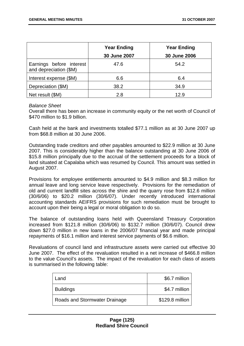|                                                    | <b>Year Ending</b> | <b>Year Ending</b> |
|----------------------------------------------------|--------------------|--------------------|
|                                                    | 30 June 2007       | 30 June 2006       |
| Earnings before interest<br>and depreciation (\$M) | 47.6               | 54.2               |
| Interest expense (\$M)                             | 6.6                | 6.4                |
| Depreciation (\$M)                                 | 38.2               | 34.9               |
| Net result (\$M)                                   | 2.8                | 12.9               |

#### *Balance Sheet*

Overall there has been an increase in community equity or the net worth of Council of \$470 million to \$1.9 billion.

Cash held at the bank and investments totalled \$77.1 million as at 30 June 2007 up from \$68.8 million at 30 June 2006.

Outstanding trade creditors and other payables amounted to \$22.9 million at 30 June 2007. This is considerably higher than the balance outstanding at 30 June 2006 of \$15.8 million principally due to the accrual of the settlement proceeds for a block of land situated at Capalaba which was resumed by Council. This amount was settled in August 2007.

Provisions for employee entitlements amounted to \$4.9 million and \$8.3 million for annual leave and long service leave respectively. Provisions for the remediation of old and current landfill sites across the shire and the quarry rose from \$12.6 million (30/6/06) to \$20.2 million (30/6/07). Under recently introduced international accounting standards AEIFRS provisions for such remediation must be brought to account upon their being a legal or moral obligation to do so.

The balance of outstanding loans held with Queensland Treasury Corporation increased from \$121.8 million (30/6/06) to \$132.7 million (30/6/07). Council drew down \$27.0 million in new loans in the 2006/07 financial year and made principal repayments of \$16.1 million and interest service payments of \$6.6 million.

Revaluations of council land and infrastructure assets were carried out effective 30 June 2007. The effect of the revaluation resulted in a net increase of \$466.8 million to the value Council's assets. The impact of the revaluation for each class of assets is summarised in the following table:

| Land                          | \$6.7 million   |
|-------------------------------|-----------------|
| <b>Buildings</b>              | \$4.7 million   |
| Roads and Stormwater Drainage | \$129.8 million |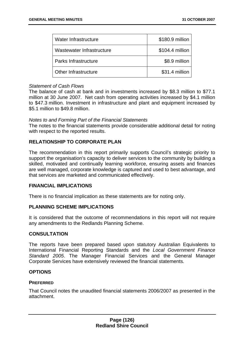| Water Infrastructure      | \$180.9 million |
|---------------------------|-----------------|
| Wastewater Infrastructure | \$104.4 million |
| Parks Infrastructure      | \$8.9 million   |
| Other Infrastructure      | \$31.4 million  |

#### *Statement of Cash Flows*

The balance of cash at bank and in investments increased by \$8.3 million to \$77.1 million at 30 June 2007. Net cash from operating activities increased by \$4.1 million to \$47.3 million. Investment in infrastructure and plant and equipment increased by \$5.1 million to \$49.8 million.

#### *Notes to and Forming Part of the Financial Statements*

The notes to the financial statements provide considerable additional detail for noting with respect to the reported results.

# **RELATIONSHIP TO CORPORATE PLAN**

The recommendation in this report primarily supports Council's strategic priority to support the organisation's capacity to deliver services to the community by building a skilled, motivated and continually learning workforce, ensuring assets and finances are well managed, corporate knowledge is captured and used to best advantage, and that services are marketed and communicated effectively.

#### **FINANCIAL IMPLICATIONS**

There is no financial implication as these statements are for noting only.

#### **PLANNING SCHEME IMPLICATIONS**

It is considered that the outcome of recommendations in this report will not require any amendments to the Redlands Planning Scheme.

#### **CONSULTATION**

The reports have been prepared based upon statutory Australian Equivalents to International Financial Reporting Standards and the *Local Government Finance Standard 2005*. The Manager Financial Services and the General Manager Corporate Services have extensively reviewed the financial statements.

### **OPTIONS**

#### **PREFERRED**

That Council notes the unaudited financial statements 2006/2007 as presented in the attachment.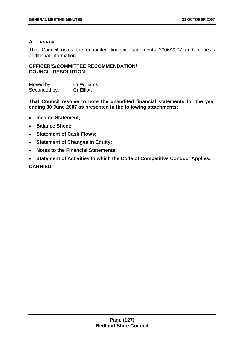## **ALTERNATIVE**

That Council notes the unaudited financial statements 2006/2007 and requests additional information.

## **OFFICER'S/COMMITTEE RECOMMENDATION/ COUNCIL RESOLUTION**

| Moved by:    | Cr Williams       |
|--------------|-------------------|
| Seconded by: | <b>Cr Elliott</b> |

**That Council resolve to note the unaudited financial statements for the year ending 30 June 2007 as presented in the following attachments:** 

- **Income Statement;**
- **Balance Sheet;**
- **Statement of Cash Flows;**
- **Statement of Changes in Equity;**
- **Notes to the Financial Statements;**
- **Statement of Activities to which the Code of Competitive Conduct Applies. CARRIED**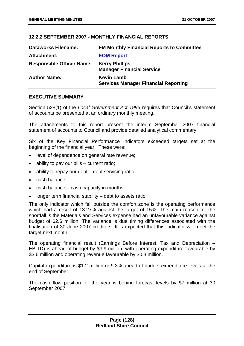## **12.2.2 SEPTEMBER 2007 - MONTHLY FINANCIAL REPORTS**

| <b>Dataworks Filename:</b>       | <b>FM Monthly Financial Reports to Committee</b>                 |
|----------------------------------|------------------------------------------------------------------|
| Attachment:                      | <b>EOM Report</b>                                                |
| <b>Responsible Officer Name:</b> | <b>Kerry Phillips</b><br><b>Manager Financial Service</b>        |
| <b>Author Name:</b>              | <b>Kevin Lamb</b><br><b>Services Manager Financial Reporting</b> |

## **EXECUTIVE SUMMARY**

Section 528(1) of the *Local Government Act 1993* requires that Council's statement of accounts be presented at an ordinary monthly meeting.

The attachments to this report present the interim September 2007 financial statement of accounts to Council and provide detailed analytical commentary.

Six of the Key Financial Performance Indicators exceeded targets set at the beginning of the financial year. These were:

- level of dependence on general rate revenue;
- ability to pay our bills  $-$  current ratio;
- ability to repay our debt debt servicing ratio;
- cash balance;
- cash balance  $-$  cash capacity in months;
- longer term financial stability  $-$  debt to assets ratio.

The only indicator which fell outside the comfort zone is the operating performance which had a result of 13.27% against the target of 15%. The main reason for the shortfall is the Materials and Services expense had an unfavourable variance against budget of \$2.6 million. The variance is due timing differences associated with the finalisation of 30 June 2007 creditors. It is expected that this indicator will meet the target next month.

The operating financial result (Earnings Before Interest, Tax and Depreciation – EBITD) is ahead of budget by \$3.9 million, with operating expenditure favourable by \$3.6 million and operating revenue favourable by \$0.3 million.

Capital expenditure is \$1.2 million or 9.3% ahead of budget expenditure levels at the end of September.

The cash flow position for the year is behind forecast levels by \$7 million at 30 September 2007.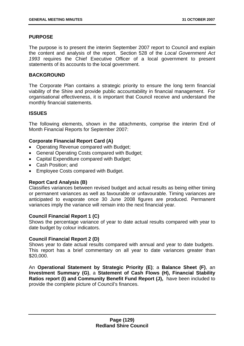## **PURPOSE**

The purpose is to present the interim September 2007 report to Council and explain the content and analysis of the report. Section 528 of the *Local Government Act 1993* requires the Chief Executive Officer of a local government to present statements of its accounts to the local government.

## **BACKGROUND**

The Corporate Plan contains a strategic priority to ensure the long term financial viability of the Shire and provide public accountability in financial management. For organisational effectiveness, it is important that Council receive and understand the monthly financial statements.

## **ISSUES**

The following elements, shown in the attachments, comprise the interim End of Month Financial Reports for September 2007:

## **Corporate Financial Report Card (A)**

- Operating Revenue compared with Budget;
- General Operating Costs compared with Budget;
- Capital Expenditure compared with Budget;
- Cash Position; and
- Employee Costs compared with Budget.

## **Report Card Analysis (B)**

Classifies variances between revised budget and actual results as being either timing or permanent variances as well as favourable or unfavourable. Timing variances are anticipated to evaporate once 30 June 2008 figures are produced. Permanent variances imply the variance will remain into the next financial year.

#### **Council Financial Report 1 (C)**

Shows the percentage variance of year to date actual results compared with year to date budget by colour indicators.

#### **Council Financial Report 2 (D)**

Shows year to date actual results compared with annual and year to date budgets. This report has a brief commentary on all year to date variances greater than \$20,000.

An **Operational Statement by Strategic Priority (E)**; a **Balance Sheet (F)**, an **Investment Summary (G)**, a **Statement of Cash Flows (H), Financial Stability Ratios report (I) and Community Benefit Fund Report (J),** have been included to provide the complete picture of Council's finances.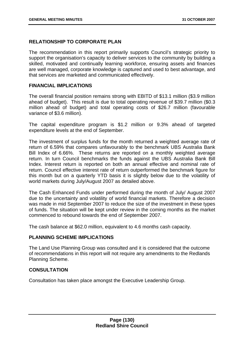## **RELATIONSHIP TO CORPORATE PLAN**

The recommendation in this report primarily supports Council's strategic priority to support the organisation's capacity to deliver services to the community by building a skilled, motivated and continually learning workforce, ensuring assets and finances are well managed, corporate knowledge is captured and used to best advantage, and that services are marketed and communicated effectively.

#### **FINANCIAL IMPLICATIONS**

The overall financial position remains strong with EBITD of \$13.1 million (\$3.9 million ahead of budget). This result is due to total operating revenue of \$39.7 million (\$0.3 million ahead of budget) and total operating costs of \$26.7 million (favourable variance of \$3.6 million).

The capital expenditure program is \$1.2 million or 9.3% ahead of targeted expenditure levels at the end of September.

The investment of surplus funds for the month returned a weighted average rate of return of 6.59% that compares unfavourably to the benchmark UBS Australia Bank Bill Index of 6.66%. These returns are reported on a monthly weighted average return. In turn Council benchmarks the funds against the UBS Australia Bank Bill Index. Interest return is reported on both an annual effective and nominal rate of return. Council effective interest rate of return outperformed the benchmark figure for this month but on a quarterly YTD basis it is slightly below due to the volatility of world markets during July/August 2007 as detailed above.

The Cash Enhanced Funds under performed during the month of July/ August 2007 due to the uncertainty and volatility of world financial markets. Therefore a decision was made in mid September 2007 to reduce the size of the investment in these types of funds. The situation will be kept under review in the coming months as the market commenced to rebound towards the end of September 2007.

The cash balance at \$62.0 million, equivalent to 4.6 months cash capacity.

#### **PLANNING SCHEME IMPLICATIONS**

The Land Use Planning Group was consulted and it is considered that the outcome of recommendations in this report will not require any amendments to the Redlands Planning Scheme.

#### **CONSULTATION**

Consultation has taken place amongst the Executive Leadership Group.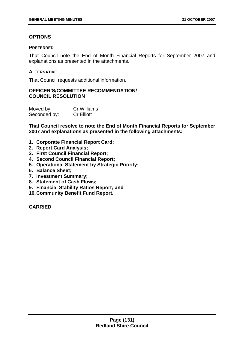# **OPTIONS**

### **PREFERRED**

That Council note the End of Month Financial Reports for September 2007 and explanations as presented in the attachments.

## **ALTERNATIVE**

That Council requests additional information.

## **OFFICER'S/COMMITTEE RECOMMENDATION/ COUNCIL RESOLUTION**

| Moved by:    | Cr Williams       |
|--------------|-------------------|
| Seconded by: | <b>Cr Elliott</b> |

**That Council resolve to note the End of Month Financial Reports for September 2007 and explanations as presented in the following attachments:** 

- **1. Corporate Financial Report Card;**
- **2. Report Card Analysis;**
- **3. First Council Financial Report;**
- **4. Second Council Financial Report;**
- **5. Operational Statement by Strategic Priority;**
- **6. Balance Sheet;**
- **7. Investment Summary;**
- **8. Statement of Cash Flows;**
- **9. Financial Stability Ratios Report; and**
- **10. Community Benefit Fund Report.**

**CARRIED**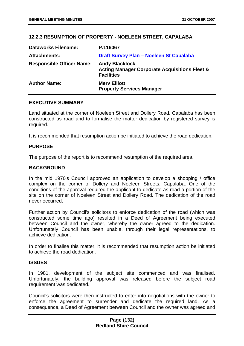## **12.2.3 RESUMPTION OF PROPERTY - NOELEEN STREET, CAPALABA**

| <b>Dataworks Filename:</b>       | P.116067                                                                                               |
|----------------------------------|--------------------------------------------------------------------------------------------------------|
| <b>Attachments:</b>              | Draft Survey Plan - Noeleen St Capalaba                                                                |
| <b>Responsible Officer Name:</b> | <b>Andy Blacklock</b><br><b>Acting Manager Corporate Acquisitions Fleet &amp;</b><br><b>Facilities</b> |
| <b>Author Name:</b>              | <b>Merv Elliott</b><br><b>Property Services Manager</b>                                                |

#### **EXECUTIVE SUMMARY**

Land situated at the corner of Noeleen Street and Dollery Road, Capalaba has been constructed as road and to formalise the matter dedication by registered survey is required.

It is recommended that resumption action be initiated to achieve the road dedication.

#### **PURPOSE**

The purpose of the report is to recommend resumption of the required area.

#### **BACKGROUND**

In the mid 1970's Council approved an application to develop a shopping / office complex on the corner of Dollery and Noeleen Streets, Capalaba. One of the conditions of the approval required the applicant to dedicate as road a portion of the site on the corner of Noeleen Street and Dollery Road. The dedication of the road never occurred.

Further action by Council's solicitors to enforce dedication of the road (which was constructed some time ago) resulted in a Deed of Agreement being executed between Council and the owner, whereby the owner agreed to the dedication. Unfortunately Council has been unable, through their legal representations, to achieve dedication.

In order to finalise this matter, it is recommended that resumption action be initiated to achieve the road dedication.

#### **ISSUES**

In 1981, development of the subject site commenced and was finalised. Unfortunately, the building approval was released before the subject road requirement was dedicated.

Council's solicitors were then instructed to enter into negotiations with the owner to enforce the agreement to surrender and dedicate the required land. As a consequence, a Deed of Agreement between Council and the owner was agreed and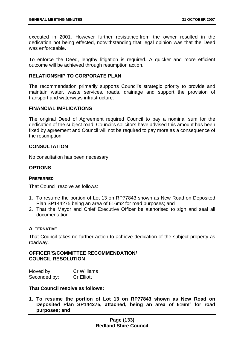executed in 2001. However further resistance from the owner resulted in the dedication not being effected, notwithstanding that legal opinion was that the Deed was enforceable.

To enforce the Deed, lengthy litigation is required. A quicker and more efficient outcome will be achieved through resumption action.

## **RELATIONSHIP TO CORPORATE PLAN**

The recommendation primarily supports Council's strategic priority to provide and maintain water, waste services, roads, drainage and support the provision of transport and waterways infrastructure.

#### **FINANCIAL IMPLICATIONS**

The original Deed of Agreement required Council to pay a nominal sum for the dedication of the subject road. Council's solicitors have advised this amount has been fixed by agreement and Council will not be required to pay more as a consequence of the resumption.

## **CONSULTATION**

No consultation has been necessary.

## **OPTIONS**

#### **PREFERRED**

That Council resolve as follows:

- 1. To resume the portion of Lot 13 on RP77843 shown as New Road on Deposited Plan SP144275 being an area of 616m2 for road purposes; and
- 2. That the Mayor and Chief Executive Officer be authorised to sign and seal all documentation.

#### **ALTERNATIVE**

That Council takes no further action to achieve dedication of the subject property as roadway.

#### **OFFICER'S/COMMITTEE RECOMMENDATION/ COUNCIL RESOLUTION**

| Moved by:    | <b>Cr Williams</b> |
|--------------|--------------------|
| Seconded by: | <b>Cr Elliott</b>  |

## **That Council resolve as follows:**

**1. To resume the portion of Lot 13 on RP77843 shown as New Road on Deposited Plan SP144275, attached, being an area of 616m<sup>2</sup> for road purposes; and**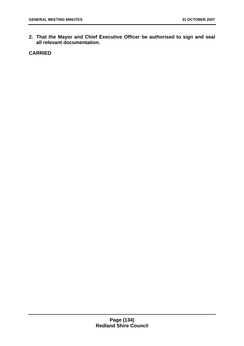**2. That the Mayor and Chief Executive Officer be authorised to sign and seal all relevant documentation.** 

**CARRIED**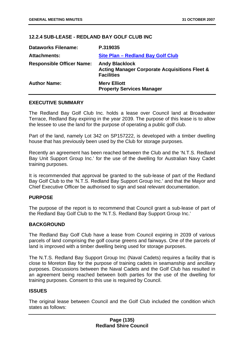## **12.2.4 SUB-LEASE - REDLAND BAY GOLF CLUB INC**

| <b>Dataworks Filename:</b>       | P.319035                                                                                               |
|----------------------------------|--------------------------------------------------------------------------------------------------------|
| <b>Attachments:</b>              | Site Plan - Redland Bay Golf Club                                                                      |
| <b>Responsible Officer Name:</b> | <b>Andy Blacklock</b><br><b>Acting Manager Corporate Acquisitions Fleet &amp;</b><br><b>Facilities</b> |
| <b>Author Name:</b>              | <b>Merv Elliott</b><br><b>Property Services Manager</b>                                                |

#### **EXECUTIVE SUMMARY**

The Redland Bay Golf Club Inc. holds a lease over Council land at Broadwater Terrace, Redland Bay expiring in the year 2039. The purpose of this lease is to allow the lessee to use the land for the purpose of operating a public golf club.

Part of the land, namely Lot 342 on SP157222, is developed with a timber dwelling house that has previously been used by the Club for storage purposes.

Recently an agreement has been reached between the Club and the 'N.T.S. Redland Bay Unit Support Group Inc.' for the use of the dwelling for Australian Navy Cadet training purposes.

It is recommended that approval be granted to the sub-lease of part of the Redland Bay Golf Club to the 'N.T.S. Redland Bay Support Group Inc.' and that the Mayor and Chief Executive Officer be authorised to sign and seal relevant documentation.

#### **PURPOSE**

The purpose of the report is to recommend that Council grant a sub-lease of part of the Redland Bay Golf Club to the 'N.T.S. Redland Bay Support Group Inc.'

#### **BACKGROUND**

The Redland Bay Golf Club have a lease from Council expiring in 2039 of various parcels of land comprising the golf course greens and fairways. One of the parcels of land is improved with a timber dwelling being used for storage purposes.

The N.T.S. Redland Bay Support Group Inc (Naval Cadets) requires a facility that is close to Moreton Bay for the purpose of training cadets in seamanship and ancillary purposes. Discussions between the Naval Cadets and the Golf Club has resulted in an agreement being reached between both parties for the use of the dwelling for training purposes. Consent to this use is required by Council.

## **ISSUES**

The original lease between Council and the Golf Club included the condition which states as follows: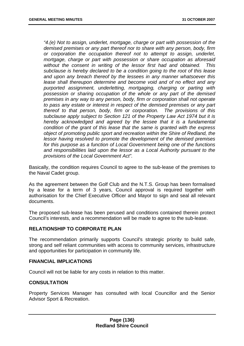*"4.(e) Not to assign, underlet, mortgage, charge or part with possession of the demised premises or any part thereof nor to share with any person, body, firm or corporation the occupation thereof not to attempt to assign, underlet, mortgage, charge or part with possession or share occupation as aforesaid without the consent in writing of the lessor first had and obtained. This subclause is hereby declared to be a condition going to the root of this lease and upon any breach thereof by the lessees in any manner whatsoever this lease shall thereupon determine and become void and of no effect and any purported assignment, underletting, mortgaging, charging or parting with possession or sharing occupation of the whole or any part of the demised premises in any way to any person, body, firm or corporation shall not operate to pass any estate or interest in respect of the demised premises or any part thereof to that person, body, firm or corporation. The provisions of this subclause apply subject to Section 121 of the Property Law Act 1974 but it is hereby acknowledged and agreed by the lessee that it is a fundamental condition of the grant of this lease that the same is granted with the express object of promoting public sport and recreation within the Shire of Redland, the lessor having resolved to promote the development of the demised premises for this purpose as a function of Local Government being one of the functions and responsibilities laid upon the lessor as a Local Authority pursuant to the provisions of the Local Government Act".* 

Basically, the condition requires Council to agree to the sub-lease of the premises to the Naval Cadet group.

As the agreement between the Golf Club and the N.T.S. Group has been formalised by a lease for a term of 3 years, Council approval is required together with authorisation for the Chief Executive Officer and Mayor to sign and seal all relevant documents.

The proposed sub-lease has been perused and conditions contained therein protect Council's interests, and a recommendation will be made to agree to the sub-lease.

### **RELATIONSHIP TO CORPORATE PLAN**

The recommendation primarily supports Council's strategic priority to build safe, strong and self reliant communities with access to community services, infrastructure and opportunities for participation in community life.

#### **FINANCIAL IMPLICATIONS**

Council will not be liable for any costs in relation to this matter.

#### **CONSULTATION**

Property Services Manager has consulted with local Councillor and the Senior Advisor Sport & Recreation.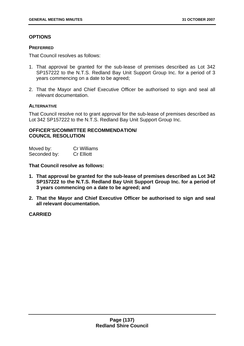## **OPTIONS**

#### **PREFERRED**

That Council resolves as follows:

- 1. That approval be granted for the sub-lease of premises described as Lot 342 SP157222 to the N.T.S. Redland Bay Unit Support Group Inc. for a period of 3 years commencing on a date to be agreed;
- 2. That the Mayor and Chief Executive Officer be authorised to sign and seal all relevant documentation.

#### **ALTERNATIVE**

That Council resolve not to grant approval for the sub-lease of premises described as Lot 342 SP157222 to the N.T.S. Redland Bay Unit Support Group Inc.

# **OFFICER'S/COMMITTEE RECOMMENDATION/ COUNCIL RESOLUTION**

| Moved by:    | <b>Cr Williams</b> |
|--------------|--------------------|
| Seconded by: | <b>Cr Elliott</b>  |

**That Council resolve as follows:** 

- **1. That approval be granted for the sub-lease of premises described as Lot 342 SP157222 to the N.T.S. Redland Bay Unit Support Group Inc. for a period of 3 years commencing on a date to be agreed; and**
- **2. That the Mayor and Chief Executive Officer be authorised to sign and seal all relevant documentation.**

## **CARRIED**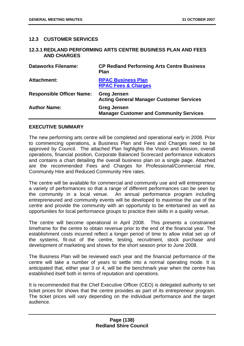## **12.3 CUSTOMER SERVICES**

#### **12.3.1 REDLAND PERFORMING ARTS CENTRE BUSINESS PLAN AND FEES AND CHARGES**

| <b>Dataworks Filename:</b>       | <b>CP Redland Performing Arts Centre Business</b><br><b>Plan</b>      |
|----------------------------------|-----------------------------------------------------------------------|
| <b>Attachment:</b>               | <b>RPAC Business Plan</b><br><b>RPAC Fees &amp; Charges</b>           |
| <b>Responsible Officer Name:</b> | <b>Greg Jensen</b><br><b>Acting General Manager Customer Services</b> |
| <b>Author Name:</b>              | <b>Greg Jensen</b><br><b>Manager Customer and Community Services</b>  |

#### **EXECUTIVE SUMMARY**

The new performing arts centre will be completed and operational early in 2008. Prior to commencing operations, a Business Plan and Fees and Charges need to be approved by Council. The attached Plan highlights the Vision and Mission, overall operations, financial position, Corporate Balanced Scorecard performance indicators and contains a chart detailing the overall business plan on a single page. Attached are the recommended Fees and Charges for Professional/Commercial Hire, Community Hire and Reduced Community Hire rates.

The centre will be available for commercial and community use and will entrepreneur a variety of performances so that a range of different performances can be seen by the community in a local venue. An annual performance program including entrepreneured and community events will be developed to maximise the use of the centre and provide the community with an opportunity to be entertained as well as opportunities for local performance groups to practice their skills in a quality venue.

The centre will become operational in April 2008. This presents a constrained timeframe for the centre to obtain revenue prior to the end of the financial year. The establishment costs incurred reflect a longer period of time to allow initial set up of the systems, fit-out of the centre, testing, recruitment, stock purchase and development of marketing and shows for the short season prior to June 2008.

The Business Plan will be reviewed each year and the financial performance of the centre will take a number of years to settle into a normal operating mode. It is anticipated that, either year 3 or 4, will be the benchmark year when the centre has established itself both in terms of reputation and operations.

It is recommended that the Chef Executive Officer (CEO) is delegated authority to set ticket prices for shows that the centre provides as part of its entrepreneur program. The ticket prices will vary depending on the individual performance and the target audience.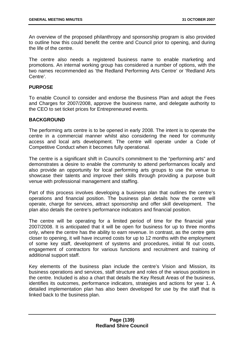An overview of the proposed philanthropy and sponsorship program is also provided to outline how this could benefit the centre and Council prior to opening, and during the life of the centre.

The centre also needs a registered business name to enable marketing and promotions. An internal working group has considered a number of options, with the two names recommended as 'the Redland Performing Arts Centre' or 'Redland Arts Centre'.

## **PURPOSE**

To enable Council to consider and endorse the Business Plan and adopt the Fees and Charges for 2007/2008, approve the business name, and delegate authority to the CEO to set ticket prices for Entrepreneured events.

## **BACKGROUND**

The performing arts centre is to be opened in early 2008. The intent is to operate the centre in a commercial manner whilst also considering the need for community access and local arts development. The centre will operate under a Code of Competitive Conduct when it becomes fully operational.

The centre is a significant shift in Council's commitment to the "performing arts" and demonstrates a desire to enable the community to attend performances locally and also provide an opportunity for local performing arts groups to use the venue to showcase their talents and improve their skills through providing a purpose built venue with professional management and staffing.

Part of this process involves developing a business plan that outlines the centre's operations and financial position. The business plan details how the centre will operate, charge for services, attract sponsorship and offer skill development. The plan also details the centre's performance indicators and financial position.

The centre will be operating for a limited period of time for the financial year 2007/2008. It is anticipated that it will be open for business for up to three months only, where the centre has the ability to earn revenue. In contrast, as the centre gets closer to opening, it will have incurred costs for up to 12 months with the employment of some key staff, development of systems and procedures, initial fit out costs, engagement of contractors for various functions and recruitment and training of additional support staff.

Key elements of the business plan include the centre's Vision and Mission, its business operations and services, staff structure and roles of the various positions in the centre. Included is also a chart that details the Key Result Areas of the business, identifies its outcomes, performance indicators, strategies and actions for year 1. A detailed implementation plan has also been developed for use by the staff that is linked back to the business plan.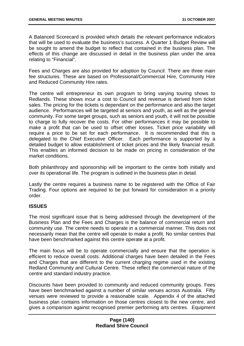A Balanced Scorecard is provided which details the relevant performance indicators that will be used to evaluate the business's success. A Quarter 1 Budget Review will be sought to amend the budget to reflect that contained in the business plan. The effects of this change are discussed in detail in the business plan under the area relating to "Financial".

Fees and Charges are also provided for adoption by Council. There are three main fee structures. These are based on Professional/Commercial Hire, Community Hire and Reduced Community Hire rates.

The centre will entrepreneur its own program to bring varying touring shows to Redlands. These shows incur a cost to Council and revenue is derived from ticket sales. The pricing for the tickets is dependant on the performance and also the target audience. Performances will be targeted at seniors and youth, as well as the general community. For some target groups, such as seniors and youth, it will not be possible to charge to fully recover the costs. For other performances it may be possible to make a profit that can be used to offset other losses. Ticket price variability will require a price to be set for each performance. It is recommended that this is delegated to the Chief Executive Officer. Each performance is supported by a detailed budget to allow establishment of ticket prices and the likely financial result. This enables an informed decision to be made on pricing in consideration of the market conditions.

Both philanthropy and sponsorship will be important to the centre both initially and over its operational life. The program is outlined in the business plan in detail.

Lastly the centre requires a business name to be registered with the Office of Fair Trading. Four options are required to be put forward for consideration in a priority order.

## **ISSUES**

The most significant issue that is being addressed through the development of the Business Plan and the Fees and Charges is the balance of commercial return and community use. The centre needs to operate in a commercial manner. This does not necessarily mean that the centre will operate to make a profit. No similar centres that have been benchmarked against this centre operate at a profit.

The main focus will be to operate commercially and ensure that the operation is efficient to reduce overall costs. Additional charges have been detailed in the Fees and Charges that are different to the current charging regime used in the existing Redland Community and Cultural Centre. These reflect the commercial nature of the centre and standard industry practice.

Discounts have been provided to community and reduced community groups. Fees have been benchmarked against a number of similar venues across Australia. Fifty venues were reviewed to provide a reasonable scale. Appendix 4 of the attached business plan contains information on those centres closest to the new centre, and gives a comparison against recognised premier performing arts centres. Equipment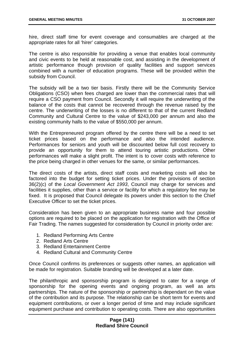hire, direct staff time for event coverage and consumables are charged at the appropriate rates for all 'hirer' categories.

The centre is also responsible for providing a venue that enables local community and civic events to be held at reasonable cost, and assisting in the development of artistic performance though provision of quality facilities and support services combined with a number of education programs. These will be provided within the subsidy from Council.

The subsidy will be a two tier basis. Firstly there will be the Community Service Obligations (CSO) when fees charged are lower than the commercial rates that will require a CSO payment from Council. Secondly it will require the underwriting of the balance of the costs that cannot be recovered through the revenue raised by the centre. The underwriting of the losses is no different to that of the current Redland Community and Cultural Centre to the value of \$243,000 per annum and also the existing community halls to the value of \$550,000 per annum.

With the Entrepreneured program offered by the centre there will be a need to set ticket prices based on the performance and also the intended audience. Performances for seniors and youth will be discounted below full cost recovery to provide an opportunity for them to attend touring artistic productions. Other performances will make a slight profit. The intent is to cover costs with reference to the price being charged in other venues for the same, or similar performances.

The direct costs of the artists, direct staff costs and marketing costs will also be factored into the budget for setting ticket prices. Under the provisions of section 36(2)(c) of the *Local Government Act 1993*, Council may charge for services and facilities it supplies, other than a service or facility for which a regulatory fee may be fixed. It is proposed that Council delegate its powers under this section to the Chief Executive Officer to set the ticket prices.

Consideration has been given to an appropriate business name and four possible options are required to be placed on the application for registration with the Office of Fair Trading. The names suggested for consideration by Council in priority order are:

- 1. Redland Performing Arts Centre
- 2. Redland Arts Centre
- 3. Redland Entertainment Centre
- 4. Redland Cultural and Community Centre

Once Council confirms its preferences or suggests other names, an application will be made for registration. Suitable branding will be developed at a later date.

The philanthropic and sponsorship program is designed to cater for a range of sponsorship for the opening events and ongoing program, as well as arts partnerships. The nature of the sponsorship or partnership is dependant on the value of the contribution and its purpose. The relationship can be short term for events and equipment contributions, or over a longer period of time and may include significant equipment purchase and contribution to operating costs. There are also opportunities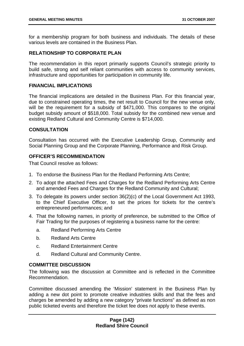for a membership program for both business and individuals. The details of these various levels are contained in the Business Plan.

## **RELATIONSHIP TO CORPORATE PLAN**

The recommendation in this report primarily supports Council's strategic priority to build safe, strong and self reliant communities with access to community services, infrastructure and opportunities for participation in community life.

### **FINANCIAL IMPLICATIONS**

The financial implications are detailed in the Business Plan. For this financial year, due to constrained operating times, the net result to Council for the new venue only, will be the requirement for a subsidy of \$471,000. This compares to the original budget subsidy amount of \$518,000. Total subsidy for the combined new venue and existing Redland Cultural and Community Centre is \$714,000.

## **CONSULTATION**

Consultation has occurred with the Executive Leadership Group, Community and Social Planning Group and the Corporate Planning, Performance and Risk Group.

## **OFFICER'S RECOMMENDATION**

That Council resolve as follows:

- 1. To endorse the Business Plan for the Redland Performing Arts Centre;
- 2. To adopt the attached Fees and Charges for the Redland Performing Arts Centre and amended Fees and Charges for the Redland Community and Cultural;
- 3. To delegate its powers under section 36(2)(c) of the Local Government Act 1993, to the Chief Executive Officer, to set the prices for tickets for the centre's entrepreneured performances; and
- 4. That the following names, in priority of preference, be submitted to the Office of Fair Trading for the purposes of registering a business name for the centre:
	- a. Redland Performing Arts Centre
	- b. Redland Arts Centre
	- c. Redland Entertainment Centre
	- d. Redland Cultural and Community Centre.

#### **COMMITTEE DISCUSSION**

The following was the discussion at Committee and is reflected in the Committee Recommendation.

Committee discussed amending the 'Mission' statement in the Business Plan by adding a new dot point to promote creative industries skills and that the fees and charges be amended by adding a new category "private functions" as defined as non public ticketed events and therefore the ticket fee does not apply to these events.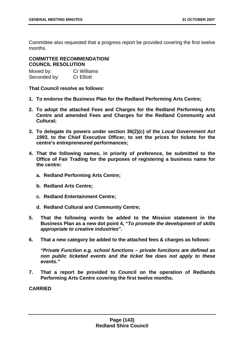Committee also requested that a progress report be provided covering the first twelve months.

# **COMMITTEE RECOMMENDATION/ COUNCIL RESOLUTION**

| Moved by:    | <b>Cr Williams</b> |
|--------------|--------------------|
| Seconded by: | <b>Cr Elliott</b>  |

**That Council resolve as follows:** 

- **1. To endorse the Business Plan for the Redland Performing Arts Centre;**
- **2. To adopt the attached Fees and Charges for the Redland Performing Arts Centre and amended Fees and Charges for the Redland Community and Cultural;**
- **3. To delegate its powers under section 36(2)(c) of the** *Local Government Act 1993***, to the Chief Executive Officer, to set the prices for tickets for the centre's entrepreneured performances;**
- **4. That the following names, in priority of preference, be submitted to the Office of Fair Trading for the purposes of registering a business name for the centre:** 
	- **a. Redland Performing Arts Centre;**
	- **b. Redland Arts Centre;**
	- **c. Redland Entertainment Centre;**
	- **d. Redland Cultural and Community Centre;**
- **5. That the following words be added to the Mission statement in the Business Plan as a new dot point 4, "***To promote the development of skills appropriate to creative industries***".**
- **6. That a new category be added to the attached fees & charges as follows:**

*"Private Function e.g. school functions – private functions are defined as non public ticketed events and the ticket fee does not apply to these events."* 

**7. That a report be provided to Council on the operation of Redlands Performing Arts Centre covering the first twelve months.** 

**CARRIED**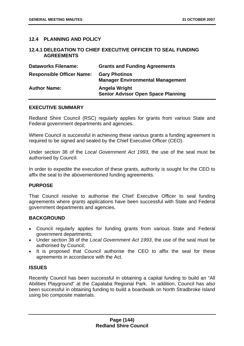# **12.4 PLANNING AND POLICY**

### **12.4.1 DELEGATION TO CHIEF EXECUTIVE OFFICER TO SEAL FUNDING AGREEMENTS**

| <b>Dataworks Filename:</b>       | <b>Grants and Funding Agreements</b>                            |
|----------------------------------|-----------------------------------------------------------------|
| <b>Responsible Officer Name:</b> | <b>Gary Photinos</b><br><b>Manager Environmental Management</b> |
| <b>Author Name:</b>              | Angela Wright<br><b>Senior Advisor Open Space Planning</b>      |

### **EXECUTIVE SUMMARY**

Redland Shire Council (RSC) regularly applies for grants from various State and Federal government departments and agencies.

Where Council is successful in achieving these various grants a funding agreement is required to be signed and sealed by the Chief Executive Officer (CEO).

Under section 38 of the *Local Government Act 1993*, the use of the seal must be authorised by Council.

In order to expedite the execution of these grants, authority is sought for the CEO to affix the seal to the abovementioned funding agreements.

#### **PURPOSE**

That Council resolve to authorise the Chief Executive Officer to seal funding agreements where grants applications have been successful with State and Federal government departments and agencies.

### **BACKGROUND**

- Council regularly applies for funding grants from various State and Federal government departments;
- Under section 38 of the *Local Government Act 1993*, the use of the seal must be authorised by Council;
- It is proposed that Council authorise the CEO to affix the seal for these agreements in accordance with the Act.

### **ISSUES**

Recently Council has been successful in obtaining a capital funding to build an "All Abilities Playground" at the Capalaba Regional Park. In addition, Council has also been successful in obtaining funding to build a boardwalk on North Stradbroke Island using bio composite materials.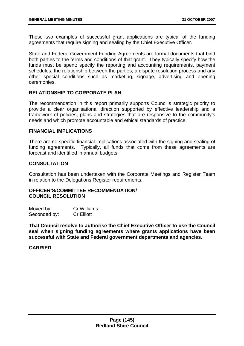These two examples of successful grant applications are typical of the funding agreements that require signing and sealing by the Chief Executive Officer.

State and Federal Government Funding Agreements are formal documents that bind both parties to the terms and conditions of that grant. They typically specify how the funds must be spent; specify the reporting and accounting requirements, payment schedules, the relationship between the parties, a dispute resolution process and any other special conditions such as marketing, signage, advertising and opening ceremonies.

# **RELATIONSHIP TO CORPORATE PLAN**

The recommendation in this report primarily supports Council's strategic priority to provide a clear organisational direction supported by effective leadership and a framework of policies, plans and strategies that are responsive to the community's needs and which promote accountable and ethical standards of practice.

### **FINANCIAL IMPLICATIONS**

There are no specific financial implications associated with the signing and sealing of funding agreements. Typically, all funds that come from these agreements are forecast and identified in annual budgets.

## **CONSULTATION**

Consultation has been undertaken with the Corporate Meetings and Register Team in relation to the Delegations Register requirements.

### **OFFICER'S/COMMITTEE RECOMMENDATION/ COUNCIL RESOLUTION**

| Moved by:    | <b>Cr Williams</b> |
|--------------|--------------------|
| Seconded by: | <b>Cr Elliott</b>  |

**That Council resolve to authorise the Chief Executive Officer to use the Council seal when signing funding agreements where grants applications have been successful with State and Federal government departments and agencies.**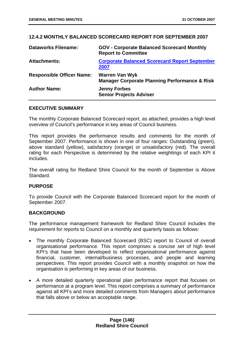# **12.4.2 MONTHLY BALANCED SCORECARD REPORT FOR SEPTEMBER 2007**

| <b>Dataworks Filename:</b>       | <b>GOV - Corporate Balanced Scorecard Monthly</b><br><b>Report to Committee</b>   |
|----------------------------------|-----------------------------------------------------------------------------------|
| <b>Attachments:</b>              | <b>Corporate Balanced Scorecard Report September</b><br>2007                      |
| <b>Responsible Officer Name:</b> | <b>Warren Van Wyk</b><br><b>Manager Corporate Planning Performance &amp; Risk</b> |
| <b>Author Name:</b>              | <b>Jenny Forbes</b><br><b>Senior Projects Adviser</b>                             |

### **EXECUTIVE SUMMARY**

The monthly Corporate Balanced Scorecard report, as attached, provides a high level overview of Council's performance in key areas of Council business.

This report provides the performance results and comments for the month of September 2007. Performance is shown in one of four ranges: Outstanding (green), above standard (yellow), satisfactory (orange) or unsatisfactory (red). The overall rating for each Perspective is determined by the relative weightings of each KPI it includes.

The overall rating for Redland Shire Council for the month of September is Above Standard.

### **PURPOSE**

To provide Council with the Corporate Balanced Scorecard report for the month of September 2007.

# **BACKGROUND**

The performance management framework for Redland Shire Council includes the requirement for reports to Council on a monthly and quarterly basis as follows:

- The monthly Corporate Balanced Scorecard (BSC) report to Council of overall organisational performance. This report comprises a concise set of high level KPI's that have been developed to reflect organisational performance against financial, customer, internal/business processes, and people and learning perspectives. This report provides Council with a monthly snapshot on how the organisation is performing in key areas of our business.
- A more detailed quarterly operational plan performance report that focuses on performance at a program level. This report comprises a summary of performance against all KPI's and more detailed comments from Managers about performance that falls above or below an acceptable range.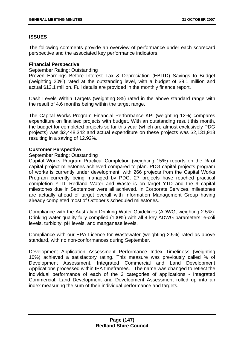# **ISSUES**

The following comments provide an overview of performance under each scorecard perspective and the associated key performance indicators.

# **Financial Perspective**

September Rating: Outstanding

Proven Earnings Before Interest Tax & Depreciation (EBITD) Savings to Budget (weighting 20%) rated at the outstanding level, with a budget of \$9.1 million and actual \$13.1 million. Full details are provided in the monthly finance report.

Cash Levels Within Targets (weighting 8%) rated in the above standard range with the result of 4.6 months being within the target range.

The Capital Works Program Financial Performance KPI (weighting 12%) compares expenditure on finalised projects with budget. With an outstanding result this month, the budget for completed projects so far this year (which are almost exclusively PDG projects) was \$2,448,342 and actual expenditure on these projects was \$2,131,913 resulting in a saving of 12.92%.

## **Customer Perspective**

## September Rating: Outstanding

Capital Works Program Practical Completion (weighting 15%) reports on the % of capital project milestones achieved compared to plan. PDG capital projects program of works is currently under development, with 266 projects from the Capital Works Program currently being managed by PDG. 27 projects have reached practical completion YTD. Redland Water and Waste is on target YTD and the 9 capital milestones due in September were all achieved. In Corporate Services, milestones are actually ahead of target overall with Information Management Group having already completed most of October's scheduled milestones.

Compliance with the Australian Drinking Water Guidelines (ADWG, weighting 2.5%): Drinking water quality fully complied (100%) with all 4 key ADWG parameters: e-coli levels, turbidity, pH levels, and manganese levels.

Compliance with our EPA Licence for Wastewater (weighting 2.5%) rated as above standard, with no non-conformances during September.

Development Application Assessment Performance Index Timeliness (weighting 10%) achieved a satisfactory rating. This measure was previously called % of Development Assessment, Integrated Commercial and Land Development Applications processed within IPA timeframes. The name was changed to reflect the individual performance of each of the 3 categories of applications - Integrated Commercial, Land Development and Development Assessment rolled up into an index measuring the sum of their individual performance and targets.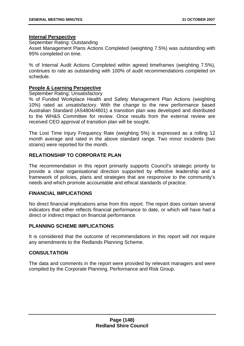### **Internal Perspective**

September Rating: Outstanding

Asset Management Plans Actions Completed (weighting 7.5%) was outstanding with 95% completed on time.

% of Internal Audit Actions Completed within agreed timeframes (weighting 7.5%), continues to rate as outstanding with 100% of audit recommendations completed on schedule.

# **People & Learning Perspective**

September Rating: Unsatisfactory

% of Funded Workplace Health and Safety Management Plan Actions (weighting 10%) rated as unsatisfactory. With the change to the new performance based Australian Standard (AS4804/4801) a transition plan was developed and distributed to the WH&S Committee for review. Once results from the external review are received CEO approval of transition plan will be sought.

The Lost Time Injury Frequency Rate (weighting 5%) is expressed as a rolling 12 month average and rated in the above standard range. Two minor incidents (two strains) were reported for the month.

# **RELATIONSHIP TO CORPORATE PLAN**

The recommendation in this report primarily supports Council's strategic priority to provide a clear organisational direction supported by effective leadership and a framework of policies, plans and strategies that are responsive to the community's needs and which promote accountable and ethical standards of practice.

### **FINANCIAL IMPLICATIONS**

No direct financial implications arise from this report. The report does contain several indicators that either reflects financial performance to date, or which will have had a direct or indirect impact on financial performance.

# **PLANNING SCHEME IMPLICATIONS**

It is considered that the outcome of recommendations in this report will not require any amendments to the Redlands Planning Scheme.

### **CONSULTATION**

The data and comments in the report were provided by relevant managers and were compiled by the Corporate Planning, Performance and Risk Group.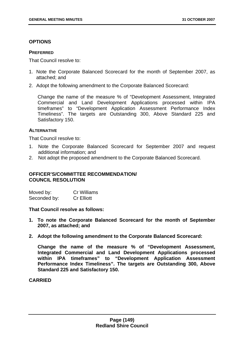## **OPTIONS**

#### **PREFERRED**

That Council resolve to:

- 1. Note the Corporate Balanced Scorecard for the month of September 2007, as attached; and
- 2. Adopt the following amendment to the Corporate Balanced Scorecard:

Change the name of the measure % of "Development Assessment, Integrated Commercial and Land Development Applications processed within IPA timeframes" to "Development Application Assessment Performance Index Timeliness". The targets are Outstanding 300, Above Standard 225 and Satisfactory 150.

### **ALTERNATIVE**

That Council resolve to:

- 1. Note the Corporate Balanced Scorecard for September 2007 and request additional information; and
- 2. Not adopt the proposed amendment to the Corporate Balanced Scorecard.

## **OFFICER'S/COMMITTEE RECOMMENDATION/ COUNCIL RESOLUTION**

| Moved by:    | Cr Williams       |
|--------------|-------------------|
| Seconded by: | <b>Cr Elliott</b> |

**That Council resolve as follows:** 

- **1. To note the Corporate Balanced Scorecard for the month of September 2007, as attached; and**
- **2. Adopt the following amendment to the Corporate Balanced Scorecard:**

**Change the name of the measure % of "Development Assessment, Integrated Commercial and Land Development Applications processed within IPA timeframes" to "Development Application Assessment Performance Index Timeliness". The targets are Outstanding 300, Above Standard 225 and Satisfactory 150.**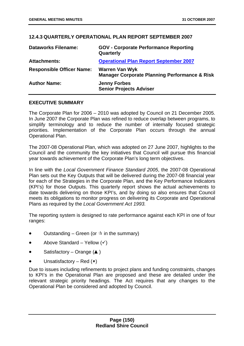## **12.4.3 QUARTERLY OPERATIONAL PLAN REPORT SEPTEMBER 2007**

| <b>Dataworks Filename:</b>       | <b>GOV - Corporate Performance Reporting</b><br>Quarterly                         |
|----------------------------------|-----------------------------------------------------------------------------------|
| <b>Attachments:</b>              | <b>Operational Plan Report September 2007</b>                                     |
| <b>Responsible Officer Name:</b> | <b>Warren Van Wyk</b><br><b>Manager Corporate Planning Performance &amp; Risk</b> |
| <b>Author Name:</b>              | <b>Jenny Forbes</b><br><b>Senior Projects Adviser</b>                             |

### **EXECUTIVE SUMMARY**

The Corporate Plan for 2006 – 2010 was adopted by Council on 21 December 2005. In June 2007 the Corporate Plan was refined to reduce overlap between programs, to simplify terminology and to reduce the number of internally focused strategic priorities. Implementation of the Corporate Plan occurs through the annual Operational Plan.

The 2007-08 Operational Plan, which was adopted on 27 June 2007, highlights to the Council and the community the key initiatives that Council will pursue this financial year towards achievement of the Corporate Plan's long term objectives.

In line with the *Local Government Finance Standard 2005*, the 2007-08 Operational Plan sets out the Key Outputs that will be delivered during the 2007-08 financial year for each of the Strategies in the Corporate Plan, and the Key Performance Indicators (KPI's) for those Outputs. This quarterly report shows the actual achievements to date towards delivering on those KPI's, and by doing so also ensures that Council meets its obligations to monitor progress on delivering its Corporate and Operational Plans as required by the *Local Government Act 1993.* 

The reporting system is designed to rate performance against each KPI in one of four ranges:

- Outstanding Green (or  $\dot{x}$  in the summary)
- Above Standard Yellow  $(v)$
- Satisfactory Orange  $($ \blacktriangle )
- Unsatisfactory Red  $(x)$

Due to issues including refinements to project plans and funding constraints, changes to KPI's in the Operational Plan are proposed and these are detailed under the relevant strategic priority headings. The Act requires that any changes to the Operational Plan be considered and adopted by Council.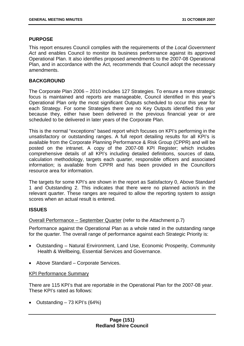### **PURPOSE**

This report ensures Council complies with the requirements of the *Local Government Act* and enables Council to monitor its business performance against its approved Operational Plan. It also identifies proposed amendments to the 2007-08 Operational Plan, and in accordance with the Act, recommends that Council adopt the necessary amendments.

#### **BACKGROUND**

The Corporate Plan 2006 – 2010 includes 127 Strategies. To ensure a more strategic focus is maintained and reports are manageable, Council identified in this year's Operational Plan only the most significant Outputs scheduled to occur this year for each Strategy. For some Strategies there are no Key Outputs identified this year because they, either have been delivered in the previous financial year or are scheduled to be delivered in later years of the Corporate Plan.

This is the normal "exceptions" based report which focuses on KPI's performing in the unsatisfactory or outstanding ranges. A full report detailing results for all KPI's is available from the Corporate Planning Performance & Risk Group (CPPR) and will be posted on the intranet. A copy of the 2007-08 KPI Register; which includes comprehensive details of all KPI's including detailed definitions, sources of data, calculation methodology, targets each quarter, responsible officers and associated information; is available from CPPR and has been provided in the Councillors resource area for information.

The targets for some KPI's are shown in the report as Satisfactory 0, Above Standard 1 and Outstanding 2. This indicates that there were no planned action/s in the relevant quarter. These ranges are required to allow the reporting system to assign scores when an actual result is entered.

### **ISSUES**

### Overall Performance – September Quarter (refer to the Attachment p.7)

Performance against the Operational Plan as a whole rated in the outstanding range for the quarter. The overall range of performance against each Strategic Priority is:

- Outstanding Natural Environment, Land Use, Economic Prosperity, Community Health & Wellbeing, Essential Services and Governance.
- Above Standard Corporate Services.

#### KPI Performance Summary

There are 115 KPI's that are reportable in the Operational Plan for the 2007-08 year. These KPI's rated as follows:

• Outstanding  $-73$  KPI's (64%)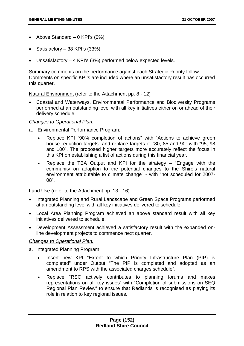- Above Standard  $-$  0 KPI's (0%)
- Satisfactory 38 KPI's (33%)
- Unsatisfactory 4 KPI's (3%) performed below expected levels.

Summary comments on the performance against each Strategic Priority follow. Comments on specific KPI's are included where an unsatisfactory result has occurred this quarter.

## Natural Environment (refer to the Attachment pp. 8 - 12)

• Coastal and Waterways, Environmental Performance and Biodiversity Programs performed at an outstanding level with all key initiatives either on or ahead of their delivery schedule.

## *Changes to Operational Plan:*

- a. Environmental Performance Program:
	- Replace KPI "90% completion of actions" with "Actions to achieve green house reduction targets" and replace targets of "80, 85 and 90" with "95, 98 and 100". The proposed higher targets more accurately reflect the focus in this KPI on establishing a list of actions during this financial year.
	- Replace the TBA Output and KPI for the strategy "Engage with the community on adaption to the potential changes to the Shire's natural environment attributable to climate change" - with "not scheduled for 2007- 08".

Land Use (refer to the Attachment pp. 13 - 16)

- Integrated Planning and Rural Landscape and Green Space Programs performed at an outstanding level with all key initiatives delivered to schedule.
- Local Area Planning Program achieved an above standard result with all key initiatives delivered to schedule.
- Development Assessment achieved a satisfactory result with the expanded online development projects to commence next quarter.

### *Changes to Operational Plan:*

- a. Integrated Planning Program:
	- Insert new KPI "Extent to which Priority Infrastructure Plan (PIP) is completed" under Output "The PIP is completed and adopted as an amendment to RPS with the associated charges schedule".
	- Replace "RSC actively contributes to planning forums and makes representations on all key issues" with "Completion of submissions on SEQ Regional Plan Review" to ensure that Redlands is recognised as playing its role in relation to key regional issues.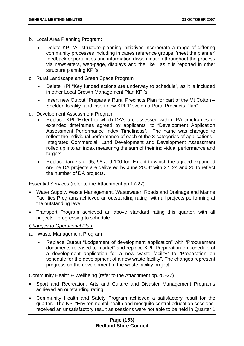- b. Local Area Planning Program:
	- Delete KPI "All structure planning initiatives incorporate a range of differing community processes including in cases reference groups, 'meet the planner' feedback opportunities and information dissemination throughout the process via newsletters, web-page, displays and the like", as it is reported in other structure planning KPI's.
- c. Rural Landscape and Green Space Program
	- Delete KPI "Key funded actions are underway to schedule", as it is included in other Local Growth Management Plan KPI's.
	- Insert new Output "Prepare a Rural Precincts Plan for part of the Mt Cotton Sheldon locality" and insert new KPI "Develop a Rural Precincts Plan".
- d. Development Assessment Program
	- Replace KPI "Extent to which DA's are assessed within IPA timeframes or extended timeframes agreed by applicants" to "Development Application Assessment Performance Index Timeliness". The name was changed to reflect the individual performance of each of the 3 categories of applications - Integrated Commercial, Land Development and Development Assessment rolled up into an index measuring the sum of their individual performance and targets.
	- Replace targets of 95, 98 and 100 for "Extent to which the agreed expanded on-line DA projects are delivered by June 2008" with 22, 24 and 26 to reflect the number of DA projects.

Essential Services (refer to the Attachment pp.17-27)

- Water Supply, Waste Management, Wastewater, Roads and Drainage and Marine Facilities Programs achieved an outstanding rating, with all projects performing at the outstanding level.
- Transport Program achieved an above standard rating this quarter, with all projects progressing to schedule.

### *Changes to Operational Plan:*

- a. Waste Management Program
	- Replace Output "Lodgement of development application" with "Procurement documents released to market" and replace KPI "Preparation on schedule of a development application for a new waste facility" to "Preparation on schedule for the development of a new waste facility". The changes represent progress on the development of the waste facility project.

Community Health & Wellbeing (refer to the Attachment pp.28 -37)

- Sport and Recreation, Arts and Culture and Disaster Management Programs achieved an outstanding rating.
- Community Health and Safety Program achieved a satisfactory result for the quarter. The KPI "Environmental health and mosquito control education sessions" received an unsatisfactory result as sessions were not able to be held in Quarter 1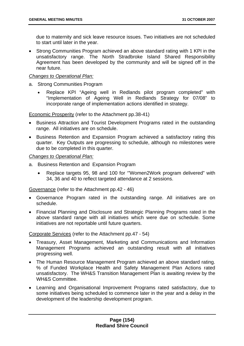due to maternity and sick leave resource issues. Two initiatives are not scheduled to start until later in the year.

• Strong Communities Program achieved an above standard rating with 1 KPI in the unsatisfactory range. The North Stradbroke Island Shared Responsibility Agreement has been developed by the community and will be signed off in the near future.

## *Changes to Operational Plan:*

- a. Strong Communities Program
	- Replace KPI "Ageing well in Redlands pilot program completed" with "Implementation of Ageing Well in Redlands Strategy for 07/08" to incorporate range of implementation actions identified in strategy.

Economic Prosperity (refer to the Attachment pp.38-41)

- Business Attraction and Tourist Development Programs rated in the outstanding range. All initiatives are on schedule.
- Business Retention and Expansion Program achieved a satisfactory rating this quarter. Key Outputs are progressing to schedule, although no milestones were due to be completed in this quarter.

## *Changes to Operational Plan:*

- a. Business Retention and Expansion Program
	- Replace targets 95, 98 and 100 for '"Women2Work program delivered" with 34, 36 and 40 to reflect targeted attendance at 2 sessions.

Governance (refer to the Attachment pp.42 - 46)

- Governance Program rated in the outstanding range. All initiatives are on schedule.
- Financial Planning and Disclosure and Strategic Planning Programs rated in the above standard range with all initiatives which were due on schedule. Some initiatives are not reportable until future quarters.

Corporate Services (refer to the Attachment pp.47 - 54)

- Treasury, Asset Management, Marketing and Communications and Information Management Programs achieved an outstanding result with all initiatives progressing well.
- The Human Resource Management Program achieved an above standard rating. % of Funded Workplace Health and Safety Management Plan Actions rated unsatisfactory. The WH&S Transition Management Plan is awaiting review by the WH&S Committee.
- Learning and Organisational Improvement Programs rated satisfactory, due to some initiatives being scheduled to commence later in the year and a delay in the development of the leadership development program.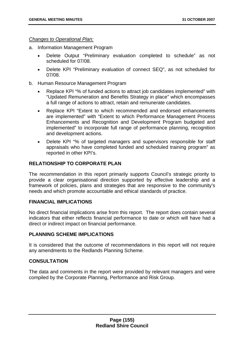#### *Changes to Operational Plan:*

- a. Information Management Program
	- Delete Output "Preliminary evaluation completed to schedule" as not scheduled for 07/08.
	- Delete KPI "Preliminary evaluation of connect SEQ", as not scheduled for 07/08.
- b. Human Resource Management Program
	- Replace KPI "% of funded actions to attract job candidates implemented" with "Updated Remuneration and Benefits Strategy in place" which encompasses a full range of actions to attract, retain and remunerate candidates.
	- Replace KPI "Extent to which recommended and endorsed enhancements are implemented" with "Extent to which Performance Management Process Enhancements and Recognition and Development Program budgeted and implemented" to incorporate full range of performance planning, recognition and development actions.
	- Delete KPI "% of targeted managers and supervisors responsible for staff appraisals who have completed funded and scheduled training program" as reported in other KPI's.

## **RELATIONSHIP TO CORPORATE PLAN**

The recommendation in this report primarily supports Council's strategic priority to provide a clear organisational direction supported by effective leadership and a framework of policies, plans and strategies that are responsive to the community's needs and which promote accountable and ethical standards of practice.

### **FINANCIAL IMPLICATIONS**

No direct financial implications arise from this report. The report does contain several indicators that either reflects financial performance to date or which will have had a direct or indirect impact on financial performance.

### **PLANNING SCHEME IMPLICATIONS**

It is considered that the outcome of recommendations in this report will not require any amendments to the Redlands Planning Scheme.

## **CONSULTATION**

The data and comments in the report were provided by relevant managers and were compiled by the Corporate Planning, Performance and Risk Group.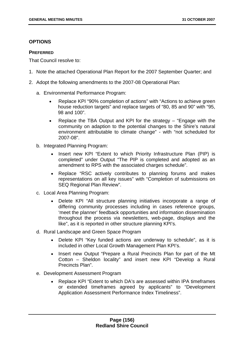## **OPTIONS**

#### **PREFERRED**

That Council resolve to:

- 1. Note the attached Operational Plan Report for the 2007 September Quarter; and
- 2. Adopt the following amendments to the 2007-08 Operational Plan:
	- a. Environmental Performance Program:
		- Replace KPI "90% completion of actions" with "Actions to achieve green house reduction targets" and replace targets of "80, 85 and 90" with "95. 98 and 100".
		- Replace the TBA Output and KPI for the strategy "Engage with the community on adaption to the potential changes to the Shire's natural environment attributable to climate change" - with "not scheduled for 2007-08".
	- b. Integrated Planning Program:
		- Insert new KPI "Extent to which Priority Infrastructure Plan (PIP) is completed" under Output "The PIP is completed and adopted as an amendment to RPS with the associated charges schedule".
		- Replace "RSC actively contributes to planning forums and makes representations on all key issues" with "Completion of submissions on SEQ Regional Plan Review".
	- c. Local Area Planning Program:
		- Delete KPI "All structure planning initiatives incorporate a range of differing community processes including in cases reference groups, 'meet the planner' feedback opportunities and information dissemination throughout the process via newsletters, web-page, displays and the like", as it is reported in other structure planning KPI's.
	- d. Rural Landscape and Green Space Program
		- Delete KPI "Key funded actions are underway to schedule", as it is included in other Local Growth Management Plan KPI's.
		- Insert new Output "Prepare a Rural Precincts Plan for part of the Mt Cotton – Sheldon locality" and insert new KPI "Develop a Rural Precincts Plan".
	- e. Development Assessment Program
		- Replace KPI "Extent to which DA's are assessed within IPA timeframes or extended timeframes agreed by applicants" to "Development Application Assessment Performance Index Timeliness".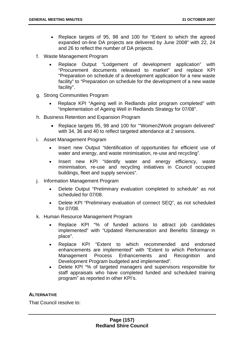- Replace targets of 95, 98 and 100 for "Extent to which the agreed expanded on-line DA projects are delivered by June 2008" with 22, 24 and 26 to reflect the number of DA projects.
- f. Waste Management Program
	- Replace Output "Lodgement of development application" with "Procurement documents released to market" and replace KPI "Preparation on schedule of a development application for a new waste facility" to "Preparation on schedule for the development of a new waste facility".
- g. Strong Communities Program
	- Replace KPI "Ageing well in Redlands pilot program completed" with "Implementation of Ageing Well in Redlands Strategy for 07/08".
- h. Business Retention and Expansion Program
	- Replace targets 95, 98 and 100 for '"Women2Work program delivered" with 34, 36 and 40 to reflect targeted attendance at 2 sessions.
- i. Asset Management Program
	- Insert new Output "Identification of opportunities for efficient use of water and energy, and waste minimisation, re-use and recycling".
	- Insert new KPI "Identify water and energy efficiency, waste minimisation, re-use and recycling initiatives in Council occupied buildings, fleet and supply services".
- j. Information Management Program
	- Delete Output "Preliminary evaluation completed to schedule" as not scheduled for 07/08.
	- Delete KPI "Preliminary evaluation of connect SEQ", as not scheduled for 07/08.
- k. Human Resource Management Program
	- Replace KPI "% of funded actions to attract job candidates implemented" with "Updated Remuneration and Benefits Strategy in place".
	- Replace KPI "Extent to which recommended and endorsed enhancements are implemented" with "Extent to which Performance Management Process Enhancements and Recognition and Development Program budgeted and implemented".
	- Delete KPI "% of targeted managers and supervisors responsible for staff appraisals who have completed funded and scheduled training program" as reported in other KPI's.

# **ALTERNATIVE**

That Council resolve to: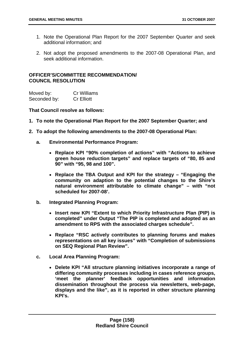- 1. Note the Operational Plan Report for the 2007 September Quarter and seek additional information; and
- 2. Not adopt the proposed amendments to the 2007-08 Operational Plan, and seek additional information.

# **OFFICER'S/COMMITTEE RECOMMENDATION/ COUNCIL RESOLUTION**

| Moved by:    | Cr Williams       |
|--------------|-------------------|
| Seconded by: | <b>Cr Elliott</b> |

### **That Council resolve as follows:**

- **1. To note the Operational Plan Report for the 2007 September Quarter; and**
- **2. To adopt the following amendments to the 2007-08 Operational Plan:** 
	- **a. Environmental Performance Program:** 
		- **Replace KPI "90% completion of actions" with "Actions to achieve green house reduction targets" and replace targets of "80, 85 and 90" with "95, 98 and 100".**
		- **Replace the TBA Output and KPI for the strategy "Engaging the community on adaption to the potential changes to the Shire's natural environment attributable to climate change" – with "not scheduled for 2007-08'.**
	- **b. Integrated Planning Program:** 
		- **Insert new KPI "Extent to which Priority Infrastructure Plan (PIP) is completed" under Output "The PIP is completed and adopted as an amendment to RPS with the associated charges schedule".**
		- **Replace "RSC actively contributes to planning forums and makes representations on all key issues" with "Completion of submissions on SEQ Regional Plan Review".**
	- **c. Local Area Planning Program:** 
		- **Delete KPI "All structure planning initiatives incorporate a range of differing community processes including in cases reference groups, 'meet the planner' feedback opportunities and information dissemination throughout the process via newsletters, web-page, displays and the like", as it is reported in other structure planning KPI's.**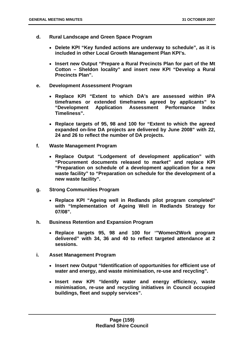- **d. Rural Landscape and Green Space Program** 
	- **Delete KPI "Key funded actions are underway to schedule", as it is included in other Local Growth Management Plan KPI's.**
	- **Insert new Output "Prepare a Rural Precincts Plan for part of the Mt Cotton – Sheldon locality" and insert new KPI "Develop a Rural Precincts Plan".**
- **e. Development Assessment Program** 
	- **Replace KPI "Extent to which DA's are assessed within IPA timeframes or extended timeframes agreed by applicants" to "Development Application Assessment Performance Index Timeliness".**
	- **Replace targets of 95, 98 and 100 for "Extent to which the agreed expanded on-line DA projects are delivered by June 2008" with 22, 24 and 26 to reflect the number of DA projects.**
- **f. Waste Management Program** 
	- **Replace Output "Lodgement of development application" with "Procurement documents released to market" and replace KPI "Preparation on schedule of a development application for a new waste facility" to "Preparation on schedule for the development of a new waste facility".**
- **g. Strong Communities Program** 
	- **Replace KPI "Ageing well in Redlands pilot program completed" with "Implementation of Ageing Well in Redlands Strategy for 07/08".**
- **h. Business Retention and Expansion Program** 
	- **Replace targets 95, 98 and 100 for '"Women2Work program delivered" with 34, 36 and 40 to reflect targeted attendance at 2 sessions.**
- **i. Asset Management Program** 
	- **Insert new Output "Identification of opportunities for efficient use of water and energy, and waste minimisation, re-use and recycling".**
	- **Insert new KPI "Identify water and energy efficiency, waste minimisation, re-use and recycling initiatives in Council occupied buildings, fleet and supply services".**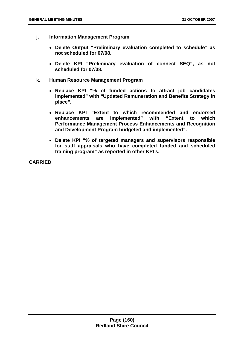- **j. Information Management Program** 
	- **Delete Output "Preliminary evaluation completed to schedule" as not scheduled for 07/08.**
	- **Delete KPI "Preliminary evaluation of connect SEQ", as not scheduled for 07/08.**
- **k. Human Resource Management Program** 
	- **Replace KPI "% of funded actions to attract job candidates implemented" with "Updated Remuneration and Benefits Strategy in place".**
	- **Replace KPI "Extent to which recommended and endorsed enhancements are implemented" with "Extent to which Performance Management Process Enhancements and Recognition and Development Program budgeted and implemented".**
	- **Delete KPI "% of targeted managers and supervisors responsible for staff appraisals who have completed funded and scheduled training program" as reported in other KPI's.**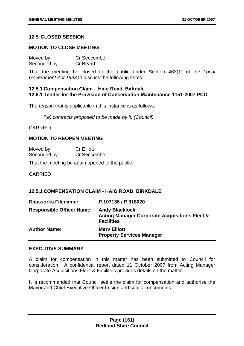# **12.5 CLOSED SESSION**

#### **MOTION TO CLOSE MEETING**

| Moved by:    | Cr Seccombe |  |
|--------------|-------------|--|
| Seconded by: | Cr Beard    |  |

That the meeting be closed to the public under Section 463(1) of the *Local Government Act 1993* to discuss the following items:

### **12.5.1 Compensation Claim – Haig Road, Birkdale 12.6.1 Tender for the Provision of Conservation Maintenance 1151-2007 PCO**

The reason that is applicable in this instance is as follows:

*"(e) contracts proposed to be made by it; (Council)* 

CARRIED

#### **MOTION TO REOPEN MEETING**

| Moved by:    | <b>Cr Elliott</b> |
|--------------|-------------------|
| Seconded by: | Cr Seccombe       |

That the meeting be again opened to the public.

CARRIED

### **12.5.1 COMPENSATION CLAIM - HAIG ROAD, BIRKDALE**

| <b>Dataworks Filename:</b>       | P.107136 / P.318020                                                                                    |
|----------------------------------|--------------------------------------------------------------------------------------------------------|
| <b>Responsible Officer Name:</b> | <b>Andy Blacklock</b><br><b>Acting Manager Corporate Acquisitions Fleet &amp;</b><br><b>Facilities</b> |
| <b>Author Name:</b>              | <b>Mery Elliott</b><br><b>Property Services Manager</b>                                                |

### **EXECUTIVE SUMMARY**

A claim for compensation in this matter has been submitted to Council for consideration. A confidential report dated 11 October 2007 from Acting Manager Corporate Acquisitions Fleet & Facilities provides details on the matter.

It is recommended that Council settle the claim for compensation and authorise the Mayor and Chief Executive Officer to sign and seal all documents.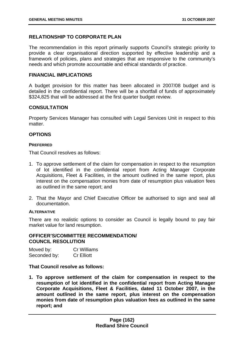# **RELATIONSHIP TO CORPORATE PLAN**

The recommendation in this report primarily supports Council's strategic priority to provide a clear organisational direction supported by effective leadership and a framework of policies, plans and strategies that are responsive to the community's needs and which promote accountable and ethical standards of practice.

#### **FINANCIAL IMPLICATIONS**

A budget provision for this matter has been allocated in 2007/08 budget and is detailed in the confidential report. There will be a shortfall of funds of approximately \$324,825 that will be addressed at the first quarter budget review.

### **CONSULTATION**

Property Services Manager has consulted with Legal Services Unit in respect to this matter.

# **OPTIONS**

#### **PREFERRED**

That Council resolves as follows:

- 1. To approve settlement of the claim for compensation in respect to the resumption of lot identified in the confidential report from Acting Manager Corporate Acquisitions, Fleet & Facilities, in the amount outlined in the same report, plus interest on the compensation monies from date of resumption plus valuation fees as outlined in the same report; and
- 2. That the Mayor and Chief Executive Officer be authorised to sign and seal all documentation.

#### **ALTERNATIVE**

There are no realistic options to consider as Council is legally bound to pay fair market value for land resumption.

#### **OFFICER'S/COMMITTEE RECOMMENDATION/ COUNCIL RESOLUTION**

| Moved by:    | <b>Cr Williams</b> |
|--------------|--------------------|
| Seconded by: | <b>Cr Elliott</b>  |

### **That Council resolve as follows:**

**1. To approve settlement of the claim for compensation in respect to the resumption of lot identified in the confidential report from Acting Manager Corporate Acquisitions, Fleet & Facilities, dated 11 October 2007, in the amount outlined in the same report, plus interest on the compensation monies from date of resumption plus valuation fees as outlined in the same report; and**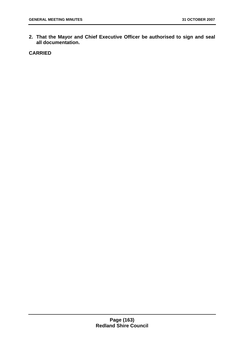**2. That the Mayor and Chief Executive Officer be authorised to sign and seal all documentation.**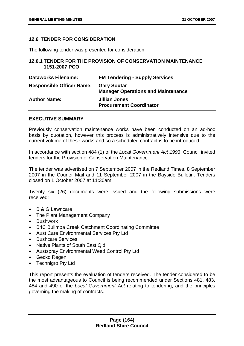## **12.6 TENDER FOR CONSIDERATION**

The following tender was presented for consideration:

# **12.6.1 TENDER FOR THE PROVISION OF CONSERVATION MAINTENANCE 1151-2007 PCO**

| <b>Dataworks Filename:</b>       | <b>FM Tendering - Supply Services</b>                           |
|----------------------------------|-----------------------------------------------------------------|
| <b>Responsible Officer Name:</b> | <b>Gary Soutar</b><br><b>Manager Operations and Maintenance</b> |
| <b>Author Name:</b>              | <b>Jillian Jones</b><br><b>Procurement Coordinator</b>          |

### **EXECUTIVE SUMMARY**

Previously conservation maintenance works have been conducted on an ad-hoc basis by quotation, however this process is administratively intensive due to the current volume of these works and so a scheduled contract is to be introduced.

In accordance with section 484 (1) of the *Local Government Act 1993*, Council invited tenders for the Provision of Conservation Maintenance.

The tender was advertised on 7 September 2007 in the Redland Times, 8 September 2007 in the Courier Mail and 11 September 2007 in the Bayside Bulletin. Tenders closed on 1 October 2007 at 11:30am.

Twenty six (26) documents were issued and the following submissions were received:

- B & G Lawncare
- The Plant Management Company
- Bushworx
- B4C Bulimba Creek Catchment Coordinating Committee
- Aust Care Environmental Services Pty Ltd
- Bushcare Services
- Native Plants of South East Qld
- Austspray Environmental Weed Control Pty Ltd
- Gecko Regen
- Technigro Pty Ltd

This report presents the evaluation of tenders received. The tender considered to be the most advantageous to Council is being recommended under Sections 481, 483, 484 and 490 of the *Local Government Act* relating to tendering, and the principles governing the making of contracts.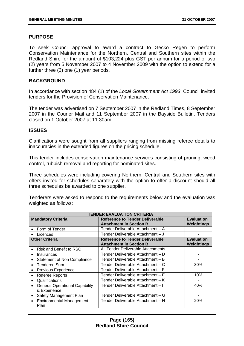### **PURPOSE**

To seek Council approval to award a contract to Gecko Regen to perform Conservation Maintenance for the Northern, Central and Southern sites within the Redland Shire for the amount of \$103,224 plus GST per annum for a period of two (2) years from 5 November 2007 to 4 November 2009 with the option to extend for a further three (3) one (1) year periods.

### **BACKGROUND**

In accordance with section 484 (1) of the *Local Government Act 1993*, Council invited tenders for the Provision of Conservation Maintenance.

The tender was advertised on 7 September 2007 in the Redland Times, 8 September 2007 in the Courier Mail and 11 September 2007 in the Bayside Bulletin. Tenders closed on 1 October 2007 at 11:30am.

## **ISSUES**

Clarifications were sought from all suppliers ranging from missing referee details to inaccuracies in the extended figures on the pricing schedule.

This tender includes conservation maintenance services consisting of pruning, weed control, rubbish removal and reporting for nominated sites.

Three schedules were including covering Northern, Central and Southern sites with offers invited for schedules separately with the option to offer a discount should all three schedules be awarded to one supplier.

Tenderers were asked to respond to the requirements below and the evaluation was weighted as follows:

| <b>TENDER EVALUATION CRITERIA</b>                                  |                                                                          |                                 |
|--------------------------------------------------------------------|--------------------------------------------------------------------------|---------------------------------|
| <b>Mandatory Criteria</b>                                          | <b>Reference to Tender Deliverable</b><br><b>Attachment in Section B</b> | <b>Evaluation</b><br>Weightings |
| Form of Tender<br>$\bullet$                                        | Tender Deliverable Attachment - A                                        |                                 |
| Licences                                                           | Tender Deliverable Attachment - J                                        |                                 |
| <b>Other Criteria</b>                                              | <b>Reference to Tender Deliverable</b><br><b>Attachment in Section B</b> | <b>Evaluation</b><br>Weightings |
| Risk and Benefit to RSC<br>$\bullet$                               | All Tender Deliverable Attachments                                       |                                 |
| Insurances<br>$\bullet$                                            | Tender Deliverable Attachment - D                                        |                                 |
| <b>Statement of Non Compliance</b><br>$\bullet$                    | Tender Deliverable Attachment - B                                        |                                 |
| <b>Tendered Sum</b><br>$\bullet$                                   | Tender Deliverable Attachment - C                                        | 30%                             |
| Previous Experience<br>$\bullet$                                   | Tender Deliverable Attachment - F                                        |                                 |
| <b>Referee Reports</b><br>$\bullet$                                | Tender Deliverable Attachment - E                                        | 10%                             |
| Qualifications<br>$\bullet$                                        | Tender Deliverable Attachment - K                                        |                                 |
| <b>General Operational Capability</b><br>$\bullet$<br>& Experience | Tender Deliverable Attachment - I                                        | 40%                             |
| Safety Management Plan<br>$\bullet$                                | Tender Deliverable Attachment - G                                        |                                 |
| <b>Environmental Management</b><br>$\bullet$<br>Plan               | Tender Deliverable Attachment – H                                        | 20%                             |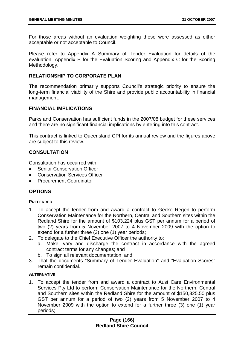For those areas without an evaluation weighting these were assessed as either acceptable or not acceptable to Council.

Please refer to Appendix A Summary of Tender Evaluation for details of the evaluation, Appendix B for the Evaluation Scoring and Appendix C for the Scoring Methodology.

# **RELATIONSHIP TO CORPORATE PLAN**

The recommendation primarily supports Council's strategic priority to ensure the long-term financial viability of the Shire and provide public accountability in financial management.

## **FINANCIAL IMPLICATIONS**

Parks and Conservation has sufficient funds in the 2007/08 budget for these services and there are no significant financial implications by entering into this contract.

This contract is linked to Queensland CPI for its annual review and the figures above are subject to this review.

# **CONSULTATION**

Consultation has occurred with:

- Senior Conservation Officer
- Conservation Services Officer
- Procurement Coordinator

# **OPTIONS**

#### **PREFERRED**

- 1. To accept the tender from and award a contract to Gecko Regen to perform Conservation Maintenance for the Northern, Central and Southern sites within the Redland Shire for the amount of \$103,224 plus GST per annum for a period of two (2) years from 5 November 2007 to 4 November 2009 with the option to extend for a further three (3) one (1) year periods;
- 2. To delegate to the Chief Executive Officer the authority to:
	- a. Make, vary and discharge the contract in accordance with the agreed contract terms for any changes; and
	- b. To sign all relevant documentation; and
- 3. That the documents "Summary of Tender Evaluation" and "Evaluation Scores" remain confidential.

### **ALTERNATIVE**

1. To accept the tender from and award a contract to Aust Care Environmental Services Pty Ltd to perform Conservation Maintenance for the Northern, Central and Southern sites within the Redland Shire for the amount of \$150,325.50 plus GST per annum for a period of two (2) years from 5 November 2007 to 4 November 2009 with the option to extend for a further three (3) one (1) year periods;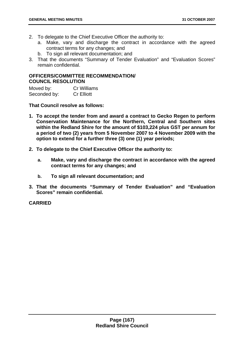- 2. To delegate to the Chief Executive Officer the authority to:
	- a. Make, vary and discharge the contract in accordance with the agreed contract terms for any changes; and
	- b. To sign all relevant documentation; and
- 3. That the documents "Summary of Tender Evaluation" and "Evaluation Scores" remain confidential.

# **OFFICERS/COMMITTEE RECOMMENDATION/ COUNCIL RESOLUTION**

| Moved by:    | <b>Cr Williams</b> |
|--------------|--------------------|
| Seconded by: | <b>Cr Elliott</b>  |

**That Council resolve as follows:** 

- **1. To accept the tender from and award a contract to Gecko Regen to perform Conservation Maintenance for the Northern, Central and Southern sites within the Redland Shire for the amount of \$103,224 plus GST per annum for a period of two (2) years from 5 November 2007 to 4 November 2009 with the option to extend for a further three (3) one (1) year periods;**
- **2. To delegate to the Chief Executive Officer the authority to:** 
	- **a. Make, vary and discharge the contract in accordance with the agreed contract terms for any changes; and**
	- **b. To sign all relevant documentation; and**
- **3. That the documents "Summary of Tender Evaluation" and "Evaluation Scores" remain confidential.**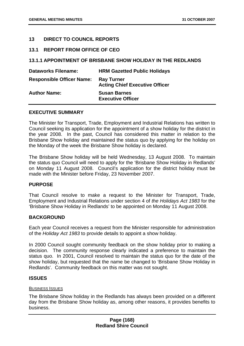## **13 DIRECT TO COUNCIL REPORTS**

### **13.1 REPORT FROM OFFICE OF CEO**

### **13.1.1 APPOINTMENT OF BRISBANE SHOW HOLIDAY IN THE REDLANDS**

| <b>Dataworks Filename:</b>       | <b>HRM Gazetted Public Holidays</b>                        |
|----------------------------------|------------------------------------------------------------|
| <b>Responsible Officer Name:</b> | <b>Ray Turner</b><br><b>Acting Chief Executive Officer</b> |
| <b>Author Name:</b>              | <b>Susan Barnes</b><br><b>Executive Officer</b>            |

#### **EXECUTIVE SUMMARY**

The Minister for Transport, Trade, Employment and Industrial Relations has written to Council seeking its application for the appointment of a show holiday for the district in the year 2008. In the past, Council has considered this matter in relation to the Brisbane Show holiday and maintained the status quo by applying for the holiday on the Monday of the week the Brisbane Show holiday is declared.

The Brisbane Show holiday will be held Wednesday, 13 August 2008. To maintain the status quo Council will need to apply for the 'Brisbane Show Holiday in Redlands' on Monday 11 August 2008. Council's application for the district holiday must be made with the Minister before Friday, 23 November 2007.

### **PURPOSE**

That Council resolve to make a request to the Minister for Transport, Trade, Employment and Industrial Relations under section 4 of *the Holidays Act 1983* for the 'Brisbane Show Holiday in Redlands' to be appointed on Monday 11 August 2008.

#### **BACKGROUND**

Each year Council receives a request from the Minister responsible for administration of the *Holiday Act 1983* to provide details to appoint a show holiday.

In 2000 Council sought community feedback on the show holiday prior to making a decision. The community response clearly indicated a preference to maintain the status quo. In 2001, Council resolved to maintain the status quo for the date of the show holiday, but requested that the name be changed to 'Brisbane Show Holiday in Redlands'. Community feedback on this matter was not sought.

#### **ISSUES**

#### BUSINESS ISSUES

The Brisbane Show holiday in the Redlands has always been provided on a different day from the Brisbane Show holiday as, among other reasons, it provides benefits to business.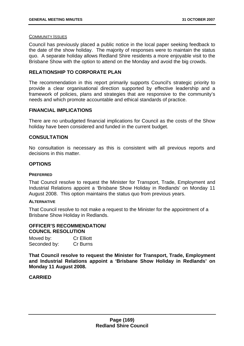#### COMMUNITY ISSUES

Council has previously placed a public notice in the local paper seeking feedback to the date of the show holiday. The majority of responses were to maintain the status quo. A separate holiday allows Redland Shire residents a more enjoyable visit to the Brisbane Show with the option to attend on the Monday and avoid the big crowds.

### **RELATIONSHIP TO CORPORATE PLAN**

The recommendation in this report primarily supports Council's strategic priority to provide a clear organisational direction supported by effective leadership and a framework of policies, plans and strategies that are responsive to the community's needs and which promote accountable and ethical standards of practice.

### **FINANCIAL IMPLICATIONS**

There are no unbudgeted financial implications for Council as the costs of the Show holiday have been considered and funded in the current budget.

### **CONSULTATION**

No consultation is necessary as this is consistent with all previous reports and decisions in this matter.

#### **OPTIONS**

#### **PREFERRED**

That Council resolve to request the Minister for Transport, Trade, Employment and Industrial Relations appoint a 'Brisbane Show Holiday in Redlands' on Monday 11 August 2008. This option maintains the status quo from previous years.

#### **ALTERNATIVE**

That Council resolve to not make a request to the Minister for the appointment of a Brisbane Show Holiday in Redlands.

## **OFFICER'S RECOMMENDATION/ COUNCIL RESOLUTION**

| Moved by:    | <b>Cr Elliott</b> |
|--------------|-------------------|
| Seconded by: | Cr Burns          |

**That Council resolve to request the Minister for Transport, Trade, Employment and Industrial Relations appoint a 'Brisbane Show Holiday in Redlands' on Monday 11 August 2008.**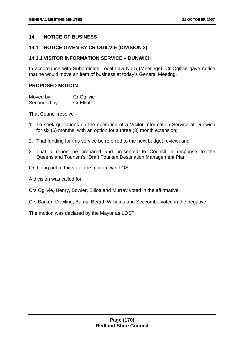## **14 NOTICE OF BUSINESS**

### **14.1 NOTICE GIVEN BY CR OGILVIE (DIVISION 2)**

### **14.1.1 VISITOR INFORMATION SERVICE – DUNWICH**

In accordance with Subordinate Local Law No 5 (Meetings), Cr Ogilvie gave notice that he would move an item of business at today's General Meeting.

#### **PROPOSED MOTION**

| Moved by:    | Cr Ogilvie        |
|--------------|-------------------|
| Seconded by: | <b>Cr Elliott</b> |

That Council resolve -

- 1. To seek quotations on the operation of a Visitor Information Service at Dunwich for six (6) months, with an option for a three (3) month extension;
- 2. That funding for this service be referred to the next budget review; and
- 3. That a report be prepared and presented to Council in response to the Queensland Tourism's "Draft Tourism Destination Management Plan".

On being put to the vote, the motion was LOST.

A division was called for.

Crs Ogilvie, Henry, Bowler, Elliott and Murray voted in the affirmative.

Crs Barker, Dowling, Burns, Beard, Williams and Seccombe voted in the negative.

The motion was declared by the Mayor as LOST.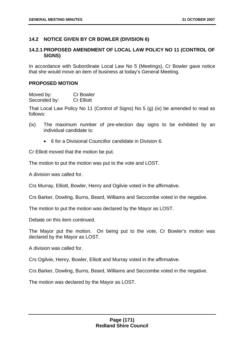# **14.2 NOTICE GIVEN BY CR BOWLER (DIVISION 6)**

# **14.2.1 PROPOSED AMENDMENT OF LOCAL LAW POLICY NO 11 (CONTROL OF SIGNS)**

In accordance with Subordinate Local Law No 5 (Meetings), Cr Bowler gave notice that she would move an item of business at today's General Meeting.

### **PROPOSED MOTION**

Moved by: Cr Bowler Seconded by: Cr Elliott

That Local Law Policy No 11 (Control of Signs) No 5 (g) (ix) be amended to read as follows:

- (ix) The maximum number of pre-election day signs to be exhibited by an individual candidate is:
	- 6 for a Divisional Councillor candidate in Division 6.

Cr Elliott moved that the motion be put.

The motion to put the motion was put to the vote and LOST.

A division was called for.

Crs Murray, Elliott, Bowler, Henry and Ogilvie voted in the affirmative.

Crs Barker, Dowling, Burns, Beard, Williams and Seccombe voted in the negative.

The motion to put the motion was declared by the Mayor as LOST.

Debate on this item continued.

The Mayor put the motion. On being put to the vote, Cr Bowler's motion was declared by the Mayor as LOST.

A division was called for.

Crs Ogilvie, Henry, Bowler, Elliott and Murray voted in the affirmative.

Crs Barker, Dowling, Burns, Beard, Williams and Seccombe voted in the negative.

The motion was declared by the Mayor as LOST.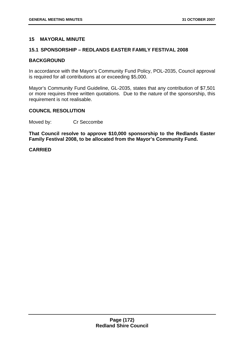### **15 MAYORAL MINUTE**

### **15.1 SPONSORSHIP – REDLANDS EASTER FAMILY FESTIVAL 2008**

#### **BACKGROUND**

In accordance with the Mayor's Community Fund Policy, POL-2035, Council approval is required for all contributions at or exceeding \$5,000.

Mayor's Community Fund Guideline, GL-2035, states that any contribution of \$7,501 or more requires three written quotations. Due to the nature of the sponsorship, this requirement is not realisable.

# **COUNCIL RESOLUTION**

Moved by: Cr Seccombe

**That Council resolve to approve \$10,000 sponsorship to the Redlands Easter Family Festival 2008, to be allocated from the Mayor's Community Fund.**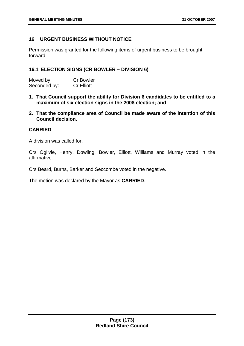# **16 URGENT BUSINESS WITHOUT NOTICE**

Permission was granted for the following items of urgent business to be brought forward.

## **16.1 ELECTION SIGNS (CR BOWLER – DIVISION 6)**

| Moved by:    | <b>Cr Bowler</b>  |
|--------------|-------------------|
| Seconded by: | <b>Cr Elliott</b> |

- **1. That Council support the ability for Division 6 candidates to be entitled to a maximum of six election signs in the 2008 election; and**
- **2. That the compliance area of Council be made aware of the intention of this Council decision.**

## **CARRIED**

A division was called for.

Crs Ogilvie, Henry, Dowling, Bowler, Elliott, Williams and Murray voted in the affirmative.

Crs Beard, Burns, Barker and Seccombe voted in the negative.

The motion was declared by the Mayor as **CARRIED**.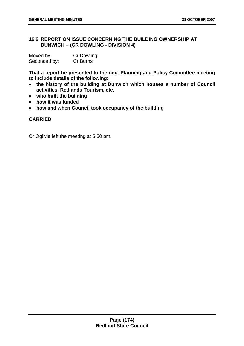# **16.2 REPORT ON ISSUE CONCERNING THE BUILDING OWNERSHIP AT DUNWICH – (CR DOWLING - DIVISION 4)**

| Moved by:    | <b>Cr Dowling</b> |
|--------------|-------------------|
| Seconded by: | Cr Burns          |

**That a report be presented to the next Planning and Policy Committee meeting to include details of the following:** 

- **the history of the building at Dunwich which houses a number of Council activities, Redlands Tourism, etc.**
- **who built the building**
- **how it was funded**
- **how and when Council took occupancy of the building**

## **CARRIED**

Cr Ogilvie left the meeting at 5.50 pm.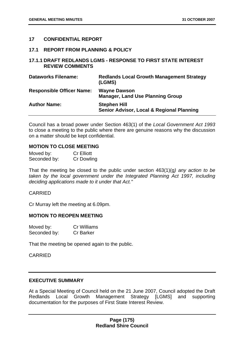### **17 CONFIDENTIAL REPORT**

#### **17.1 REPORT FROM PLANNING & POLICY**

### **17.1.1 DRAFT REDLANDS LGMS - RESPONSE TO FIRST STATE INTEREST REVIEW COMMENTS**

| <b>Dataworks Filename:</b>       | <b>Redlands Local Growth Management Strategy</b><br>(LGMS)       |
|----------------------------------|------------------------------------------------------------------|
| <b>Responsible Officer Name:</b> | <b>Wayne Dawson</b><br><b>Manager, Land Use Planning Group</b>   |
| <b>Author Name:</b>              | <b>Stephen Hill</b><br>Senior Advisor, Local & Regional Planning |

Council has a broad power under Section 463(1) of the *Local Government Act 1993*  to close a meeting to the public where there are genuine reasons why the discussion on a matter should be kept confidential.

# **MOTION TO CLOSE MEETING**

| Moved by:    | <b>Cr Elliott</b> |
|--------------|-------------------|
| Seconded by: | Cr Dowling        |

That the meeting be closed to the public under section 463(1)(g*) any action to be*  taken by the local government under the Integrated Planning Act 1997, including *deciding applications made to it under that Act."*

### CARRIED

Cr Murray left the meeting at 6.09pm.

# **MOTION TO REOPEN MEETING**

| Moved by:    | <b>Cr Williams</b> |
|--------------|--------------------|
| Seconded by: | <b>Cr Barker</b>   |

That the meeting be opened again to the public.

CARRIED

### **EXECUTIVE SUMMARY**

At a Special Meeting of Council held on the 21 June 2007, Council adopted the Draft Redlands Local Growth Management Strategy [LGMS] and supporting documentation for the purposes of First State Interest Review.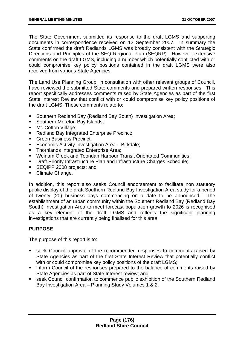The State Government submitted its response to the draft LGMS and supporting documents in correspondence received on 12 September 2007. In summary the State confirmed the draft Redlands LGMS was broadly consistent with the Strategic Directions and Principles of the SEQ Regional Plan (SEQRP). However, extensive comments on the draft LGMS, including a number which potentially conflicted with or could compromise key policy positions contained in the draft LGMS were also received from various State Agencies.

The Land Use Planning Group, in consultation with other relevant groups of Council, have reviewed the submitted State comments and prepared written responses. This report specifically addresses comments raised by State Agencies as part of the first State Interest Review that conflict with or could compromise key policy positions of the draft LGMS. These comments relate to:

- Southern Redland Bay (Redland Bay South) Investigation Area;
- **Southern Moreton Bay Islands;**
- Mt. Cotton Village;
- **Redland Bay Integrated Enterprise Precinct;**
- Green Business Precinct:
- **Economic Activity Investigation Area Birkdale;**
- **Thornlands Integrated Enterprise Area;**
- Weinam Creek and Toondah Harbour Transit Orientated Communities;
- **Draft Priority Infrastructure Plan and Infrastructure Charges Schedule;**
- SEQIPP 2008 projects; and
- Climate Change.

In addition, this report also seeks Council endorsement to facilitate non statutory public display of the draft Southern Redland Bay Investigation Area study for a period of twenty (20) business days commencing on a date to be announced. The establishment of an urban community within the Southern Redland Bay (Redland Bay South) Investigation Area to meet forecast population growth to 2026 is recognised as a key element of the draft LGMS and reflects the significant planning investigations that are currently being finalised for this area.

### **PURPOSE**

The purpose of this report is to:

- seek Council approval of the recommended responses to comments raised by State Agencies as part of the first State Interest Review that potentially conflict with or could compromise key policy positions of the draft LGMS;
- **EXEDER** inform Council of the responses prepared to the balance of comments raised by State Agencies as part of State Interest review; and
- seek Council confirmation to commence public exhibition of the Southern Redland Bay Investigation Area – Planning Study Volumes 1 & 2.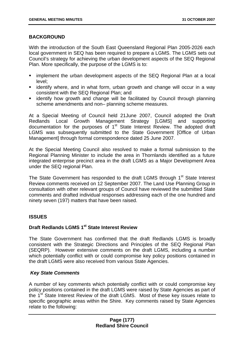# **BACKGROUND**

With the introduction of the South East Queensland Regional Plan 2005-2026 each local government in SEQ has been required to prepare a LGMS. The LGMS sets out Council's strategy for achieving the urban development aspects of the SEQ Regional Plan. More specifically, the purpose of the LGMS is to:

- implement the urban development aspects of the SEQ Regional Plan at a local level;
- **EXT** identify where, and in what form, urban growth and change will occur in a way consistent with the SEQ Regional Plan; and
- identify how growth and change will be facilitated by Council through planning scheme amendments and non– planning scheme measures.

At a Special Meeting of Council held 21June 2007, Council adopted the Draft Redlands Local Growth Management Strategy [LGMS] and supporting documentation for the purposes of 1<sup>st</sup> State Interest Review. The adopted draft LGMS was subsequently submitted to the State Government [Office of Urban Management] through formal correspondence dated 25 June 2007.

At the Special Meeting Council also resolved to make a formal submission to the Regional Planning Minister to include the area in Thornlands identified as a future integrated enterprise precinct area in the draft LGMS as a Major Development Area under the SEQ regional Plan.

The State Government has responded to the draft LGMS through 1<sup>st</sup> State Interest Review comments received on 12 September 2007. The Land Use Planning Group in consultation with other relevant groups of Council have reviewed the submitted State comments and drafted individual responses addressing each of the one hundred and ninety seven (197) matters that have been raised.

# **ISSUES**

# **Draft Redlands LGMS 1st State Interest Review**

The State Government has confirmed that the draft Redlands LGMS is broadly consistent with the Strategic Directions and Principles of the SEQ Regional Plan (SEQRP). However extensive comments on the draft LGMS, including a number which potentially conflict with or could compromise key policy positions contained in the draft LGMS were also received from various State Agencies.

# *Key State Comments*

A number of key comments which potentially conflict with or could compromise key policy positions contained in the draft LGMS were raised by State Agencies as part of the 1<sup>st</sup> State Interest Review of the draft LGMS. Most of these key issues relate to specific geographic areas within the Shire. Key comments raised by State Agencies relate to the following: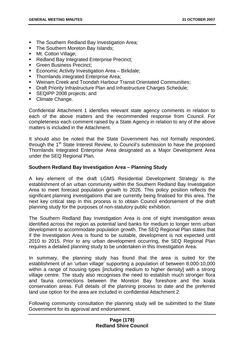- **The Southern Redland Bay Investigation Area;**
- The Southern Moreton Bay Islands:
- **Mt. Cotton Village:**
- **Redland Bay Integrated Enterprise Precinct;**
- Green Business Precinct;
- **Economic Activity Investigation Area Birkdale;**
- **Thornlands integrated Enterprise Area;**
- Weinam Creek and Toondah Harbour Transit Orientated Communities;
- **Draft Priority Infrastructure Plan and Infrastructure Charges Schedule;**
- SEQIPP 2008 projects; and
- Climate Change.

Confidential Attachment 1 identifies relevant state agency comments in relation to each of the above matters and the recommended response from Council. For completeness each comment raised by a State Agency in relation to any of the above matters is included in the Attachment.

It should also be noted that the State Government has not formally responded, through the 1<sup>st</sup> State Interest Review, to Council's submission to have the proposed Thornlands Integrated Enterprise Area designated as a Major Development Area under the SEQ Regional Plan.

# **Southern Redland Bay Investigation Area – Planning Study**

A key element of the draft LGMS Residential Development Strategy is the establishment of an urban community within the Southern Redland Bay Investigation Area to meet forecast population growth to 2026. This policy position reflects the significant planning investigations that are currently being finalised for this area. The next key critical step in this process is to obtain Council endorsement of the draft planning study for the purposes of non-statutory public exhibition.

The Southern Redland Bay Investigation Area is one of eight investigation areas identified across the region as potential land banks for medium to longer term urban development to accommodate population growth. The SEQ Regional Plan states that if the Investigation Area is found to be suitable, development is not expected until 2010 to 2015. Prior to any urban development occurring, the SEQ Regional Plan requires a detailed planning study to be undertaken in this Investigation Area.

In summary, the planning study has found that the area is suited for the establishment of an 'urban village' supporting a population of between 8,000-10,000 within a range of housing types [including medium to higher density] with a strong village centre. The study also recognises the need to establish much stronger flora and fauna connections between the Moreton Bay foreshore and the koala conservation areas. Full details of the planning process to date and the preferred land use option for the area are included in confidential Attachment 2.

Following community consultation the planning study will be submitted to the State Government for its approval and endorsement.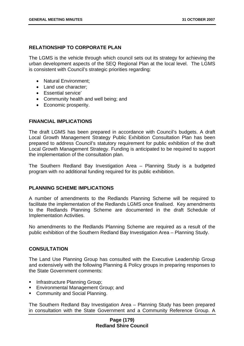# **RELATIONSHIP TO CORPORATE PLAN**

The LGMS is the vehicle through which council sets out its strategy for achieving the urban development aspects of the SEQ Regional Plan at the local level. The LGMS is consistent with Council's strategic priorities regarding:

- Natural Environment;
- Land use character:
- Essential service'
- Community health and well being; and
- Economic prosperity.

## **FINANCIAL IMPLICATIONS**

The draft LGMS has been prepared in accordance with Council's budgets. A draft Local Growth Management Strategy Public Exhibition Consultation Plan has been prepared to address Council's statutory requirement for public exhibition of the draft Local Growth Management Strategy. Funding is anticipated to be required to support the implementation of the consultation plan.

The Southern Redland Bay Investigation Area – Planning Study is a budgeted program with no additional funding required for its public exhibition.

## **PLANNING SCHEME IMPLICATIONS**

A number of amendments to the Redlands Planning Scheme will be required to facilitate the implementation of the Redlands LGMS once finalised. Key amendments to the Redlands Planning Scheme are documented in the draft Schedule of Implementation Activities.

No amendments to the Redlands Planning Scheme are required as a result of the public exhibition of the Southern Redland Bay Investigation Area – Planning Study.

### **CONSULTATION**

The Land Use Planning Group has consulted with the Executive Leadership Group and extensively with the following Planning & Policy groups in preparing responses to the State Government comments:

- **Infrastructure Planning Group;**
- **Environmental Management Group: and**
- **Community and Social Planning.**

The Southern Redland Bay Investigation Area – Planning Study has been prepared in consultation with the State Government and a Community Reference Group. A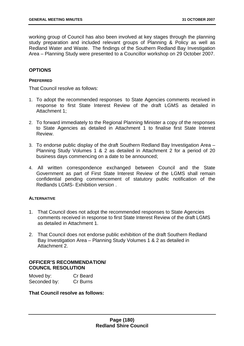working group of Council has also been involved at key stages through the planning study preparation and included relevant groups of Planning & Policy as well as Redland Water and Waste. The findings of the Southern Redland Bay Investigation Area – Planning Study were presented to a Councillor workshop on 29 October 2007.

# **OPTIONS**

#### **PREFERRED**

That Council resolve as follows:

- 1. To adopt the recommended responses to State Agencies comments received in response to first State Interest Review of the draft LGMS as detailed in Attachment 1;
- 2. To forward immediately to the Regional Planning Minister a copy of the responses to State Agencies as detailed in Attachment 1 to finalise first State Interest Review.
- 3. To endorse public display of the draft Southern Redland Bay Investigation Area Planning Study Volumes 1 & 2 as detailed in Attachment 2 for a period of 20 business days commencing on a date to be announced;
- 4. All written correspondence exchanged between Council and the State Government as part of First State Interest Review of the LGMS shall remain confidential pending commencement of statutory public notification of the Redlands LGMS- Exhibition version .

#### **ALTERNATIVE**

- 1. That Council does not adopt the recommended responses to State Agencies comments received in response to first State Interest Review of the draft LGMS as detailed in Attachment 1.
- 2. That Council does not endorse public exhibition of the draft Southern Redland Bay Investigation Area – Planning Study Volumes 1 & 2 as detailed in Attachment 2.

#### **OFFICER'S RECOMMENDATION/ COUNCIL RESOLUTION**

| Moved by:    | Cr Beard |
|--------------|----------|
| Seconded by: | Cr Burns |

**That Council resolve as follows:**